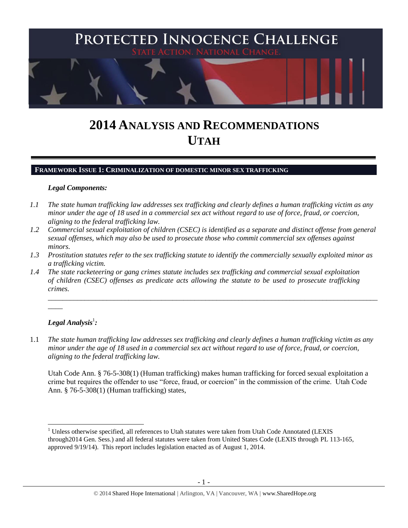

# **2014 ANALYSIS AND RECOMMENDATIONS UTAH**

## **FRAMEWORK ISSUE 1: CRIMINALIZATION OF DOMESTIC MINOR SEX TRAFFICKING**

#### *Legal Components:*

- *1.1 The state human trafficking law addresses sex trafficking and clearly defines a human trafficking victim as any minor under the age of 18 used in a commercial sex act without regard to use of force, fraud, or coercion, aligning to the federal trafficking law.*
- *1.2 Commercial sexual exploitation of children (CSEC) is identified as a separate and distinct offense from general sexual offenses, which may also be used to prosecute those who commit commercial sex offenses against minors.*
- *1.3 Prostitution statutes refer to the sex trafficking statute to identify the commercially sexually exploited minor as a trafficking victim.*

\_\_\_\_\_\_\_\_\_\_\_\_\_\_\_\_\_\_\_\_\_\_\_\_\_\_\_\_\_\_\_\_\_\_\_\_\_\_\_\_\_\_\_\_\_\_\_\_\_\_\_\_\_\_\_\_\_\_\_\_\_\_\_\_\_\_\_\_\_\_\_\_\_\_\_\_\_\_\_\_\_\_\_\_\_\_\_\_\_\_

*1.4 The state racketeering or gang crimes statute includes sex trafficking and commercial sexual exploitation of children (CSEC) offenses as predicate acts allowing the statute to be used to prosecute trafficking crimes.* 

# $\bm{\mathit{Legal\, Analysis^1}}$ :

 $\overline{\phantom{a}}$ 

 $\overline{\phantom{a}}$ 

1.1 *The state human trafficking law addresses sex trafficking and clearly defines a human trafficking victim as any minor under the age of 18 used in a commercial sex act without regard to use of force, fraud, or coercion, aligning to the federal trafficking law.*

Utah Code Ann. § 76-5-308(1) (Human trafficking) makes human trafficking for forced sexual exploitation a crime but requires the offender to use "force, fraud, or coercion" in the commission of the crime. Utah Code Ann. § 76-5-308(1) (Human trafficking) states,

 $<sup>1</sup>$  Unless otherwise specified, all references to Utah statutes were taken from Utah Code Annotated (LEXIS)</sup> through2014 Gen. Sess.) and all federal statutes were taken from United States Code (LEXIS through PL 113-165, approved 9/19/14). This report includes legislation enacted as of August 1, 2014.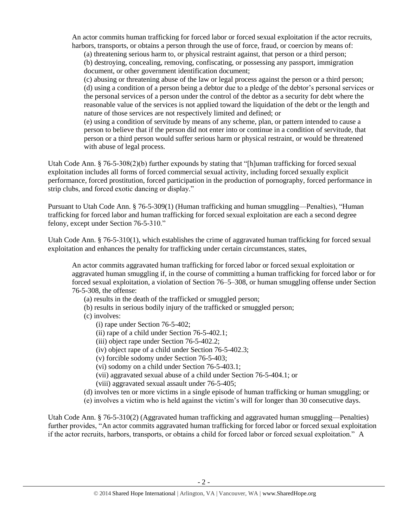An actor commits human trafficking for forced labor or forced sexual exploitation if the actor recruits, harbors, transports, or obtains a person through the use of force, fraud, or coercion by means of:

(a) threatening serious harm to, or physical restraint against, that person or a third person; (b) destroying, concealing, removing, confiscating, or possessing any passport, immigration document, or other government identification document;

(c) abusing or threatening abuse of the law or legal process against the person or a third person; (d) using a condition of a person being a debtor due to a pledge of the debtor's personal services or the personal services of a person under the control of the debtor as a security for debt where the reasonable value of the services is not applied toward the liquidation of the debt or the length and nature of those services are not respectively limited and defined; or

(e) using a condition of servitude by means of any scheme, plan, or pattern intended to cause a person to believe that if the person did not enter into or continue in a condition of servitude, that person or a third person would suffer serious harm or physical restraint, or would be threatened with abuse of legal process.

Utah Code Ann. § 76-5-308(2)(b) further expounds by stating that "[h]uman trafficking for forced sexual exploitation includes all forms of forced commercial sexual activity, including forced sexually explicit performance, forced prostitution, forced participation in the production of pornography, forced performance in strip clubs, and forced exotic dancing or display."

Pursuant to Utah Code Ann. § 76-5-309(1) (Human trafficking and human smuggling—Penalties), "Human trafficking for forced labor and human trafficking for forced sexual exploitation are each a second degree felony, except under Section 76-5-310."

Utah Code Ann. § 76-5-310(1), which establishes the crime of aggravated human trafficking for forced sexual exploitation and enhances the penalty for trafficking under certain circumstances, states,

An actor commits aggravated human trafficking for forced labor or forced sexual exploitation or aggravated human smuggling if, in the course of committing a human trafficking for forced labor or for forced sexual exploitation, a violation of Section 76–5–308, or human smuggling offense under Section 76-5-308, the offense:

- (a) results in the death of the trafficked or smuggled person;
- (b) results in serious bodily injury of the trafficked or smuggled person;
- (c) involves:
	- (i) rape under Section 76-5-402;
	- (ii) rape of a child under Section 76-5-402.1;
	- (iii) object rape under Section 76-5-402.2;
	- (iv) object rape of a child under Section 76-5-402.3;
	- (v) forcible sodomy under Section 76-5-403;
	- (vi) sodomy on a child under Section 76-5-403.1;
	- (vii) aggravated sexual abuse of a child under Section 76-5-404.1; or
	- (viii) aggravated sexual assault under 76-5-405;
- (d) involves ten or more victims in a single episode of human trafficking or human smuggling; or
- (e) involves a victim who is held against the victim's will for longer than 30 consecutive days.

Utah Code Ann. § 76-5-310(2) (Aggravated human trafficking and aggravated human smuggling—Penalties) further provides, "An actor commits aggravated human trafficking for forced labor or forced sexual exploitation if the actor recruits, harbors, transports, or obtains a child for forced labor or forced sexual exploitation." A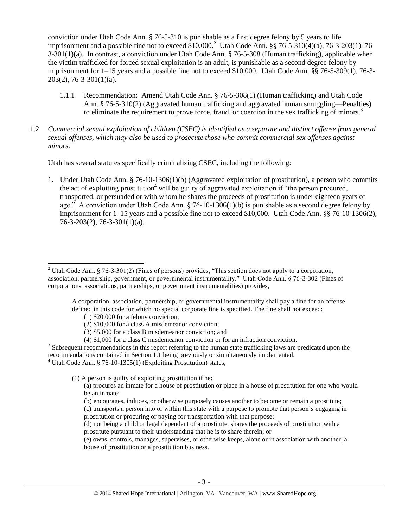conviction under Utah Code Ann. § 76-5-310 is punishable as a first degree felony by 5 years to life imprisonment and a possible fine not to exceed  $$10,000$ .<sup>2</sup> Utah Code Ann. §§ 76-5-310(4)(a), 76-3-203(1), 76-3-301(1)(a). In contrast, a conviction under Utah Code Ann. § 76-5-308 (Human trafficking), applicable when the victim trafficked for forced sexual exploitation is an adult, is punishable as a second degree felony by imprisonment for 1–15 years and a possible fine not to exceed \$10,000. Utah Code Ann. §§ 76-5-309(1), 76-3- 203(2), 76-3-301(1)(a).

- <span id="page-2-0"></span>1.1.1 Recommendation: Amend Utah Code Ann. § 76-5-308(1) (Human trafficking) and Utah Code Ann. § 76-5-310(2) (Aggravated human trafficking and aggravated human smuggling—Penalties) to eliminate the requirement to prove force, fraud, or coercion in the sex trafficking of minors.<sup>3</sup>
- 1.2 *Commercial sexual exploitation of children (CSEC) is identified as a separate and distinct offense from general sexual offenses, which may also be used to prosecute those who commit commercial sex offenses against minors.*

Utah has several statutes specifically criminalizing CSEC, including the following:

<span id="page-2-1"></span>1. Under Utah Code Ann. § 76-10-1306(1)(b) (Aggravated exploitation of prostitution), a person who commits the act of exploiting prostitution<sup>4</sup> will be guilty of aggravated exploitation if "the person procured, transported, or persuaded or with whom he shares the proceeds of prostitution is under eighteen years of age." A conviction under Utah Code Ann. § 76-10-1306(1)(b) is punishable as a second degree felony by imprisonment for 1–15 years and a possible fine not to exceed \$10,000. Utah Code Ann. §§ 76-10-1306(2), 76-3-203(2), 76-3-301(1)(a).

A corporation, association, partnership, or governmental instrumentality shall pay a fine for an offense defined in this code for which no special corporate fine is specified. The fine shall not exceed:

(1) \$20,000 for a felony conviction;

 $\overline{\phantom{a}}$ 

- (2) \$10,000 for a class A misdemeanor conviction;
- (3) \$5,000 for a class B misdemeanor conviction; and
- (4) \$1,000 for a class C misdemeanor conviction or for an infraction conviction.

 $3$  Subsequent recommendations in this report referring to the human state trafficking laws are predicated upon the recommendations contained in Section 1.1 being previously or simultaneously implemented.

 $4$  Utah Code Ann. § 76-10-1305(1) (Exploiting Prostitution) states,

(1) A person is guilty of exploiting prostitution if he:

(a) procures an inmate for a house of prostitution or place in a house of prostitution for one who would be an inmate;

(b) encourages, induces, or otherwise purposely causes another to become or remain a prostitute;

(c) transports a person into or within this state with a purpose to promote that person's engaging in prostitution or procuring or paying for transportation with that purpose;

(d) not being a child or legal dependent of a prostitute, shares the proceeds of prostitution with a prostitute pursuant to their understanding that he is to share therein; or

(e) owns, controls, manages, supervises, or otherwise keeps, alone or in association with another, a house of prostitution or a prostitution business.

<sup>&</sup>lt;sup>2</sup> Utah Code Ann. § 76-3-301(2) (Fines of persons) provides, "This section does not apply to a corporation, association, partnership, government, or governmental instrumentality." Utah Code Ann. § 76-3-302 (Fines of corporations, associations, partnerships, or government instrumentalities) provides,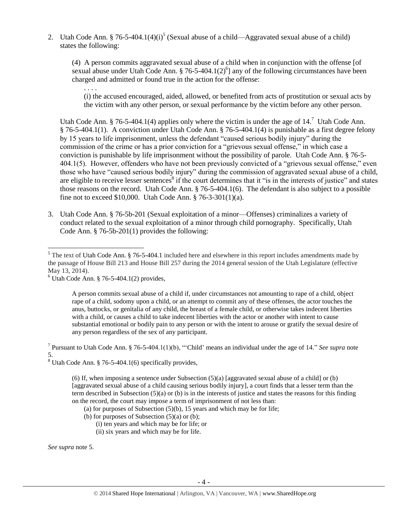2. Utah Code Ann. § 76-5-404.1(4) $(i)^5$  (Sexual abuse of a child—Aggravated sexual abuse of a child) states the following:

<span id="page-3-0"></span>(4) A person commits aggravated sexual abuse of a child when in conjunction with the offense [of sexual abuse under Utah Code Ann. § 76-5-404.1(2)<sup>6</sup>] any of the following circumstances have been charged and admitted or found true in the action for the offense:

<span id="page-3-3"></span><span id="page-3-2"></span>(i) the accused encouraged, aided, allowed, or benefited from acts of prostitution or sexual acts by the victim with any other person, or sexual performance by the victim before any other person.

Utah Code Ann. § 76-5-404.1(4) applies only where the victim is under the age of 14.<sup>7</sup> Utah Code Ann. § 76-5-404.1(1). A conviction under Utah Code Ann. § 76-5-404.1(4) is punishable as a first degree felony by 15 years to life imprisonment, unless the defendant "caused serious bodily injury" during the commission of the crime or has a prior conviction for a "grievous sexual offense," in which case a conviction is punishable by life imprisonment without the possibility of parole. Utah Code Ann. § 76-5- 404.1(5). However, offenders who have not been previously convicted of a "grievous sexual offense," even those who have "caused serious bodily injury" during the commission of aggravated sexual abuse of a child, are eligible to receive lesser sentences<sup>8</sup> if the court determines that it "is in the interests of justice" and states those reasons on the record. Utah Code Ann. § 76-5-404.1(6). The defendant is also subject to a possible fine not to exceed \$10,000. Utah Code Ann. § 76-3-301(1)(a).

3. Utah Code Ann. § 76-5b-201 (Sexual exploitation of a minor—Offenses) criminalizes a variety of conduct related to the sexual exploitation of a minor through child pornography. Specifically, Utah Code Ann. § 76-5b-201(1) provides the following:

<span id="page-3-1"></span>. . . .

A person commits sexual abuse of a child if, under circumstances not amounting to rape of a child, object rape of a child, sodomy upon a child, or an attempt to commit any of these offenses, the actor touches the anus, buttocks, or genitalia of any child, the breast of a female child, or otherwise takes indecent liberties with a child, or causes a child to take indecent liberties with the actor or another with intent to cause substantial emotional or bodily pain to any person or with the intent to arouse or gratify the sexual desire of any person regardless of the sex of any participant.

<sup>7</sup> Pursuant to Utah Code Ann. § 76-5-404.1(1)(b), ""Child' means an individual under the age of 14." *See supra* note [5.](#page-3-0)

 $8$  Utah Code Ann. § 76-5-404.1(6) specifically provides,

(6) If, when imposing a sentence under Subsection  $(5)(a)$  [aggravated sexual abuse of a child] or (b) [aggravated sexual abuse of a child causing serious bodily injury], a court finds that a lesser term than the term described in Subsection (5)(a) or (b) is in the interests of justice and states the reasons for this finding on the record, the court may impose a term of imprisonment of not less than:

- (a) for purposes of Subsection  $(5)(b)$ , 15 years and which may be for life;
- (b) for purposes of Subsection  $(5)(a)$  or  $(b)$ ;
	- (i) ten years and which may be for life; or
	- (ii) six years and which may be for life.

*See supra* note [5.](#page-3-0)

 $\overline{a}$  $<sup>5</sup>$  The text of Utah Code Ann. § 76-5-404.1 included here and elsewhere in this report includes amendments made by</sup> the passage of House Bill 213 and House Bill 257 during the 2014 general session of the Utah Legislature (effective May 13, 2014).

 $6$  Utah Code Ann. § 76-5-404.1(2) provides,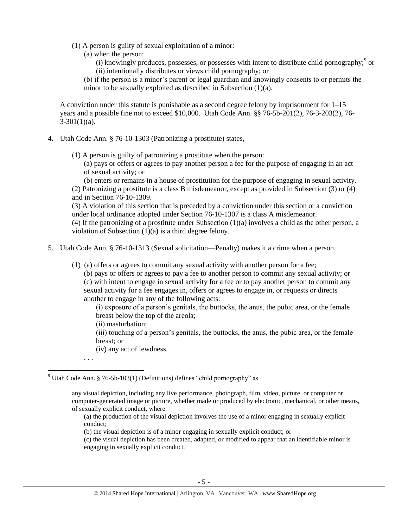- <span id="page-4-0"></span>(1) A person is guilty of sexual exploitation of a minor:
	- (a) when the person:
		- (i) knowingly produces, possesses, or possesses with intent to distribute child pornography;  $\degree$  or (ii) intentionally distributes or views child pornography; or
	- (b) if the person is a minor's parent or legal guardian and knowingly consents to or permits the minor to be sexually exploited as described in Subsection (1)(a).

A conviction under this statute is punishable as a second degree felony by imprisonment for 1–15 years and a possible fine not to exceed \$10,000. Utah Code Ann. §§ 76-5b-201(2), 76-3-203(2), 76-  $3-301(1)(a)$ .

- 4. Utah Code Ann. § 76-10-1303 (Patronizing a prostitute) states,
	- (1) A person is guilty of patronizing a prostitute when the person:

(a) pays or offers or agrees to pay another person a fee for the purpose of engaging in an act of sexual activity; or

(b) enters or remains in a house of prostitution for the purpose of engaging in sexual activity. (2) Patronizing a prostitute is a class B misdemeanor, except as provided in Subsection (3) or (4) and in Section 76-10-1309.

(3) A violation of this section that is preceded by a conviction under this section or a conviction under local ordinance adopted under Section 76-10-1307 is a class A misdemeanor.

(4) If the patronizing of a prostitute under Subsection (1)(a) involves a child as the other person, a violation of Subsection (1)(a) is a third degree felony.

- 5. Utah Code Ann. § 76-10-1313 (Sexual solicitation—Penalty) makes it a crime when a person,
	- (1) (a) offers or agrees to commit any sexual activity with another person for a fee;

(b) pays or offers or agrees to pay a fee to another person to commit any sexual activity; or (c) with intent to engage in sexual activity for a fee or to pay another person to commit any sexual activity for a fee engages in, offers or agrees to engage in, or requests or directs another to engage in any of the following acts:

(i) exposure of a person's genitals, the buttocks, the anus, the pubic area, or the female breast below the top of the areola;

(ii) masturbation;

(iii) touching of a person's genitals, the buttocks, the anus, the pubic area, or the female breast; or

(iv) any act of lewdness.

. . .

 $\overline{\phantom{a}}$ 

(a) the production of the visual depiction involves the use of a minor engaging in sexually explicit conduct;

(b) the visual depiction is of a minor engaging in sexually explicit conduct; or

(c) the visual depiction has been created, adapted, or modified to appear that an identifiable minor is engaging in sexually explicit conduct.

<sup>&</sup>lt;sup>9</sup> Utah Code Ann. § 76-5b-103(1) (Definitions) defines "child pornography" as

any visual depiction, including any live performance, photograph, film, video, picture, or computer or computer-generated image or picture, whether made or produced by electronic, mechanical, or other means, of sexually explicit conduct, where: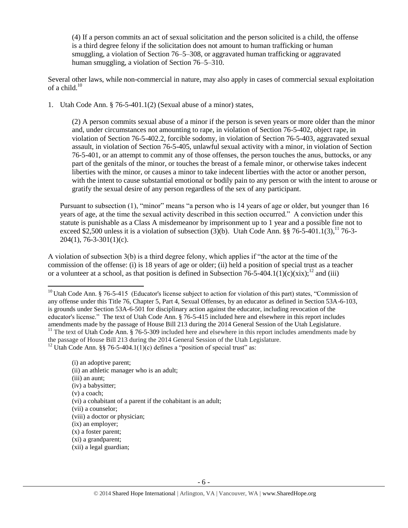(4) If a person commits an act of sexual solicitation and the person solicited is a child, the offense is a third degree felony if the solicitation does not amount to human trafficking or human smuggling, a violation of Section 76–5–308, or aggravated human trafficking or aggravated human smuggling, a violation of Section 76–5–310.

Several other laws, while non-commercial in nature, may also apply in cases of commercial sexual exploitation of a child. $10^{10}$ 

1. Utah Code Ann. § 76-5-401.1(2) (Sexual abuse of a minor) states,

(2) A person commits sexual abuse of a minor if the person is seven years or more older than the minor and, under circumstances not amounting to rape, in violation of Section 76-5-402, object rape, in violation of Section 76-5-402.2, forcible sodomy, in violation of Section 76-5-403, aggravated sexual assault, in violation of Section 76-5-405, unlawful sexual activity with a minor, in violation of Section 76-5-401, or an attempt to commit any of those offenses, the person touches the anus, buttocks, or any part of the genitals of the minor, or touches the breast of a female minor, or otherwise takes indecent liberties with the minor, or causes a minor to take indecent liberties with the actor or another person, with the intent to cause substantial emotional or bodily pain to any person or with the intent to arouse or gratify the sexual desire of any person regardless of the sex of any participant.

Pursuant to subsection (1), "minor" means "a person who is 14 years of age or older, but younger than 16 years of age, at the time the sexual activity described in this section occurred." A conviction under this statute is punishable as a Class A misdemeanor by imprisonment up to 1 year and a possible fine not to exceed \$2,500 unless it is a violation of subsection  $(3)(b)$ . Utah Code Ann. §§ 76-5-401.1(3),<sup>11</sup> 76-3-204(1), 76-3-301(1)(c).

A violation of subsection 3(b) is a third degree felony, which applies if "the actor at the time of the commission of the offense: (i) is 18 years of age or older; (ii) held a position of special trust as a teacher or a volunteer at a school, as that position is defined in Subsection 76-5-404.1(1)(c)(xix);<sup>12</sup> and (iii)

 $\overline{\phantom{a}}$ 

<sup>&</sup>lt;sup>10</sup> Utah Code Ann. § 76-5-415 (Educator's license subject to action for violation of this part) states, "Commission of any offense under this Title 76, Chapter 5, Part 4, Sexual Offenses, by an educator as defined in Section 53A-6-103, is grounds under Section 53A-6-501 for disciplinary action against the educator, including revocation of the educator's license." The text of Utah Code Ann. § 76-5-415 included here and elsewhere in this report includes amendments made by the passage of House Bill 213 during the 2014 General Session of the Utah Legislature. <sup>11</sup> The text of Utah Code Ann. § 76-5-309 included here and elsewhere in this report includes amendments made by the passage of House Bill 213 during the 2014 General Session of the Utah Legislature. <sup>12</sup> Utah Code Ann. §§ 76-5-404.1(1)(c) defines a "position of special trust" as:

<sup>(</sup>i) an adoptive parent; (ii) an athletic manager who is an adult; (iii) an aunt; (iv) a babysitter; (v) a coach; (vi) a cohabitant of a parent if the cohabitant is an adult; (vii) a counselor; (viii) a doctor or physician; (ix) an employer; (x) a foster parent; (xi) a grandparent; (xii) a legal guardian;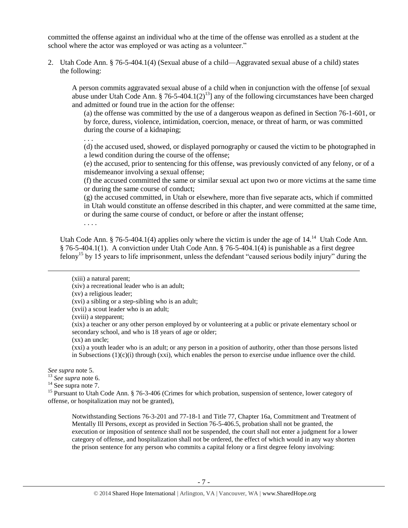committed the offense against an individual who at the time of the offense was enrolled as a student at the school where the actor was employed or was acting as a volunteer."

2. Utah Code Ann. § 76-5-404.1(4) (Sexual abuse of a child—Aggravated sexual abuse of a child) states the following:

A person commits aggravated sexual abuse of a child when in conjunction with the offense [of sexual abuse under Utah Code Ann. § 76-5-404.1(2)<sup>13</sup>] any of the following circumstances have been charged and admitted or found true in the action for the offense:

(a) the offense was committed by the use of a dangerous weapon as defined in Section 76-1-601, or by force, duress, violence, intimidation, coercion, menace, or threat of harm, or was committed during the course of a kidnaping;

. . . (d) the accused used, showed, or displayed pornography or caused the victim to be photographed in a lewd condition during the course of the offense;

(e) the accused, prior to sentencing for this offense, was previously convicted of any felony, or of a misdemeanor involving a sexual offense;

(f) the accused committed the same or similar sexual act upon two or more victims at the same time or during the same course of conduct;

(g) the accused committed, in Utah or elsewhere, more than five separate acts, which if committed in Utah would constitute an offense described in this chapter, and were committed at the same time, or during the same course of conduct, or before or after the instant offense;

. . . .

Utah Code Ann. § 76-5-404.1(4) applies only where the victim is under the age of  $14.^{14}$  Utah Code Ann. § 76-5-404.1(1). A conviction under Utah Code Ann. § 76-5-404.1(4) is punishable as a first degree felony<sup>15</sup> by 15 years to life imprisonment, unless the defendant "caused serious bodily injury" during the

(xv) a religious leader;

(xvi) a sibling or a step-sibling who is an adult;

(xvii) a scout leader who is an adult;

(xviii) a stepparent;

(xix) a teacher or any other person employed by or volunteering at a public or private elementary school or secondary school, and who is 18 years of age or older;

(xx) an uncle;

(xxi) a youth leader who is an adult; or any person in a position of authority, other than those persons listed in Subsections  $(1)(c)(i)$  through (xxi), which enables the person to exercise undue influence over the child.

*See supra* note [5.](#page-3-0)

l

<sup>13</sup> *See supra* note [6.](#page-3-1)

<sup>15</sup> Pursuant to Utah Code Ann. § 76-3-406 (Crimes for which probation, suspension of sentence, lower category of offense, or hospitalization may not be granted),

Notwithstanding Sections 76-3-201 and 77-18-1 and Title 77, Chapter 16a, Commitment and Treatment of Mentally Ill Persons, except as provided in Section 76-5-406.5, probation shall not be granted, the execution or imposition of sentence shall not be suspended, the court shall not enter a judgment for a lower category of offense, and hospitalization shall not be ordered, the effect of which would in any way shorten the prison sentence for any person who commits a capital felony or a first degree felony involving:

<span id="page-6-0"></span><sup>(</sup>xiii) a natural parent;

<sup>(</sup>xiv) a recreational leader who is an adult;

 $14$  See supra note [7.](#page-3-2)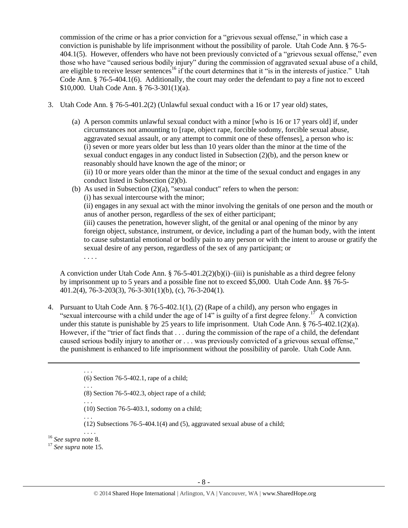commission of the crime or has a prior conviction for a "grievous sexual offense," in which case a conviction is punishable by life imprisonment without the possibility of parole. Utah Code Ann. § 76-5- 404.1(5). However, offenders who have not been previously convicted of a "grievous sexual offense," even those who have "caused serious bodily injury" during the commission of aggravated sexual abuse of a child, are eligible to receive lesser sentences<sup>16</sup> if the court determines that it "is in the interests of justice." Utah Code Ann. § 76-5-404.1(6). Additionally, the court may order the defendant to pay a fine not to exceed \$10,000. Utah Code Ann. § 76-3-301(1)(a).

- 3. Utah Code Ann. § 76-5-401.2(2) (Unlawful sexual conduct with a 16 or 17 year old) states,
	- (a) A person commits unlawful sexual conduct with a minor [who is 16 or 17 years old] if, under circumstances not amounting to [rape, object rape, forcible sodomy, forcible sexual abuse, aggravated sexual assault, or any attempt to commit one of these offenses], a person who is: (i) seven or more years older but less than 10 years older than the minor at the time of the sexual conduct engages in any conduct listed in Subsection (2)(b), and the person knew or reasonably should have known the age of the minor; or (ii) 10 or more years older than the minor at the time of the sexual conduct and engages in any
	- conduct listed in Subsection (2)(b). (b) As used in Subsection (2)(a), "sexual conduct" refers to when the person:
		- (i) has sexual intercourse with the minor;

(ii) engages in any sexual act with the minor involving the genitals of one person and the mouth or anus of another person, regardless of the sex of either participant;

(iii) causes the penetration, however slight, of the genital or anal opening of the minor by any foreign object, substance, instrument, or device, including a part of the human body, with the intent to cause substantial emotional or bodily pain to any person or with the intent to arouse or gratify the sexual desire of any person, regardless of the sex of any participant; or

A conviction under Utah Code Ann.  $\frac{8}{76-5-401.2(2)(b)(i) - (iii)}$  is punishable as a third degree felony by imprisonment up to 5 years and a possible fine not to exceed \$5,000. Utah Code Ann. §§ 76-5- 401.2(4), 76-3-203(3), 76-3-301(1)(b), (c), 76-3-204(1).

4. Pursuant to Utah Code Ann. § 76-5-402.1(1), (2) (Rape of a child), any person who engages in "sexual intercourse with a child under the age of  $14$ " is guilty of a first degree felony.<sup>17</sup> A conviction under this statute is punishable by 25 years to life imprisonment. Utah Code Ann. § 76-5-402.1(2)(a). However, if the "trier of fact finds that . . . during the commission of the rape of a child, the defendant caused serious bodily injury to another or . . . was previously convicted of a grievous sexual offense," the punishment is enhanced to life imprisonment without the possibility of parole. Utah Code Ann.

- (10) Section 76-5-403.1, sodomy on a child;
- . . . (12) Subsections 76-5-404.1(4) and (5), aggravated sexual abuse of a child;

. . . . <sup>16</sup> *See supra* note [8.](#page-3-3)

 $\overline{\phantom{a}}$ 

<sup>17</sup> *See supra* note [15.](#page-6-0)

. . . .

<sup>. . .</sup>  (6) Section 76-5-402.1, rape of a child;

<sup>. . .</sup>  (8) Section 76-5-402.3, object rape of a child;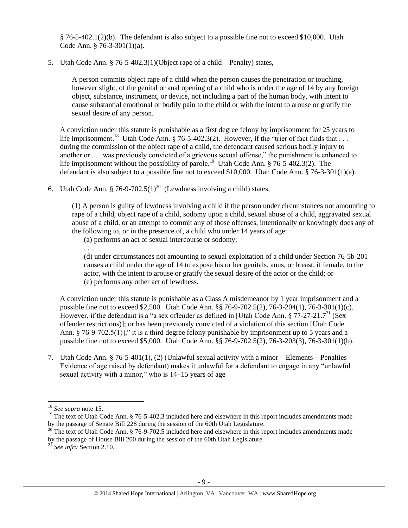§ 76-5-402.1(2)(b). The defendant is also subject to a possible fine not to exceed \$10,000. Utah Code Ann. § 76-3-301(1)(a).

5. Utah Code Ann. § 76-5-402.3(1)(Object rape of a child—Penalty) states,

A person commits object rape of a child when the person causes the penetration or touching, however slight, of the genital or anal opening of a child who is under the age of 14 by any foreign object, substance, instrument, or device, not including a part of the human body, with intent to cause substantial emotional or bodily pain to the child or with the intent to arouse or gratify the sexual desire of any person.

A conviction under this statute is punishable as a first degree felony by imprisonment for 25 years to life imprisonment.<sup>18</sup> Utah Code Ann. § 76-5-402.3(2). However, if the "trier of fact finds that  $\dots$ during the commission of the object rape of a child, the defendant caused serious bodily injury to another or . . . was previously convicted of a grievous sexual offense," the punishment is enhanced to life imprisonment without the possibility of parole.<sup>19</sup> Utah Code Ann. § 76-5-402.3(2). The defendant is also subject to a possible fine not to exceed \$10,000. Utah Code Ann. § 76-3-301(1)(a).

6. Utah Code Ann. § 76-9-702.5(1)<sup>20</sup> (Lewdness involving a child) states,

(1) A person is guilty of lewdness involving a child if the person under circumstances not amounting to rape of a child, object rape of a child, sodomy upon a child, sexual abuse of a child, aggravated sexual abuse of a child, or an attempt to commit any of those offenses, intentionally or knowingly does any of the following to, or in the presence of, a child who under 14 years of age:

(a) performs an act of sexual intercourse or sodomy;

. . .

(d) under circumstances not amounting to sexual exploitation of a child under Section 76-5b-201 causes a child under the age of 14 to expose his or her genitals, anus, or breast, if female, to the actor, with the intent to arouse or gratify the sexual desire of the actor or the child; or (e) performs any other act of lewdness.

A conviction under this statute is punishable as a Class A misdemeanor by 1 year imprisonment and a possible fine not to exceed \$2,500. Utah Code Ann. §§ 76-9-702.5(2), 76-3-204(1), 76-3-301(1)(c). However, if the defendant is a "a sex offender as defined in [Utah Code Ann.  $\S 77-27-21.7<sup>21</sup>$  (Sex offender restrictions)]; or has been previously convicted of a violation of this section [Utah Code Ann. § 76-9-702.5(1)]," it is a third degree felony punishable by imprisonment up to 5 years and a possible fine not to exceed \$5,000. Utah Code Ann. §§ 76-9-702.5(2), 76-3-203(3), 76-3-301(1)(b).

7. Utah Code Ann. § 76-5-401(1), (2) (Unlawful sexual activity with a minor—Elements—Penalties— Evidence of age raised by defendant) makes it unlawful for a defendant to engage in any "unlawful sexual activity with a minor," who is 14–15 years of age

 $\overline{\phantom{a}}$ <sup>18</sup> *See supra* note [15.](#page-6-0)

<sup>&</sup>lt;sup>19</sup> The text of Utah Code Ann. § 76-5-402.3 included here and elsewhere in this report includes amendments made by the passage of Senate Bill 228 during the session of the 60th Utah Legislature.

<sup>&</sup>lt;sup>20</sup> The text of Utah Code Ann. § 76-9-702.5 included here and elsewhere in this report includes amendments made by the passage of House Bill 200 during the session of the 60th Utah Legislature.

<sup>21</sup> *See infra* Section 2.10.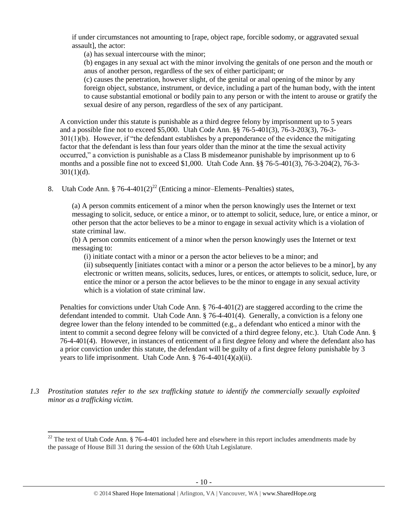if under circumstances not amounting to [rape, object rape, forcible sodomy, or aggravated sexual assault], the actor:

(a) has sexual intercourse with the minor;

(b) engages in any sexual act with the minor involving the genitals of one person and the mouth or anus of another person, regardless of the sex of either participant; or

(c) causes the penetration, however slight, of the genital or anal opening of the minor by any foreign object, substance, instrument, or device, including a part of the human body, with the intent to cause substantial emotional or bodily pain to any person or with the intent to arouse or gratify the sexual desire of any person, regardless of the sex of any participant.

A conviction under this statute is punishable as a third degree felony by imprisonment up to 5 years and a possible fine not to exceed \$5,000. Utah Code Ann. §§ 76-5-401(3), 76-3-203(3), 76-3- 301(1)(b). However, if "the defendant establishes by a preponderance of the evidence the mitigating factor that the defendant is less than four years older than the minor at the time the sexual activity occurred," a conviction is punishable as a Class B misdemeanor punishable by imprisonment up to 6 months and a possible fine not to exceed \$1,000. Utah Code Ann. §§ 76-5-401(3), 76-3-204(2), 76-3-  $301(1)(d)$ .

8. Utah Code Ann. § 76-4-401(2)<sup>22</sup> (Enticing a minor–Elements–Penalties) states,

<span id="page-9-0"></span>(a) A person commits enticement of a minor when the person knowingly uses the Internet or text messaging to solicit, seduce, or entice a minor, or to attempt to solicit, seduce, lure, or entice a minor, or other person that the actor believes to be a minor to engage in sexual activity which is a violation of state criminal law.

(b) A person commits enticement of a minor when the person knowingly uses the Internet or text messaging to:

(i) initiate contact with a minor or a person the actor believes to be a minor; and

(ii) subsequently [initiates contact with a minor or a person the actor believes to be a minor], by any electronic or written means, solicits, seduces, lures, or entices, or attempts to solicit, seduce, lure, or entice the minor or a person the actor believes to be the minor to engage in any sexual activity which is a violation of state criminal law.

Penalties for convictions under Utah Code Ann. § 76-4-401(2) are staggered according to the crime the defendant intended to commit. Utah Code Ann. § 76-4-401(4). Generally, a conviction is a felony one degree lower than the felony intended to be committed (e.g., a defendant who enticed a minor with the intent to commit a second degree felony will be convicted of a third degree felony, etc.). Utah Code Ann. § 76-4-401(4). However, in instances of enticement of a first degree felony and where the defendant also has a prior conviction under this statute, the defendant will be guilty of a first degree felony punishable by 3 years to life imprisonment. Utah Code Ann. § 76-4-401(4)(a)(ii).

*1.3 Prostitution statutes refer to the sex trafficking statute to identify the commercially sexually exploited minor as a trafficking victim.* 

l

 $22$  The text of Utah Code Ann. § 76-4-401 included here and elsewhere in this report includes amendments made by the passage of House Bill 31 during the session of the 60th Utah Legislature.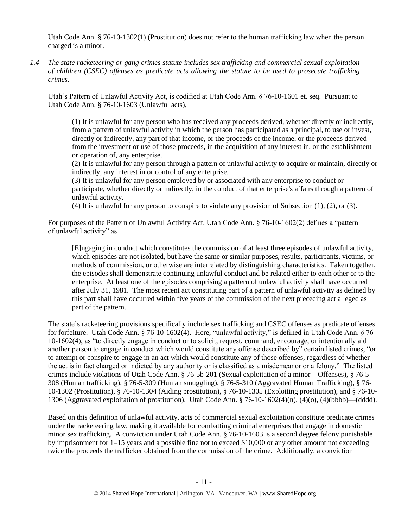Utah Code Ann. § 76-10-1302(1) (Prostitution) does not refer to the human trafficking law when the person charged is a minor.

*1.4 The state racketeering or gang crimes statute includes sex trafficking and commercial sexual exploitation of children (CSEC) offenses as predicate acts allowing the statute to be used to prosecute trafficking crimes.* 

Utah's Pattern of Unlawful Activity Act, is codified at Utah Code Ann. § 76-10-1601 et. seq. Pursuant to Utah Code Ann. § 76-10-1603 (Unlawful acts),

(1) It is unlawful for any person who has received any proceeds derived, whether directly or indirectly, from a pattern of unlawful activity in which the person has participated as a principal, to use or invest, directly or indirectly, any part of that income, or the proceeds of the income, or the proceeds derived from the investment or use of those proceeds, in the acquisition of any interest in, or the establishment or operation of, any enterprise.

(2) It is unlawful for any person through a pattern of unlawful activity to acquire or maintain, directly or indirectly, any interest in or control of any enterprise.

(3) It is unlawful for any person employed by or associated with any enterprise to conduct or participate, whether directly or indirectly, in the conduct of that enterprise's affairs through a pattern of unlawful activity.

(4) It is unlawful for any person to conspire to violate any provision of Subsection  $(1)$ ,  $(2)$ , or  $(3)$ .

For purposes of the Pattern of Unlawful Activity Act, Utah Code Ann. § 76-10-1602(2) defines a "pattern of unlawful activity" as

[E]ngaging in conduct which constitutes the commission of at least three episodes of unlawful activity, which episodes are not isolated, but have the same or similar purposes, results, participants, victims, or methods of commission, or otherwise are interrelated by distinguishing characteristics. Taken together, the episodes shall demonstrate continuing unlawful conduct and be related either to each other or to the enterprise. At least one of the episodes comprising a pattern of unlawful activity shall have occurred after July 31, 1981. The most recent act constituting part of a pattern of unlawful activity as defined by this part shall have occurred within five years of the commission of the next preceding act alleged as part of the pattern.

The state's racketeering provisions specifically include sex trafficking and CSEC offenses as predicate offenses for forfeiture. Utah Code Ann. § 76-10-1602(4). Here, "unlawful activity," is defined in Utah Code Ann. § 76- 10-1602(4), as "to directly engage in conduct or to solicit, request, command, encourage, or intentionally aid another person to engage in conduct which would constitute any offense described by" certain listed crimes, "or to attempt or conspire to engage in an act which would constitute any of those offenses, regardless of whether the act is in fact charged or indicted by any authority or is classified as a misdemeanor or a felony." The listed crimes include violations of Utah Code Ann. § 76-5b-201 (Sexual exploitation of a minor—Offenses), § 76-5- 308 (Human trafficking), § 76-5-309 (Human smuggling), § 76-5-310 (Aggravated Human Trafficking), § 76- 10-1302 (Prostitution), § 76-10-1304 (Aiding prostitution), § 76-10-1305 (Exploiting prostitution), and § 76-10- 1306 (Aggravated exploitation of prostitution). Utah Code Ann. § 76-10-1602(4)(n), (4)(o), (4)(bbbb)—(dddd).

Based on this definition of unlawful activity, acts of commercial sexual exploitation constitute predicate crimes under the racketeering law, making it available for combatting criminal enterprises that engage in domestic minor sex trafficking. A conviction under Utah Code Ann. § 76-10-1603 is a second degree felony punishable by imprisonment for 1–15 years and a possible fine not to exceed \$10,000 or any other amount not exceeding twice the proceeds the trafficker obtained from the commission of the crime. Additionally, a conviction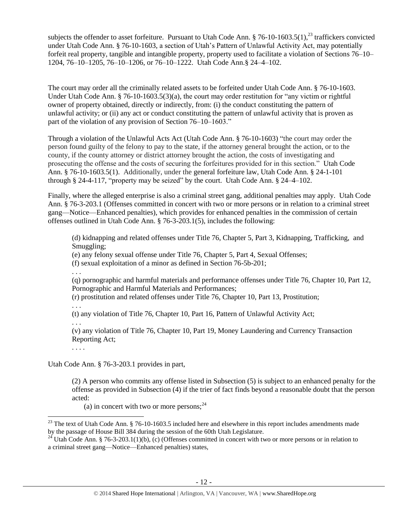subjects the offender to asset forfeiture. Pursuant to Utah Code Ann.  $\S 76-10-1603.5(1)$ ,<sup>23</sup> traffickers convicted under Utah Code Ann. § 76-10-1603, a section of Utah's Pattern of Unlawful Activity Act, may potentially forfeit real property, tangible and intangible property, property used to facilitate a violation of Sections 76–10– 1204, 76–10–1205, 76–10–1206, or 76–10–1222. Utah Code Ann.§ 24–4–102.

The court may order all the criminally related assets to be forfeited under Utah Code Ann. § 76-10-1603. Under Utah Code Ann. § 76-10-1603.5(3)(a), the court may order restitution for "any victim or rightful owner of property obtained, directly or indirectly, from: (i) the conduct constituting the pattern of unlawful activity; or (ii) any act or conduct constituting the pattern of unlawful activity that is proven as part of the violation of any provision of Section 76–10–1603."

Through a violation of the Unlawful Acts Act (Utah Code Ann. § 76-10-1603) "the court may order the person found guilty of the felony to pay to the state, if the attorney general brought the action, or to the county, if the county attorney or district attorney brought the action, the costs of investigating and prosecuting the offense and the costs of securing the forfeitures provided for in this section." Utah Code Ann. § 76-10-1603.5(1). Additionally, under the general forfeiture law, Utah Code Ann. § 24-1-101 through  $\S$  24-4-117, "property may be seized" by the court. Utah Code Ann.  $\S$  24-4-102.

Finally, where the alleged enterprise is also a criminal street gang, additional penalties may apply. Utah Code Ann. § 76-3-203.1 (Offenses committed in concert with two or more persons or in relation to a criminal street gang—Notice—Enhanced penalties), which provides for enhanced penalties in the commission of certain offenses outlined in Utah Code Ann. § 76-3-203.1(5), includes the following:

(d) kidnapping and related offenses under Title 76, Chapter 5, Part 3, Kidnapping, Trafficking, and Smuggling;

(e) any felony sexual offense under Title 76, Chapter 5, Part 4, Sexual Offenses;

(f) sexual exploitation of a minor as defined in Section 76-5b-201;

. . .

(q) pornographic and harmful materials and performance offenses under Title 76, Chapter 10, Part 12, Pornographic and Harmful Materials and Performances;

(r) prostitution and related offenses under Title 76, Chapter 10, Part 13, Prostitution;

. . .

(t) any violation of Title 76, Chapter 10, Part 16, Pattern of Unlawful Activity Act;

. . . (v) any violation of Title 76, Chapter 10, Part 19, Money Laundering and Currency Transaction Reporting Act;

. . . .

Utah Code Ann. § 76-3-203.1 provides in part,

(2) A person who commits any offense listed in Subsection (5) is subject to an enhanced penalty for the offense as provided in Subsection (4) if the trier of fact finds beyond a reasonable doubt that the person acted:

(a) in concert with two or more persons;  $24$ 

 $\overline{\phantom{a}}$  $^{23}$  The text of Utah Code Ann. § 76-10-1603.5 included here and elsewhere in this report includes amendments made by the passage of House Bill 384 during the session of the 60th Utah Legislature.

<sup>&</sup>lt;sup>24</sup> Utah Code Ann. § 76-3-203.1(1)(b), (c) (Offenses committed in concert with two or more persons or in relation to a criminal street gang—Notice—Enhanced penalties) states,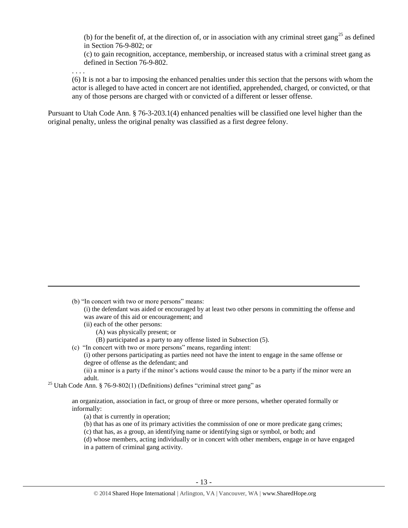(b) for the benefit of, at the direction of, or in association with any criminal street gang<sup>25</sup> as defined in Section 76-9-802; or

(c) to gain recognition, acceptance, membership, or increased status with a criminal street gang as defined in Section 76-9-802.

. . . .

 $\overline{\phantom{a}}$ 

(6) It is not a bar to imposing the enhanced penalties under this section that the persons with whom the actor is alleged to have acted in concert are not identified, apprehended, charged, or convicted, or that any of those persons are charged with or convicted of a different or lesser offense.

Pursuant to Utah Code Ann. § 76-3-203.1(4) enhanced penalties will be classified one level higher than the original penalty, unless the original penalty was classified as a first degree felony.

- (ii) each of the other persons:
	- (A) was physically present; or
	- (B) participated as a party to any offense listed in Subsection (5).
- (c) "In concert with two or more persons" means, regarding intent:
	- (i) other persons participating as parties need not have the intent to engage in the same offense or degree of offense as the defendant; and

(ii) a minor is a party if the minor's actions would cause the minor to be a party if the minor were an adult.

<sup>25</sup> Utah Code Ann. § 76-9-802(1) (Definitions) defines "criminal street gang" as

an organization, association in fact, or group of three or more persons, whether operated formally or informally:

- (a) that is currently in operation;
- (b) that has as one of its primary activities the commission of one or more predicate gang crimes;
- (c) that has, as a group, an identifying name or identifying sign or symbol, or both; and
- (d) whose members, acting individually or in concert with other members, engage in or have engaged
- in a pattern of criminal gang activity.

<sup>(</sup>b) "In concert with two or more persons" means:

<sup>(</sup>i) the defendant was aided or encouraged by at least two other persons in committing the offense and was aware of this aid or encouragement; and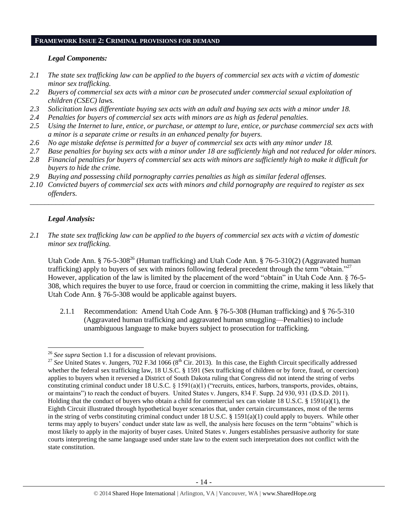## **FRAMEWORK ISSUE 2: CRIMINAL PROVISIONS FOR DEMAND**

### *Legal Components:*

- *2.1 The state sex trafficking law can be applied to the buyers of commercial sex acts with a victim of domestic minor sex trafficking.*
- *2.2 Buyers of commercial sex acts with a minor can be prosecuted under commercial sexual exploitation of children (CSEC) laws.*
- *2.3 Solicitation laws differentiate buying sex acts with an adult and buying sex acts with a minor under 18.*
- *2.4 Penalties for buyers of commercial sex acts with minors are as high as federal penalties.*
- *2.5 Using the Internet to lure, entice, or purchase, or attempt to lure, entice, or purchase commercial sex acts with a minor is a separate crime or results in an enhanced penalty for buyers.*
- *2.6 No age mistake defense is permitted for a buyer of commercial sex acts with any minor under 18.*
- *2.7 Base penalties for buying sex acts with a minor under 18 are sufficiently high and not reduced for older minors.*
- *2.8 Financial penalties for buyers of commercial sex acts with minors are sufficiently high to make it difficult for buyers to hide the crime.*
- *2.9 Buying and possessing child pornography carries penalties as high as similar federal offenses.*
- *2.10 Convicted buyers of commercial sex acts with minors and child pornography are required to register as sex offenders.*

\_\_\_\_\_\_\_\_\_\_\_\_\_\_\_\_\_\_\_\_\_\_\_\_\_\_\_\_\_\_\_\_\_\_\_\_\_\_\_\_\_\_\_\_\_\_\_\_\_\_\_\_\_\_\_\_\_\_\_\_\_\_\_\_\_\_\_\_\_\_\_\_\_\_\_\_\_\_\_\_\_\_\_\_\_\_\_\_\_\_\_\_\_\_

## *Legal Analysis:*

*2.1 The state sex trafficking law can be applied to the buyers of commercial sex acts with a victim of domestic minor sex trafficking.*

Utah Code Ann. § 76-5-308<sup>26</sup> (Human trafficking) and Utah Code Ann. § 76-5-310(2) (Aggravated human trafficking) apply to buyers of sex with minors following federal precedent through the term "obtain."<sup>27</sup> However, application of the law is limited by the placement of the word "obtain" in Utah Code Ann. § 76-5- 308, which requires the buyer to use force, fraud or coercion in committing the crime, making it less likely that Utah Code Ann. § 76-5-308 would be applicable against buyers.

2.1.1 Recommendation: Amend Utah Code Ann. § 76-5-308 (Human trafficking) and § 76-5-310 (Aggravated human trafficking and aggravated human smuggling—Penalties) to include unambiguous language to make buyers subject to prosecution for trafficking.

 $\overline{a}$ <sup>26</sup> *See supra* Section 1.1 for a discussion of relevant provisions.

<sup>&</sup>lt;sup>27</sup> See United States v. Jungers, 702 F.3d 1066 (8<sup>th</sup> Cir. 2013). In this case, the Eighth Circuit specifically addressed whether the federal sex trafficking law, 18 U.S.C. § 1591 (Sex trafficking of children or by force, fraud, or coercion) applies to buyers when it reversed a District of South Dakota ruling that Congress did not intend the string of verbs constituting criminal conduct under 18 U.S.C. § 1591(a)(1) ("recruits, entices, harbors, transports, provides, obtains, or maintains") to reach the conduct of buyers. United States v. Jungers, 834 F. Supp. 2d 930, 931 (D.S.D. 2011). Holding that the conduct of buyers who obtain a child for commercial sex can violate 18 U.S.C. § 1591(a)(1), the Eighth Circuit illustrated through hypothetical buyer scenarios that, under certain circumstances, most of the terms in the string of verbs constituting criminal conduct under 18 U.S.C. § 1591(a)(1) could apply to buyers. While other terms may apply to buyers' conduct under state law as well, the analysis here focuses on the term "obtains" which is most likely to apply in the majority of buyer cases. United States v. Jungers establishes persuasive authority for state courts interpreting the same language used under state law to the extent such interpretation does not conflict with the state constitution.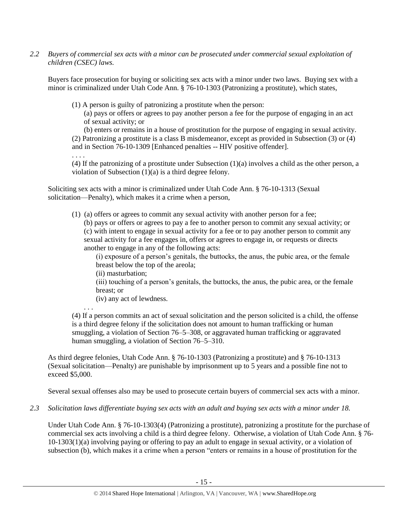*2.2 Buyers of commercial sex acts with a minor can be prosecuted under commercial sexual exploitation of children (CSEC) laws.*

Buyers face prosecution for buying or soliciting sex acts with a minor under two laws. Buying sex with a minor is criminalized under Utah Code Ann. § 76-10-1303 (Patronizing a prostitute), which states,

(1) A person is guilty of patronizing a prostitute when the person:

(a) pays or offers or agrees to pay another person a fee for the purpose of engaging in an act of sexual activity; or

(b) enters or remains in a house of prostitution for the purpose of engaging in sexual activity. (2) Patronizing a prostitute is a class B misdemeanor, except as provided in Subsection (3) or (4) and in Section 76-10-1309 [Enhanced penalties -- HIV positive offender].

. . . .

(4) If the patronizing of a prostitute under Subsection (1)(a) involves a child as the other person, a violation of Subsection (1)(a) is a third degree felony.

Soliciting sex acts with a minor is criminalized under Utah Code Ann. § 76-10-1313 (Sexual solicitation—Penalty), which makes it a crime when a person,

(1) (a) offers or agrees to commit any sexual activity with another person for a fee; (b) pays or offers or agrees to pay a fee to another person to commit any sexual activity; or

(c) with intent to engage in sexual activity for a fee or to pay another person to commit any sexual activity for a fee engages in, offers or agrees to engage in, or requests or directs another to engage in any of the following acts:

(i) exposure of a person's genitals, the buttocks, the anus, the pubic area, or the female breast below the top of the areola;

(ii) masturbation;

. . .

(iii) touching of a person's genitals, the buttocks, the anus, the pubic area, or the female breast; or

(iv) any act of lewdness.

(4) If a person commits an act of sexual solicitation and the person solicited is a child, the offense is a third degree felony if the solicitation does not amount to human trafficking or human smuggling, a violation of Section 76–5–308, or aggravated human trafficking or aggravated human smuggling, a violation of Section 76–5–310.

As third degree felonies, Utah Code Ann. § 76-10-1303 (Patronizing a prostitute) and § 76-10-1313 (Sexual solicitation—Penalty) are punishable by imprisonment up to 5 years and a possible fine not to exceed \$5,000.

Several sexual offenses also may be used to prosecute certain buyers of commercial sex acts with a minor.

### *2.3 Solicitation laws differentiate buying sex acts with an adult and buying sex acts with a minor under 18.*

Under Utah Code Ann. § 76-10-1303(4) (Patronizing a prostitute), patronizing a prostitute for the purchase of commercial sex acts involving a child is a third degree felony. Otherwise, a violation of Utah Code Ann. § 76- 10-1303(1)(a) involving paying or offering to pay an adult to engage in sexual activity, or a violation of subsection (b), which makes it a crime when a person "enters or remains in a house of prostitution for the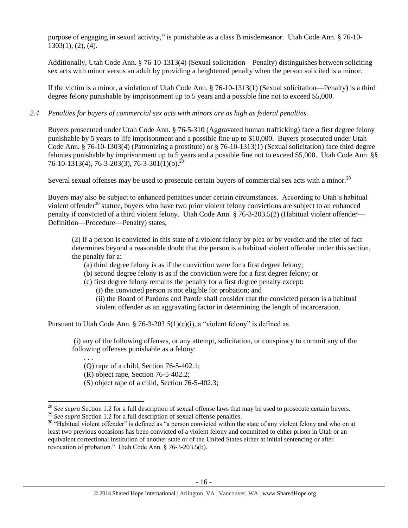purpose of engaging in sexual activity," is punishable as a class B misdemeanor. Utah Code Ann. § 76-10- 1303(1), (2), (4).

Additionally, Utah Code Ann. § 76-10-1313(4) (Sexual solicitation—Penalty) distinguishes between soliciting sex acts with minor versus an adult by providing a heightened penalty when the person solicited is a minor.

If the victim is a minor, a violation of Utah Code Ann. § 76-10-1313(1) (Sexual solicitation—Penalty) is a third degree felony punishable by imprisonment up to 5 years and a possible fine not to exceed \$5,000.

*2.4 Penalties for buyers of commercial sex acts with minors are as high as federal penalties.*

Buyers prosecuted under Utah Code Ann. § 76-5-310 (Aggravated human trafficking) face a first degree felony punishable by 5 years to life imprisonment and a possible fine up to \$10,000. Buyers prosecuted under Utah Code Ann. § 76-10-1303(4) (Patronizing a prostitute) or § 76-10-1313(1) (Sexual solicitation) face third degree felonies punishable by imprisonment up to 5 years and a possible fine not to exceed \$5,000. Utah Code Ann. §§ 76-10-1313(4), 76-3-203(3), 76-3-301(1)(b).<sup>28</sup>

Several sexual offenses may be used to prosecute certain buyers of commercial sex acts with a minor.<sup>29</sup>

Buyers may also be subject to enhanced penalties under certain circumstances. According to Utah's habitual violent offender $30$  statute, buyers who have two prior violent felony convictions are subject to an enhanced penalty if convicted of a third violent felony. Utah Code Ann. § 76-3-203.5(2) (Habitual violent offender— Definition—Procedure—Penalty) states,

(2) If a person is convicted in this state of a violent felony by plea or by verdict and the trier of fact determines beyond a reasonable doubt that the person is a habitual violent offender under this section, the penalty for a:

- (a) third degree felony is as if the conviction were for a first degree felony;
- (b) second degree felony is as if the conviction were for a first degree felony; or
- (c) first degree felony remains the penalty for a first degree penalty except:

(i) the convicted person is not eligible for probation; and

(ii) the Board of Pardons and Parole shall consider that the convicted person is a habitual violent offender as an aggravating factor in determining the length of incarceration.

Pursuant to Utah Code Ann. § 76-3-203.5(1)(c)(i), a "violent felony" is defined as

(i) any of the following offenses, or any attempt, solicitation, or conspiracy to commit any of the following offenses punishable as a felony:

. . . (Q) rape of a child, Section 76-5-402.1;

(R) object rape, Section 76-5-402.2;

 $\overline{\phantom{a}}$ 

(S) object rape of a child, Section 76-5-402.3;

<sup>&</sup>lt;sup>28</sup> See supra Section 1.2 for a full description of sexual offense laws that may be used to prosecute certain buyers. <sup>29</sup> See supra Section 1.2 for a full description of sexual offense penalties.

<sup>&</sup>lt;sup>30</sup> "Habitual violent offender" is defined as "a person convicted within the state of any violent felony and who on at least two previous occasions has been convicted of a violent felony and committed to either prison in Utah or an equivalent correctional institution of another state or of the United States either at initial sentencing or after revocation of probation." Utah Code Ann. § 76-3-203.5(b).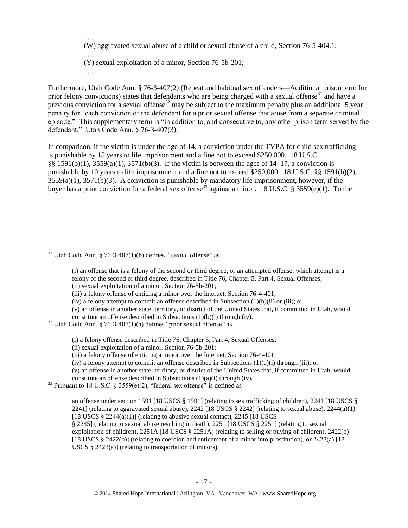. . . (W) aggravated sexual abuse of a child or sexual abuse of a child, Section 76-5-404.1;

. . . (Y) sexual exploitation of a minor, Section 76-5b-201;

. . . .

Furthermore, Utah Code Ann. § 76-3-407(2) (Repeat and habitual sex offenders—Additional prison term for prior felony convictions) states that defendants who are being charged with a sexual offense<sup>31</sup> and have a previous conviction for a sexual offense<sup>32</sup> may be subject to the maximum penalty plus an additional 5 year penalty for "each conviction of the defendant for a prior sexual offense that arose from a separate criminal episode." This supplementary term is "in addition to, and consecutive to, any other prison term served by the defendant." Utah Code Ann. § 76-3-407(3).

In comparison, if the victim is under the age of 14, a conviction under the TVPA for child sex trafficking is punishable by 15 years to life imprisonment and a fine not to exceed \$250,000. 18 U.S.C. §§ 1591(b)(1), 3559(a)(1), 3571(b)(3). If the victim is between the ages of 14–17, a conviction is punishable by 10 years to life imprisonment and a fine not to exceed \$250,000. 18 U.S.C. §§ 1591(b)(2),  $3559(a)(1)$ ,  $3571(b)(3)$ . A conviction is punishable by mandatory life imprisonment, however, if the buyer has a prior conviction for a federal sex offense<sup>33</sup> against a minor. 18 U.S.C. § 3559(e)(1). To the

(v) an offense in another state, territory, or district of the United States that, if committed in Utah, would constitute an offense described in Subsections (1)(b)(i) through (iv).

(i) a felony offense described in Title 76, Chapter 5, Part 4, Sexual Offenses;

 $\overline{a}$  $31$  Utah Code Ann. § 76-3-407(1)(b) defines "sexual offense" as

<span id="page-16-0"></span><sup>(</sup>i) an offense that is a felony of the second or third degree, or an attempted offense, which attempt is a felony of the second or third degree, described in Title 76, Chapter 5, Part 4, Sexual Offenses; (ii) sexual exploitation of a minor, Section 76-5b-201;

<sup>(</sup>iii) a felony offense of enticing a minor over the Internet, Section 76-4-401;

<sup>(</sup>iv) a felony attempt to commit an offense described in Subsection (1)(b)(ii) or (iii); or

 $32$  Utah Code Ann. § 76-3-407(1)(a) defines "prior sexual offense" as

<sup>(</sup>ii) sexual exploitation of a minor, Section 76-5b-201;

<sup>(</sup>iii) a felony offense of enticing a minor over the Internet, Section 76-4-401;

<sup>(</sup>iv) a felony attempt to commit an offense described in Subsections  $(1)(a)(i)$  through (iii); or

<sup>(</sup>v) an offense in another state, territory, or district of the United States that, if committed in Utah, would constitute an offense described in Subsections (1)(a)(i) through (iv).

 $33$  Pursuant to 18 U.S.C. § 3559(e)(2), "federal sex offense" is defined as

an offense under section 1591 [18 USCS § 1591] (relating to sex trafficking of children), 2241 [18 USCS § 2241] (relating to aggravated sexual abuse),  $2242$  [18 USCS § 2242] (relating to sexual abuse),  $2244(a)(1)$ [18 USCS  $\S$  2244(a)(1)] (relating to abusive sexual contact), 2245 [18 USCS] § 2245] (relating to sexual abuse resulting in death), 2251 [18 USCS § 2251] (relating to sexual exploitation of children), 2251A [18 USCS § 2251A] (relating to selling or buying of children), 2422(b) [18 USCS § 2422(b)] (relating to coercion and enticement of a minor into prostitution), or 2423(a) [18 USCS § 2423(a)] (relating to transportation of minors).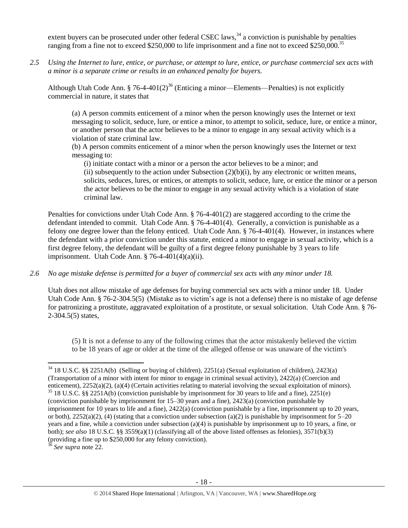extent buyers can be prosecuted under other federal CSEC laws, $34$  a conviction is punishable by penalties ranging from a fine not to exceed \$250,000 to life imprisonment and a fine not to exceed \$250,000.<sup>35</sup>

*2.5 Using the Internet to lure, entice, or purchase, or attempt to lure, entice, or purchase commercial sex acts with a minor is a separate crime or results in an enhanced penalty for buyers.*

Although Utah Code Ann. § 76-4-401(2)<sup>36</sup> (Enticing a minor—Elements—Penalties) is not explicitly commercial in nature, it states that

(a) A person commits enticement of a minor when the person knowingly uses the Internet or text messaging to solicit, seduce, lure, or entice a minor, to attempt to solicit, seduce, lure, or entice a minor, or another person that the actor believes to be a minor to engage in any sexual activity which is a violation of state criminal law.

(b) A person commits enticement of a minor when the person knowingly uses the Internet or text messaging to:

(i) initiate contact with a minor or a person the actor believes to be a minor; and (ii) subsequently to the action under Subsection  $(2)(b)(i)$ , by any electronic or written means, solicits, seduces, lures, or entices, or attempts to solicit, seduce, lure, or entice the minor or a person the actor believes to be the minor to engage in any sexual activity which is a violation of state criminal law.

Penalties for convictions under Utah Code Ann. § 76-4-401(2) are staggered according to the crime the defendant intended to commit. Utah Code Ann. § 76-4-401(4). Generally, a conviction is punishable as a felony one degree lower than the felony enticed. Utah Code Ann. § 76-4-401(4). However, in instances where the defendant with a prior conviction under this statute, enticed a minor to engage in sexual activity, which is a first degree felony, the defendant will be guilty of a first degree felony punishable by 3 years to life imprisonment. Utah Code Ann.  $\S$  76-4-401(4)(a)(ii).

*2.6 No age mistake defense is permitted for a buyer of commercial sex acts with any minor under 18.*

Utah does not allow mistake of age defenses for buying commercial sex acts with a minor under 18. Under Utah Code Ann. § 76-2-304.5(5) (Mistake as to victim's age is not a defense) there is no mistake of age defense for patronizing a prostitute, aggravated exploitation of a prostitute, or sexual solicitation. Utah Code Ann. § 76- 2-304.5(5) states,

(5) It is not a defense to any of the following crimes that the actor mistakenly believed the victim to be 18 years of age or older at the time of the alleged offense or was unaware of the victim's

<sup>36</sup> *See supra* note [22.](#page-9-0) 

 $\overline{\phantom{a}}$ 

 $34$  18 U.S.C. §§ 2251A(b) (Selling or buying of children), 2251(a) (Sexual exploitation of children), 2423(a) (Transportation of a minor with intent for minor to engage in criminal sexual activity), 2422(a) (Coercion and enticement), 2252(a)(2), (a)(4) (Certain activities relating to material involving the sexual exploitation of minors). <sup>35</sup> 18 U.S.C. §§ 2251A(b) (conviction punishable by imprisonment for 30 years to life and a fine), 2251(e) (conviction punishable by imprisonment for 15–30 years and a fine), 2423(a) (conviction punishable by imprisonment for 10 years to life and a fine), 2422(a) (conviction punishable by a fine, imprisonment up to 20 years, or both),  $2252(a)(2)$ , (4) (stating that a conviction under subsection (a)(2) is punishable by imprisonment for 5–20 years and a fine, while a conviction under subsection (a)(4) is punishable by imprisonment up to 10 years, a fine, or both); *see also* 18 U.S.C. §§ 3559(a)(1) (classifying all of the above listed offenses as felonies), 3571(b)(3) (providing a fine up to \$250,000 for any felony conviction).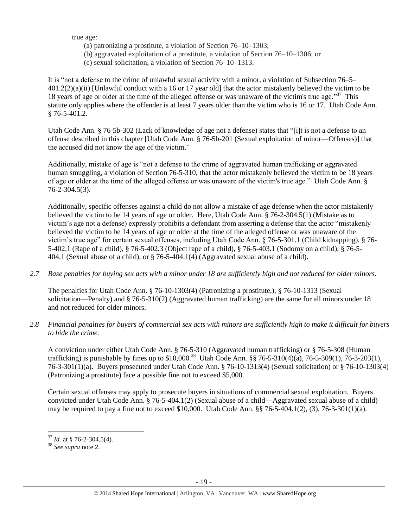true age:

- (a) patronizing a prostitute, a violation of Section 76–10–1303;
- (b) aggravated exploitation of a prostitute, a violation of Section 76–10–1306; or
- (c) sexual solicitation, a violation of Section 76–10–1313.

It is "not a defense to the crime of unlawful sexual activity with a minor, a violation of Subsection 76–5– 401.2(2)(a)(ii) [Unlawful conduct with a 16 or 17 year old] that the actor mistakenly believed the victim to be 18 years of age or older at the time of the alleged offense or was unaware of the victim's true age."<sup>37</sup> This statute only applies where the offender is at least 7 years older than the victim who is 16 or 17. Utah Code Ann. § 76-5-401.2.

Utah Code Ann. § 76-5b-302 (Lack of knowledge of age not a defense) states that "[i]t is not a defense to an offense described in this chapter [Utah Code Ann. § 76-5b-201 (Sexual exploitation of minor—Offenses)] that the accused did not know the age of the victim."

Additionally, mistake of age is "not a defense to the crime of aggravated human trafficking or aggravated human smuggling, a violation of Section 76-5-310, that the actor mistakenly believed the victim to be 18 years of age or older at the time of the alleged offense or was unaware of the victim's true age." Utah Code Ann. § 76-2-304.5(3).

Additionally, specific offenses against a child do not allow a mistake of age defense when the actor mistakenly believed the victim to be 14 years of age or older. Here, Utah Code Ann. § 76-2-304.5(1) (Mistake as to victim's age not a defense) expressly prohibits a defendant from asserting a defense that the actor "mistakenly believed the victim to be 14 years of age or older at the time of the alleged offense or was unaware of the victim's true age" for certain sexual offenses, including Utah Code Ann. § 76-5-301.1 (Child kidnapping), § 76- 5-402.1 (Rape of a child), § 76-5-402.3 (Object rape of a child), § 76-5-403.1 (Sodomy on a child), § 76-5- 404.1 (Sexual abuse of a child), or § 76-5-404.1(4) (Aggravated sexual abuse of a child).

*2.7 Base penalties for buying sex acts with a minor under 18 are sufficiently high and not reduced for older minors.*

The penalties for Utah Code Ann. § 76-10-1303(4) (Patronizing a prostitute,), § 76-10-1313 (Sexual solicitation—Penalty) and § 76-5-310(2) (Aggravated human trafficking) are the same for all minors under 18 and not reduced for older minors.

*2.8 Financial penalties for buyers of commercial sex acts with minors are sufficiently high to make it difficult for buyers to hide the crime.* 

A conviction under either Utah Code Ann. § 76-5-310 (Aggravated human trafficking) or § 76-5-308 (Human trafficking) is punishable by fines up to \$10,000.<sup>38</sup> Utah Code Ann. §§ 76-5-310(4)(a), 76-5-309(1), 76-3-203(1), 76-3-301(1)(a). Buyers prosecuted under Utah Code Ann. § 76-10-1313(4) (Sexual solicitation) or § 76-10-1303(4) (Patronizing a prostitute) face a possible fine not to exceed \$5,000.

Certain sexual offenses may apply to prosecute buyers in situations of commercial sexual exploitation. Buyers convicted under Utah Code Ann. § 76-5-404.1(2) (Sexual abuse of a child—Aggravated sexual abuse of a child) may be required to pay a fine not to exceed  $$10,000$ . Utah Code Ann.  $§$  76-5-404.1(2), (3), 76-3-301(1)(a).

l <sup>37</sup> *Id.* at § 76-2-304.5(4).

<sup>38</sup> *See supra* note [2.](#page-2-0)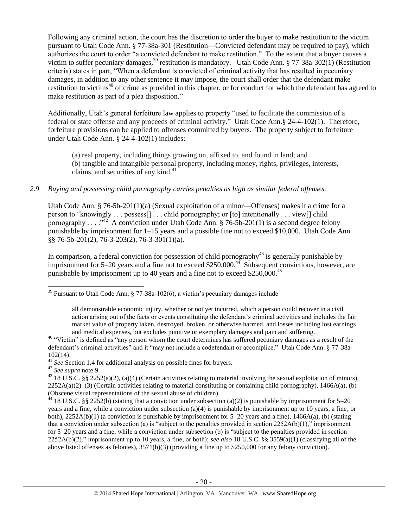<span id="page-19-0"></span>Following any criminal action, the court has the discretion to order the buyer to make restitution to the victim pursuant to Utah Code Ann. § 77-38a-301 (Restitution—Convicted defendant may be required to pay), which authorizes the court to order "a convicted defendant to make restitution." To the extent that a buyer causes a victim to suffer pecuniary damages,<sup>39</sup> restitution is mandatory. Utah Code Ann. § 77-38a-302(1) (Restitution criteria) states in part, "When a defendant is convicted of criminal activity that has resulted in pecuniary damages, in addition to any other sentence it may impose, the court shall order that the defendant make restitution to victims<sup>40</sup> of crime as provided in this chapter, or for conduct for which the defendant has agreed to make restitution as part of a plea disposition."

Additionally, Utah's general forfeiture law applies to property "used to facilitate the commission of a federal or state offense and any proceeds of criminal activity." Utah Code Ann.§ 24-4-102(1). Therefore, forfeiture provisions can be applied to offenses committed by buyers. The property subject to forfeiture under Utah Code Ann. § 24-4-102(1) includes:

(a) real property, including things growing on, affixed to, and found in land; and (b) tangible and intangible personal property, including money, rights, privileges, interests, claims, and securities of any kind. $41$ 

## *2.9 Buying and possessing child pornography carries penalties as high as similar federal offenses.*

Utah Code Ann. § 76-5b-201(1)(a) (Sexual exploitation of a minor—Offenses) makes it a crime for a person to "knowingly . . . possess[] . . . child pornography; or [to] intentionally . . . view[] child pornography . . . .<sup>342</sup> A conviction under Utah Code Ann. § 76-5b-201(1) is a second degree felony punishable by imprisonment for 1–15 years and a possible fine not to exceed \$10,000. Utah Code Ann. §§ 76-5b-201(2), 76-3-203(2), 76-3-301(1)(a).

In comparison, a federal conviction for possession of child pornography $43$  is generally punishable by imprisonment for 5–20 years and a fine not to exceed \$250,000.<sup>44</sup> Subsequent convictions, however, are punishable by imprisonment up to 40 years and a fine not to exceed \$250,000.<sup>45</sup>

<sup>42</sup> *See supra* note [9.](#page-4-0)

 $\overline{\phantom{a}}$ 

 $39$  Pursuant to Utah Code Ann. § 77-38a-102(6), a victim's pecuniary damages include

all demonstrable economic injury, whether or not yet incurred, which a person could recover in a civil action arising out of the facts or events constituting the defendant's criminal activities and includes the fair market value of property taken, destroyed, broken, or otherwise harmed, and losses including lost earnings and medical expenses, but excludes punitive or exemplary damages and pain and suffering.

 $40$  "Victim" is defined as "any person whom the court determines has suffered pecuniary damages as a result of the defendant's criminal activities" and it "may not include a codefendant or accomplice." Utah Code Ann. § 77-38a-102(14).

<sup>&</sup>lt;sup>41</sup> See Section 1.4 for additional analysis on possible fines for buyers.

<sup>&</sup>lt;sup>43</sup> 18 U.S.C. §§ 2252(a)(2), (a)(4) (Certain activities relating to material involving the sexual exploitation of minors),  $2252A(a)(2)$ –(3) (Certain activities relating to material constituting or containing child pornography), 1466A(a), (b) (Obscene visual representations of the sexual abuse of children).

 $44$  18 U.S.C. §§ 2252(b) (stating that a conviction under subsection (a)(2) is punishable by imprisonment for 5–20 years and a fine, while a conviction under subsection (a)(4) is punishable by imprisonment up to 10 years, a fine, or both),  $2252A(b)(1)$  (a conviction is punishable by imprisonment for 5–20 years and a fine),  $1466A(a)$ , (b) (stating that a conviction under subsection (a) is "subject to the penalties provided in section  $2252A(b)(1)$ ," imprisonment for 5–20 years and a fine, while a conviction under subsection (b) is "subject to the penalties provided in section 2252A(b)(2)," imprisonment up to 10 years, a fine, or both); *see also* 18 U.S.C. §§ 3559(a)(1) (classifying all of the above listed offenses as felonies), 3571(b)(3) (providing a fine up to \$250,000 for any felony conviction).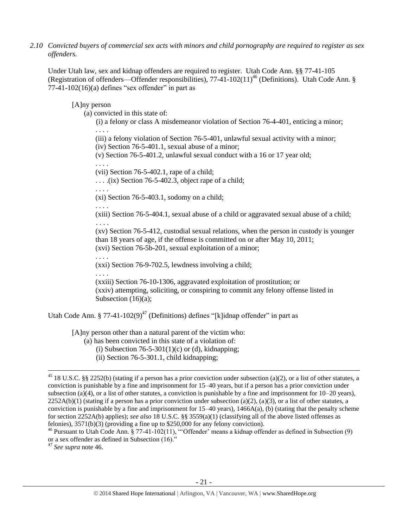*2.10 Convicted buyers of commercial sex acts with minors and child pornography are required to register as sex offenders.* 

Under Utah law, sex and kidnap offenders are required to register. Utah Code Ann. §§ 77-41-105 (Registration of offenders—Offender responsibilities),  $77-41-102(11)^{46}$  (Definitions). Utah Code Ann. §  $77-41-102(16)$ (a) defines "sex offender" in part as

#### [A]ny person

(a) convicted in this state of:

<span id="page-20-0"></span>(i) a felony or class A misdemeanor violation of Section 76-4-401, enticing a minor; . . . .

(iii) a felony violation of Section 76-5-401, unlawful sexual activity with a minor; (iv) Section 76-5-401.1, sexual abuse of a minor;

(v) Section 76-5-401.2, unlawful sexual conduct with a 16 or 17 year old;

(vii) Section 76-5-402.1, rape of a child;

 $\ldots$  . . . .(ix) Section 76-5-402.3, object rape of a child;

. . . .

. . . .

. . . .

(xi) Section 76-5-403.1, sodomy on a child;

(xiii) Section 76-5-404.1, sexual abuse of a child or aggravated sexual abuse of a child; . . . .

(xv) Section 76-5-412, custodial sexual relations, when the person in custody is younger than 18 years of age, if the offense is committed on or after May 10, 2011; (xvi) Section 76-5b-201, sexual exploitation of a minor;

. . . . (xxi) Section 76-9-702.5, lewdness involving a child;

. . . .

(xxiii) Section 76-10-1306, aggravated exploitation of prostitution; or (xxiv) attempting, soliciting, or conspiring to commit any felony offense listed in Subsection (16)(a);

Utah Code Ann. § 77-41-102(9)<sup>47</sup> (Definitions) defines "[k]idnap offender" in part as

[A]ny person other than a natural parent of the victim who:

(a) has been convicted in this state of a violation of:

(i) Subsection  $76-5-301(1)(c)$  or (d), kidnapping;

(ii) Section 76-5-301.1, child kidnapping;

<sup>47</sup> *See supra* note [46.](#page-20-0)

 $\overline{\phantom{a}}$ 

 $45$  18 U.S.C. §§ 2252(b) (stating if a person has a prior conviction under subsection (a)(2), or a list of other statutes, a conviction is punishable by a fine and imprisonment for 15–40 years, but if a person has a prior conviction under subsection (a)(4), or a list of other statutes, a conviction is punishable by a fine and imprisonment for  $10-20$  years),  $2252A(b)(1)$  (stating if a person has a prior conviction under subsection (a)(2), (a)(3), or a list of other statutes, a conviction is punishable by a fine and imprisonment for  $15-40$  years),  $1466A(a)$ , (b) (stating that the penalty scheme for section 2252A(b) applies); *see also* 18 U.S.C. §§ 3559(a)(1) (classifying all of the above listed offenses as felonies), 3571(b)(3) (providing a fine up to \$250,000 for any felony conviction).

 $46$  Pursuant to Utah Code Ann. § 77-41-102(11), "Offender' means a kidnap offender as defined in Subsection (9) or a sex offender as defined in Subsection (16)."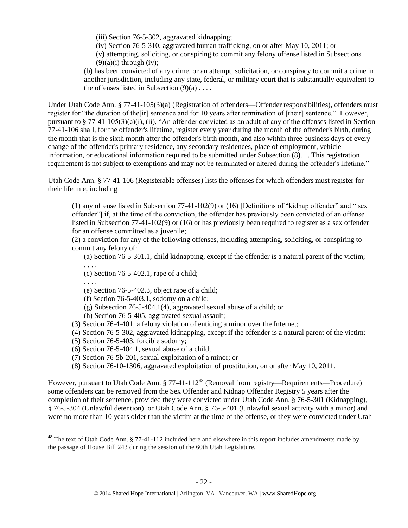(iii) Section 76-5-302, aggravated kidnapping;

(iv) Section 76-5-310, aggravated human trafficking, on or after May 10, 2011; or

(v) attempting, soliciting, or conspiring to commit any felony offense listed in Subsections  $(9)(a)(i)$  through (iv);

(b) has been convicted of any crime, or an attempt, solicitation, or conspiracy to commit a crime in another jurisdiction, including any state, federal, or military court that is substantially equivalent to the offenses listed in Subsection  $(9)(a)$ ...

Under Utah Code Ann. § 77-41-105(3)(a) (Registration of offenders—Offender responsibilities), offenders must register for "the duration of the[ir] sentence and for 10 years after termination of [their] sentence." However, pursuant to § 77-41-105(3)(c)(i), (ii), "An offender convicted as an adult of any of the offenses listed in Section 77-41-106 shall, for the offender's lifetime, register every year during the month of the offender's birth, during the month that is the sixth month after the offender's birth month, and also within three business days of every change of the offender's primary residence, any secondary residences, place of employment, vehicle information, or educational information required to be submitted under Subsection (8). . . This registration requirement is not subject to exemptions and may not be terminated or altered during the offender's lifetime."

Utah Code Ann. § 77-41-106 (Registerable offenses) lists the offenses for which offenders must register for their lifetime, including

(1) any offense listed in Subsection 77-41-102(9) or (16) [Definitions of "kidnap offender" and " sex offender"] if, at the time of the conviction, the offender has previously been convicted of an offense listed in Subsection 77-41-102(9) or (16) or has previously been required to register as a sex offender for an offense committed as a juvenile;

(2) a conviction for any of the following offenses, including attempting, soliciting, or conspiring to commit any felony of:

(a) Section 76-5-301.1, child kidnapping, except if the offender is a natural parent of the victim;

. . . . (c) Section 76-5-402.1, rape of a child;

. . . .

l

- (e) Section 76-5-402.3, object rape of a child;
- (f) Section 76-5-403.1, sodomy on a child;
- (g) Subsection 76-5-404.1(4), aggravated sexual abuse of a child; or
- (h) Section 76-5-405, aggravated sexual assault;
- (3) Section 76-4-401, a felony violation of enticing a minor over the Internet;
- (4) Section 76-5-302, aggravated kidnapping, except if the offender is a natural parent of the victim;
- (5) Section 76-5-403, forcible sodomy;
- (6) Section 76-5-404.1, sexual abuse of a child;
- (7) Section 76-5b-201, sexual exploitation of a minor; or
- <span id="page-21-0"></span>(8) Section 76-10-1306, aggravated exploitation of prostitution, on or after May 10, 2011.

However, pursuant to Utah Code Ann. § 77-41-112<sup>48</sup> (Removal from registry—Requirements—Procedure) some offenders can be removed from the Sex Offender and Kidnap Offender Registry 5 years after the completion of their sentence, provided they were convicted under Utah Code Ann. § 76-5-301 (Kidnapping), § 76-5-304 (Unlawful detention), or Utah Code Ann. § 76-5-401 (Unlawful sexual activity with a minor) and were no more than 10 years older than the victim at the time of the offense, or they were convicted under Utah

<sup>&</sup>lt;sup>48</sup> The text of Utah Code Ann.  $\S 77-41-112$  included here and elsewhere in this report includes amendments made by the passage of House Bill 243 during the session of the 60th Utah Legislature.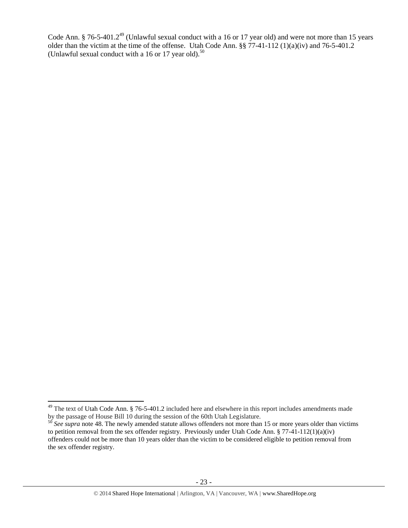Code Ann. § 76-5-401.2<sup>49</sup> (Unlawful sexual conduct with a 16 or 17 year old) and were not more than 15 years older than the victim at the time of the offense. Utah Code Ann. §§ 77-41-112 (1)(a)(iv) and 76-5-401.2 (Unlawful sexual conduct with a 16 or 17 year old). $50$ 

 $\overline{\phantom{a}}$ 

 $49$  The text of Utah Code Ann. § 76-5-401.2 included here and elsewhere in this report includes amendments made by the passage of House Bill 10 during the session of the 60th Utah Legislature.

<sup>&</sup>lt;sup>50</sup> See supra note [48.](#page-21-0) The newly amended statute allows offenders not more than 15 or more years older than victims to petition removal from the sex offender registry. Previously under Utah Code Ann. § 77-41-112(1)(a)(iv) offenders could not be more than 10 years older than the victim to be considered eligible to petition removal from the sex offender registry.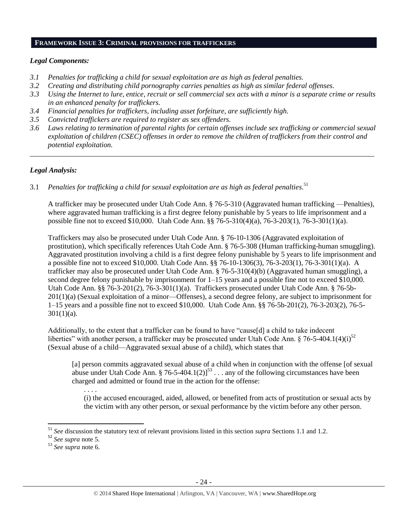#### **FRAMEWORK ISSUE 3: CRIMINAL PROVISIONS FOR TRAFFICKERS**

## *Legal Components:*

- *3.1 Penalties for trafficking a child for sexual exploitation are as high as federal penalties.*
- *3.2 Creating and distributing child pornography carries penalties as high as similar federal offenses.*
- *3.3 Using the Internet to lure, entice, recruit or sell commercial sex acts with a minor is a separate crime or results in an enhanced penalty for traffickers.*
- *3.4 Financial penalties for traffickers, including asset forfeiture, are sufficiently high.*
- *3.5 Convicted traffickers are required to register as sex offenders.*
- *3.6 Laws relating to termination of parental rights for certain offenses include sex trafficking or commercial sexual exploitation of children (CSEC) offenses in order to remove the children of traffickers from their control and potential exploitation.*

*\_\_\_\_\_\_\_\_\_\_\_\_\_\_\_\_\_\_\_\_\_\_\_\_\_\_\_\_\_\_\_\_\_\_\_\_\_\_\_\_\_\_\_\_\_\_\_\_\_\_\_\_\_\_\_\_\_\_\_\_\_\_\_\_\_\_\_\_\_\_\_\_\_\_\_\_\_\_\_\_\_\_\_\_\_\_\_\_\_\_\_\_\_\_*

# *Legal Analysis:*

3.1 *Penalties for trafficking a child for sexual exploitation are as high as federal penalties.* 51

A trafficker may be prosecuted under Utah Code Ann. § 76-5-310 (Aggravated human trafficking —Penalties), where aggravated human trafficking is a first degree felony punishable by 5 years to life imprisonment and a possible fine not to exceed \$10,000. Utah Code Ann. §§ 76-5-310(4)(a), 76-3-203(1), 76-3-301(1)(a).

Traffickers may also be prosecuted under Utah Code Ann. § 76-10-1306 (Aggravated exploitation of prostitution), which specifically references Utah Code Ann. § 76-5-308 (Human trafficking-human smuggling). Aggravated prostitution involving a child is a first degree felony punishable by 5 years to life imprisonment and a possible fine not to exceed \$10,000. Utah Code Ann. §§ 76-10-1306(3), 76-3-203(1), 76-3-301(1)(a). A trafficker may also be prosecuted under Utah Code Ann. § 76-5-310(4)(b) (Aggravated human smuggling), a second degree felony punishable by imprisonment for 1–15 years and a possible fine not to exceed \$10,000. Utah Code Ann. §§ 76-3-201(2), 76-3-301(1)(a). Traffickers prosecuted under Utah Code Ann. § 76-5b-201(1)(a) (Sexual exploitation of a minor—Offenses), a second degree felony, are subject to imprisonment for 1–15 years and a possible fine not to exceed \$10,000. Utah Code Ann. §§ 76-5b-201(2), 76-3-203(2), 76-5- 301(1)(a).

Additionally, to the extent that a trafficker can be found to have "cause[d] a child to take indecent liberties" with another person, a trafficker may be prosecuted under Utah Code Ann.  $\S 76-5-404.1(4)(i)^{52}$ (Sexual abuse of a child—Aggravated sexual abuse of a child), which states that

[a] person commits aggravated sexual abuse of a child when in conjunction with the offense [of sexual abuse under Utah Code Ann. § 76-5-404.1(2)]<sup>53</sup> . . . any of the following circumstances have been charged and admitted or found true in the action for the offense:

(i) the accused encouraged, aided, allowed, or benefited from acts of prostitution or sexual acts by the victim with any other person, or sexual performance by the victim before any other person.

 $\overline{\phantom{a}}$ 

. . . .

<sup>51</sup> *See* discussion the statutory text of relevant provisions listed in this section *supra* Sections 1.1 and 1.2.

<sup>52</sup> *See supra* note [5.](#page-3-0)

<sup>53</sup> *See supra* note [6.](#page-3-1)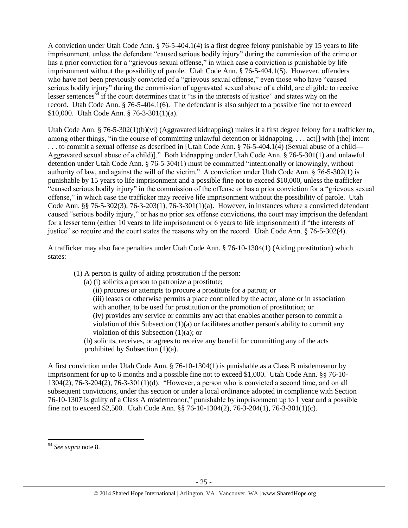A conviction under Utah Code Ann. § 76-5-404.1(4) is a first degree felony punishable by 15 years to life imprisonment, unless the defendant "caused serious bodily injury" during the commission of the crime or has a prior conviction for a "grievous sexual offense," in which case a conviction is punishable by life imprisonment without the possibility of parole. Utah Code Ann. § 76-5-404.1(5). However, offenders who have not been previously convicted of a "grievous sexual offense," even those who have "caused" serious bodily injury" during the commission of aggravated sexual abuse of a child, are eligible to receive lesser sentences<sup> $54$ </sup> if the court determines that it "is in the interests of justice" and states why on the record. Utah Code Ann. § 76-5-404.1(6). The defendant is also subject to a possible fine not to exceed \$10,000. Utah Code Ann. § 76-3-301(1)(a).

Utah Code Ann. § 76-5-302(1)(b)(vi) (Aggravated kidnapping) makes it a first degree felony for a trafficker to, among other things, "in the course of committing unlawful detention or kidnapping, . . . act[] with [the] intent . . . to commit a sexual offense as described in [Utah Code Ann. § 76-5-404.1(4) (Sexual abuse of a child— Aggravated sexual abuse of a child)]." Both kidnapping under Utah Code Ann. § 76-5-301(1) and unlawful detention under Utah Code Ann. § 76-5-304(1) must be committed "intentionally or knowingly, without authority of law, and against the will of the victim." A conviction under Utah Code Ann. § 76-5-302(1) is punishable by 15 years to life imprisonment and a possible fine not to exceed \$10,000, unless the trafficker "caused serious bodily injury" in the commission of the offense or has a prior conviction for a "grievous sexual offense," in which case the trafficker may receive life imprisonment without the possibility of parole. Utah Code Ann. §§ 76-5-302(3), 76-3-203(1), 76-3-301(1)(a). However, in instances where a convicted defendant caused "serious bodily injury," or has no prior sex offense convictions, the court may imprison the defendant for a lesser term (either 10 years to life imprisonment or 6 years to life imprisonment) if "the interests of justice" so require and the court states the reasons why on the record. Utah Code Ann. § 76-5-302(4).

A trafficker may also face penalties under Utah Code Ann. § 76-10-1304(1) (Aiding prostitution) which states:

(1) A person is guilty of aiding prostitution if the person:

(a) (i) solicits a person to patronize a prostitute;

(ii) procures or attempts to procure a prostitute for a patron; or

(iii) leases or otherwise permits a place controlled by the actor, alone or in association with another, to be used for prostitution or the promotion of prostitution; or

(iv) provides any service or commits any act that enables another person to commit a violation of this Subsection  $(1)(a)$  or facilitates another person's ability to commit any violation of this Subsection (1)(a); or

(b) solicits, receives, or agrees to receive any benefit for committing any of the acts prohibited by Subsection (1)(a).

A first conviction under Utah Code Ann. § 76-10-1304(1) is punishable as a Class B misdemeanor by imprisonment for up to 6 months and a possible fine not to exceed \$1,000. Utah Code Ann. §§ 76-10- 1304(2), 76-3-204(2), 76-3-301(1)(d). "However, a person who is convicted a second time, and on all subsequent convictions, under this section or under a local ordinance adopted in compliance with Section 76-10-1307 is guilty of a Class A misdemeanor," punishable by imprisonment up to 1 year and a possible fine not to exceed \$2,500. Utah Code Ann. §§ 76-10-1304(2), 76-3-204(1), 76-3-301(1)(c).

<sup>54</sup> *See supra* note [8.](#page-3-3)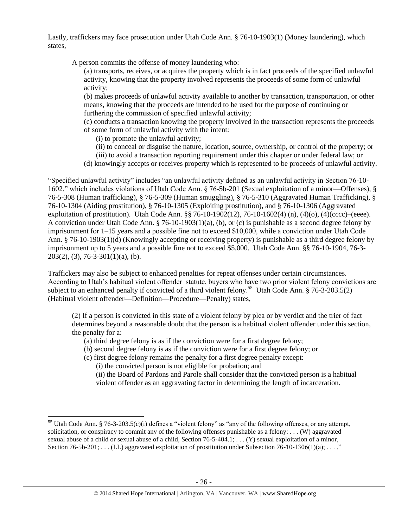Lastly, traffickers may face prosecution under Utah Code Ann. § 76-10-1903(1) (Money laundering), which states,

A person commits the offense of money laundering who:

(a) transports, receives, or acquires the property which is in fact proceeds of the specified unlawful activity, knowing that the property involved represents the proceeds of some form of unlawful activity;

(b) makes proceeds of unlawful activity available to another by transaction, transportation, or other means, knowing that the proceeds are intended to be used for the purpose of continuing or furthering the commission of specified unlawful activity;

(c) conducts a transaction knowing the property involved in the transaction represents the proceeds of some form of unlawful activity with the intent:

(i) to promote the unlawful activity;

- (ii) to conceal or disguise the nature, location, source, ownership, or control of the property; or
- (iii) to avoid a transaction reporting requirement under this chapter or under federal law; or
- (d) knowingly accepts or receives property which is represented to be proceeds of unlawful activity.

"Specified unlawful activity" includes "an unlawful activity defined as an unlawful activity in Section 76-10- 1602," which includes violations of Utah Code Ann. § 76-5b-201 (Sexual exploitation of a minor—Offenses), § 76-5-308 (Human trafficking), § 76-5-309 (Human smuggling), § 76-5-310 (Aggravated Human Trafficking), § 76-10-1304 (Aiding prostitution), § 76-10-1305 (Exploiting prostitution), and § 76-10-1306 (Aggravated exploitation of prostitution). Utah Code Ann. §§ 76-10-1902(12), 76-10-1602(4) (n), (4)(o), (4)(cccc)–(eeee). A conviction under Utah Code Ann. § 76-10-1903(1)(a), (b), or (c) is punishable as a second degree felony by imprisonment for 1–15 years and a possible fine not to exceed \$10,000, while a conviction under Utah Code Ann. § 76-10-1903(1)(d) (Knowingly accepting or receiving property) is punishable as a third degree felony by imprisonment up to 5 years and a possible fine not to exceed \$5,000. Utah Code Ann. §§ 76-10-1904, 76-3- 203(2), (3), 76-3-301(1)(a), (b).

Traffickers may also be subject to enhanced penalties for repeat offenses under certain circumstances. According to Utah's habitual violent offender statute, buyers who have two prior violent felony convictions are subject to an enhanced penalty if convicted of a third violent felony.<sup>55</sup> Utah Code Ann. § 76-3-203.5(2) (Habitual violent offender—Definition—Procedure—Penalty) states,

(2) If a person is convicted in this state of a violent felony by plea or by verdict and the trier of fact determines beyond a reasonable doubt that the person is a habitual violent offender under this section, the penalty for a:

- (a) third degree felony is as if the conviction were for a first degree felony;
- (b) second degree felony is as if the conviction were for a first degree felony; or
- (c) first degree felony remains the penalty for a first degree penalty except:

(i) the convicted person is not eligible for probation; and

 $\overline{\phantom{a}}$ 

(ii) the Board of Pardons and Parole shall consider that the convicted person is a habitual violent offender as an aggravating factor in determining the length of incarceration.

<sup>&</sup>lt;sup>55</sup> Utah Code Ann. § 76-3-203.5(c)(i) defines a "violent felony" as "any of the following offenses, or any attempt, solicitation, or conspiracy to commit any of the following offenses punishable as a felony:  $\dots$  (W) aggravated sexual abuse of a child or sexual abuse of a child, Section 76-5-404.1; . . . (Y) sexual exploitation of a minor, Section  $76-5b-201$ ; ... (LL) aggravated exploitation of prostitution under Subsection  $76-10-1306(1)(a)$ ; ..."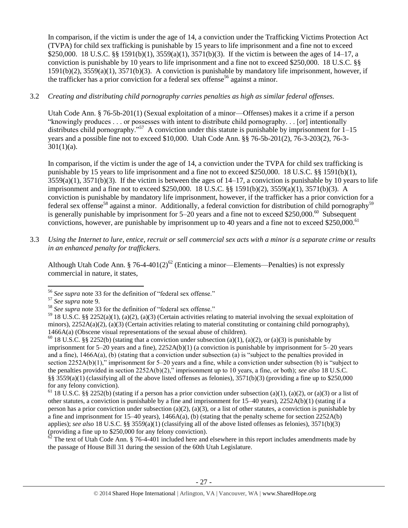In comparison, if the victim is under the age of 14, a conviction under the Trafficking Victims Protection Act (TVPA) for child sex trafficking is punishable by 15 years to life imprisonment and a fine not to exceed \$250,000. 18 U.S.C. §§ 1591(b)(1), 3559(a)(1), 3571(b)(3). If the victim is between the ages of 14–17, a conviction is punishable by 10 years to life imprisonment and a fine not to exceed \$250,000. 18 U.S.C. §§ 1591(b)(2), 3559(a)(1), 3571(b)(3). A conviction is punishable by mandatory life imprisonment, however, if the trafficker has a prior conviction for a federal sex offense<sup>56</sup> against a minor.

# 3.2 *Creating and distributing child pornography carries penalties as high as similar federal offenses.*

Utah Code Ann. § 76-5b-201(1) (Sexual exploitation of a minor—Offenses) makes it a crime if a person "knowingly produces . . . or possesses with intent to distribute child pornography. . . [or] intentionally distributes child pornography."<sup>57</sup> A conviction under this statute is punishable by imprisonment for 1–15 years and a possible fine not to exceed \$10,000. Utah Code Ann. §§ 76-5b-201(2), 76-3-203(2), 76-3-  $301(1)(a)$ .

In comparison, if the victim is under the age of 14, a conviction under the TVPA for child sex trafficking is punishable by 15 years to life imprisonment and a fine not to exceed \$250,000. 18 U.S.C. §§ 1591(b)(1),  $3559(a)(1)$ ,  $3571(b)(3)$ . If the victim is between the ages of  $14-17$ , a conviction is punishable by 10 years to life imprisonment and a fine not to exceed \$250,000. 18 U.S.C. §§ 1591(b)(2), 3559(a)(1), 3571(b)(3). A conviction is punishable by mandatory life imprisonment, however, if the trafficker has a prior conviction for a federal sex offense<sup>58</sup> against a minor. Additionally, a federal conviction for distribution of child pornography<sup>59</sup> is generally punishable by imprisonment for  $5-20$  years and a fine not to exceed \$250,000.<sup>60</sup> Subsequent convictions, however, are punishable by imprisonment up to 40 years and a fine not to exceed \$250,000.<sup>61</sup>

3.3 *Using the Internet to lure, entice, recruit or sell commercial sex acts with a minor is a separate crime or results in an enhanced penalty for traffickers.*

Although Utah Code Ann. § 76-4-401(2)<sup>62</sup> (Enticing a minor—Elements—Penalties) is not expressly commercial in nature, it states,

 $6<sup>2</sup>$  The text of Utah Code Ann. § 76-4-401 included here and elsewhere in this report includes amendments made by the passage of House Bill 31 during the session of the 60th Utah Legislature.

 $\overline{\phantom{a}}$ <sup>56</sup> *See supra* note [33](#page-16-0) for the definition of "federal sex offense."

<sup>57</sup> *See supra* note [9.](#page-4-0)

<sup>&</sup>lt;sup>58</sup> See supra note [33](#page-16-0) for the definition of "federal sex offense."

<sup>&</sup>lt;sup>59</sup> 18 U.S.C. §§ 2252(a)(1), (a)(2), (a)(3) (Certain activities relating to material involving the sexual exploitation of minors),  $2252A(a)(2)$ , (a)(3) (Certain activities relating to material constituting or containing child pornography), 1466A(a) (Obscene visual representations of the sexual abuse of children).

<sup>&</sup>lt;sup>60</sup> 18 U.S.C. §§ 2252(b) (stating that a conviction under subsection (a)(1), (a)(2), or (a)(3) is punishable by imprisonment for 5–20 years and a fine), 2252A(b)(1) (a conviction is punishable by imprisonment for 5–20 years and a fine), 1466A(a), (b) (stating that a conviction under subsection (a) is "subject to the penalties provided in section 2252A(b)(1)," imprisonment for 5–20 years and a fine, while a conviction under subsection (b) is "subject to the penalties provided in section 2252A(b)(2)," imprisonment up to 10 years, a fine, or both); *see also* 18 U.S.C. §§  $3559(a)(1)$  (classifying all of the above listed offenses as felonies),  $3571(b)(3)$  (providing a fine up to \$250,000 for any felony conviction).

<sup>&</sup>lt;sup>61</sup> 18 U.S.C. §§ 2252(b) (stating if a person has a prior conviction under subsection (a)(1), (a)(2), or (a)(3) or a list of other statutes, a conviction is punishable by a fine and imprisonment for 15–40 years), 2252A(b)(1) (stating if a person has a prior conviction under subsection (a)(2), (a)(3), or a list of other statutes, a conviction is punishable by a fine and imprisonment for  $15-40$  years),  $1466A(a)$ , (b) (stating that the penalty scheme for section  $2252A(b)$ applies); *see also* 18 U.S.C. §§ 3559(a)(1) (classifying all of the above listed offenses as felonies), 3571(b)(3) (providing a fine up to \$250,000 for any felony conviction).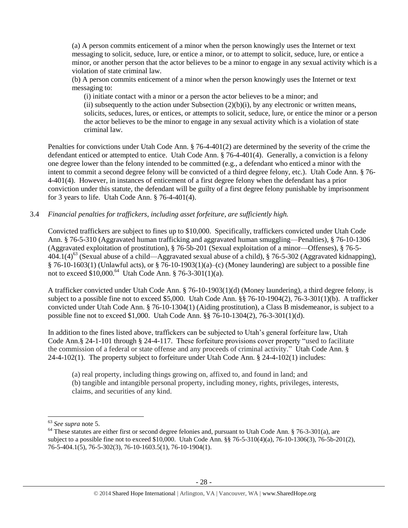(a) A person commits enticement of a minor when the person knowingly uses the Internet or text messaging to solicit, seduce, lure, or entice a minor, or to attempt to solicit, seduce, lure, or entice a minor, or another person that the actor believes to be a minor to engage in any sexual activity which is a violation of state criminal law.

(b) A person commits enticement of a minor when the person knowingly uses the Internet or text messaging to:

(i) initiate contact with a minor or a person the actor believes to be a minor; and (ii) subsequently to the action under Subsection  $(2)(b)(i)$ , by any electronic or written means, solicits, seduces, lures, or entices, or attempts to solicit, seduce, lure, or entice the minor or a person the actor believes to be the minor to engage in any sexual activity which is a violation of state criminal law.

Penalties for convictions under Utah Code Ann. § 76-4-401(2) are determined by the severity of the crime the defendant enticed or attempted to entice. Utah Code Ann. § 76-4-401(4). Generally, a conviction is a felony one degree lower than the felony intended to be committed (e.g., a defendant who enticed a minor with the intent to commit a second degree felony will be convicted of a third degree felony, etc.). Utah Code Ann. § 76- 4-401(4). However, in instances of enticement of a first degree felony when the defendant has a prior conviction under this statute, the defendant will be guilty of a first degree felony punishable by imprisonment for 3 years to life. Utah Code Ann. § 76-4-401(4).

3.4 *Financial penalties for traffickers, including asset forfeiture, are sufficiently high.*

Convicted traffickers are subject to fines up to \$10,000. Specifically, traffickers convicted under Utah Code Ann. § 76-5-310 (Aggravated human trafficking and aggravated human smuggling—Penalties), § 76-10-1306 (Aggravated exploitation of prostitution), § 76-5b-201 (Sexual exploitation of a minor—Offenses), § 76-5-  $404.1(4)^{63}$  (Sexual abuse of a child—Aggravated sexual abuse of a child), § 76-5-302 (Aggravated kidnapping), § 76-10-1603(1) (Unlawful acts), or § 76-10-1903(1)(a)–(c) (Money laundering) are subject to a possible fine not to exceed  $$10,000$ .<sup>64</sup> Utah Code Ann. § 76-3-301(1)(a).

A trafficker convicted under Utah Code Ann. § 76-10-1903(1)(d) (Money laundering), a third degree felony, is subject to a possible fine not to exceed \$5,000. Utah Code Ann. §§ 76-10-1904(2), 76-3-301(1)(b). A trafficker convicted under Utah Code Ann. § 76-10-1304(1) (Aiding prostitution), a Class B misdemeanor, is subject to a possible fine not to exceed \$1,000. Utah Code Ann. §§ 76-10-1304(2), 76-3-301(1)(d).

In addition to the fines listed above, traffickers can be subjected to Utah's general forfeiture law, Utah Code Ann.§ 24-1-101 through § 24-4-117. These forfeiture provisions cover property "used to facilitate the commission of a federal or state offense and any proceeds of criminal activity." Utah Code Ann. § 24-4-102(1). The property subject to forfeiture under Utah Code Ann. § 24-4-102(1) includes:

(a) real property, including things growing on, affixed to, and found in land; and (b) tangible and intangible personal property, including money, rights, privileges, interests, claims, and securities of any kind.

 $\overline{\phantom{a}}$ 

<sup>63</sup> *See supra* note [5.](#page-3-0)

 $64$  These statutes are either first or second degree felonies and, pursuant to Utah Code Ann. § 76-3-301(a), are subject to a possible fine not to exceed \$10,000. Utah Code Ann. §§ 76-5-310(4)(a), 76-10-1306(3), 76-5b-201(2), 76-5-404.1(5), 76-5-302(3), 76-10-1603.5(1), 76-10-1904(1).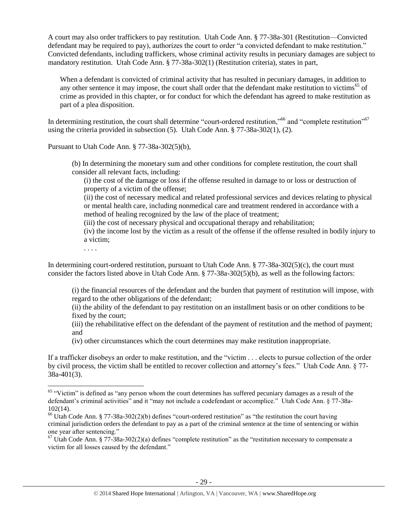A court may also order traffickers to pay restitution. Utah Code Ann. § 77-38a-301 (Restitution—Convicted defendant may be required to pay), authorizes the court to order "a convicted defendant to make restitution." Convicted defendants, including traffickers, whose criminal activity results in pecuniary damages are subject to mandatory restitution. Utah Code Ann. § 77-38a-302(1) (Restitution criteria), states in part,

When a defendant is convicted of criminal activity that has resulted in pecuniary damages, in addition to any other sentence it may impose, the court shall order that the defendant make restitution to victims<sup>65</sup> of crime as provided in this chapter, or for conduct for which the defendant has agreed to make restitution as part of a plea disposition.

In determining restitution, the court shall determine "court-ordered restitution,"<sup>66</sup> and "complete restitution"<sup>67</sup> using the criteria provided in subsection (5). Utah Code Ann. § 77-38a-302(1), (2).

Pursuant to Utah Code Ann. § 77-38a-302(5)(b),

(b) In determining the monetary sum and other conditions for complete restitution, the court shall consider all relevant facts, including:

(i) the cost of the damage or loss if the offense resulted in damage to or loss or destruction of property of a victim of the offense;

(ii) the cost of necessary medical and related professional services and devices relating to physical or mental health care, including nonmedical care and treatment rendered in accordance with a method of healing recognized by the law of the place of treatment;

(iii) the cost of necessary physical and occupational therapy and rehabilitation;

(iv) the income lost by the victim as a result of the offense if the offense resulted in bodily injury to a victim;

. . . .

In determining court-ordered restitution, pursuant to Utah Code Ann. § 77-38a-302(5)(c), the court must consider the factors listed above in Utah Code Ann. § 77-38a-302(5)(b), as well as the following factors:

(i) the financial resources of the defendant and the burden that payment of restitution will impose, with regard to the other obligations of the defendant;

(ii) the ability of the defendant to pay restitution on an installment basis or on other conditions to be fixed by the court;

(iii) the rehabilitative effect on the defendant of the payment of restitution and the method of payment; and

(iv) other circumstances which the court determines may make restitution inappropriate.

If a trafficker disobeys an order to make restitution, and the "victim . . . elects to pursue collection of the order by civil process, the victim shall be entitled to recover collection and attorney's fees." Utah Code Ann. § 77- 38a-401(3).

l  $65$  "Victim" is defined as "any person whom the court determines has suffered pecuniary damages as a result of the defendant's criminal activities" and it "may not include a codefendant or accomplice." Utah Code Ann. § 77-38a-102(14).

<sup>&</sup>lt;sup>66</sup> Utah Code Ann. § 77-38a-302(2)(b) defines "court-ordered restitution" as "the restitution the court having criminal jurisdiction orders the defendant to pay as a part of the criminal sentence at the time of sentencing or within one year after sentencing."

 $67$  Utah Code Ann. § 77-38a-302(2)(a) defines "complete restitution" as the "restitution necessary to compensate a victim for all losses caused by the defendant."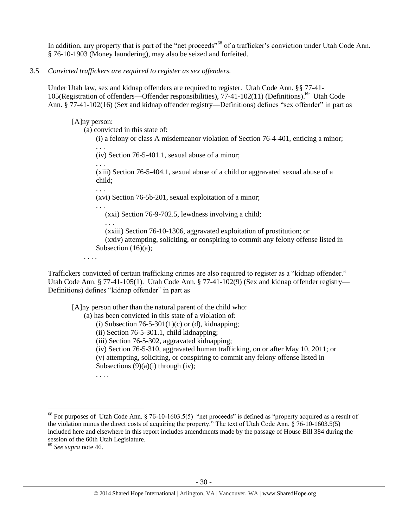In addition, any property that is part of the "net proceeds"<sup>68</sup> of a trafficker's conviction under Utah Code Ann. § 76-10-1903 (Money laundering), may also be seized and forfeited.

#### 3.5 *Convicted traffickers are required to register as sex offenders.*

Under Utah law, sex and kidnap offenders are required to register. Utah Code Ann. §§ 77-41- 105(Registration of offenders—Offender responsibilities), 77-41-102(11) (Definitions). 69 Utah Code Ann. § 77-41-102(16) (Sex and kidnap offender registry—Definitions) defines "sex offender" in part as

[A]ny person:

. . .

. . .

(a) convicted in this state of:

(i) a felony or class A misdemeanor violation of Section 76-4-401, enticing a minor; . . .

(iv) Section 76-5-401.1, sexual abuse of a minor;

(xiii) Section 76-5-404.1, sexual abuse of a child or aggravated sexual abuse of a child;

(xvi) Section 76-5b-201, sexual exploitation of a minor;

. . . (xxi) Section 76-9-702.5, lewdness involving a child;

. . . (xxiii) Section 76-10-1306, aggravated exploitation of prostitution; or

(xxiv) attempting, soliciting, or conspiring to commit any felony offense listed in Subsection  $(16)(a)$ ;

. . . .

Traffickers convicted of certain trafficking crimes are also required to register as a "kidnap offender." Utah Code Ann. § 77-41-105(1). Utah Code Ann. § 77-41-102(9) (Sex and kidnap offender registry— Definitions) defines "kidnap offender" in part as

[A]ny person other than the natural parent of the child who:

(a) has been convicted in this state of a violation of:

(i) Subsection  $76-5-301(1)(c)$  or (d), kidnapping;

(ii) Section 76-5-301.1, child kidnapping;

(iii) Section 76-5-302, aggravated kidnapping;

(iv) Section 76-5-310, aggravated human trafficking, on or after May 10, 2011; or

(v) attempting, soliciting, or conspiring to commit any felony offense listed in Subsections  $(9)(a)(i)$  through (iv);

. . . .

 $\overline{\phantom{a}}$ 

 $^{68}$  For purposes of Utah Code Ann. § 76-10-1603.5(5) "net proceeds" is defined as "property acquired as a result of the violation minus the direct costs of acquiring the property." The text of Utah Code Ann. § 76-10-1603.5(5) included here and elsewhere in this report includes amendments made by the passage of House Bill 384 during the session of the 60th Utah Legislature.

<sup>69</sup> *See supra* note [46.](#page-20-0)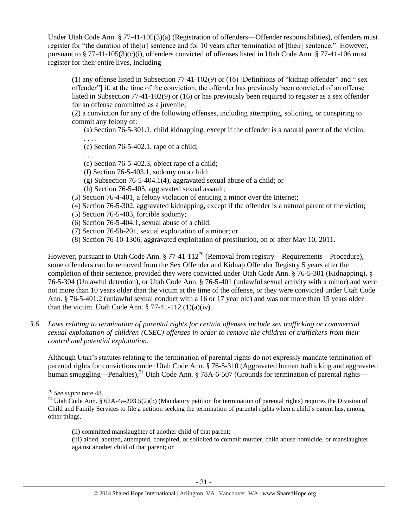Under Utah Code Ann. § 77-41-105(3)(a) (Registration of offenders—Offender responsibilities), offenders must register for "the duration of the[ir] sentence and for 10 years after termination of [their] sentence." However, pursuant to § 77-41-105(3)(c)(i), offenders convicted of offenses listed in Utah Code Ann. § 77-41-106 must register for their entire lives, including

(1) any offense listed in Subsection 77-41-102(9) or (16) [Definitions of "kidnap offender" and " sex offender"] if, at the time of the conviction, the offender has previously been convicted of an offense listed in Subsection 77-41-102(9) or (16) or has previously been required to register as a sex offender for an offense committed as a juvenile;

(2) a conviction for any of the following offenses, including attempting, soliciting, or conspiring to commit any felony of:

(a) Section 76-5-301.1, child kidnapping, except if the offender is a natural parent of the victim; . . . .

(c) Section 76-5-402.1, rape of a child;

. . . .

- (e) Section 76-5-402.3, object rape of a child;
- (f) Section 76-5-403.1, sodomy on a child;
- (g) Subsection 76-5-404.1(4), aggravated sexual abuse of a child; or
- (h) Section 76-5-405, aggravated sexual assault;
- (3) Section 76-4-401, a felony violation of enticing a minor over the Internet;
- (4) Section 76-5-302, aggravated kidnapping, except if the offender is a natural parent of the victim;
- (5) Section 76-5-403, forcible sodomy;
- (6) Section 76-5-404.1, sexual abuse of a child;
- (7) Section 76-5b-201, sexual exploitation of a minor; or
- (8) Section 76-10-1306, aggravated exploitation of prostitution, on or after May 10, 2011.

However, pursuant to Utah Code Ann.  $\S 77-41-112^{70}$  (Removal from registry—Requirements—Procedure), some offenders can be removed from the Sex Offender and Kidnap Offender Registry 5 years after the completion of their sentence, provided they were convicted under Utah Code Ann. § 76-5-301 (Kidnapping), § 76-5-304 (Unlawful detention), or Utah Code Ann. § 76-5-401 (unlawful sexual activity with a minor) and were not more than 10 years older than the victim at the time of the offense, or they were convicted under Utah Code Ann. § 76-5-401.2 (unlawful sexual conduct with a 16 or 17 year old) and was not more than 15 years older than the victim. Utah Code Ann.  $\S 77-41-112(1)(a)(iv)$ .

*3.6 Laws relating to termination of parental rights for certain offenses include sex trafficking or commercial sexual exploitation of children (CSEC) offenses in order to remove the children of traffickers from their control and potential exploitation.* 

Although Utah's statutes relating to the termination of parental rights do not expressly mandate termination of parental rights for convictions under Utah Code Ann. § 76-5-310 (Aggravated human trafficking and aggravated human smuggling—Penalties),<sup>71</sup> Utah Code Ann. § 78A-6-507 (Grounds for termination of parental rights—

l <sup>70</sup> *See supra* note [48.](#page-21-0)

<sup>&</sup>lt;sup>71</sup> Utah Code Ann. § 62A-4a-203.5(2)(b) (Mandatory petition for termination of parental rights) requires the Division of Child and Family Services to file a petition seeking the termination of parental rights when a child's parent has, among other things,

<sup>(</sup>ii) committed manslaughter of another child of that parent;

<sup>(</sup>iii) aided, abetted, attempted, conspired, or solicited to commit murder, child abuse homicide, or manslaughter against another child of that parent; or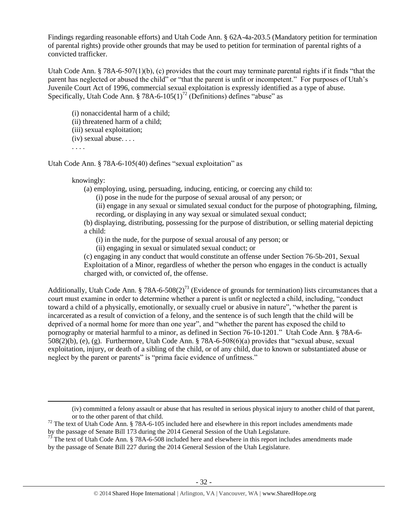Findings regarding reasonable efforts) and Utah Code Ann. § 62A-4a-203.5 (Mandatory petition for termination of parental rights) provide other grounds that may be used to petition for termination of parental rights of a convicted trafficker.

Utah Code Ann. § 78A-6-507(1)(b), (c) provides that the court may terminate parental rights if it finds "that the parent has neglected or abused the child" or "that the parent is unfit or incompetent." For purposes of Utah's Juvenile Court Act of 1996, commercial sexual exploitation is expressly identified as a type of abuse. Specifically, Utah Code Ann. § 78A-6-105(1)<sup>72</sup> (Definitions) defines "abuse" as

(i) nonaccidental harm of a child;

(ii) threatened harm of a child;

(iii) sexual exploitation;

(iv) sexual abuse. . . .

. . . .

 $\overline{\phantom{a}}$ 

Utah Code Ann. § 78A-6-105(40) defines "sexual exploitation" as

### knowingly:

(a) employing, using, persuading, inducing, enticing, or coercing any child to:

(i) pose in the nude for the purpose of sexual arousal of any person; or

(ii) engage in any sexual or simulated sexual conduct for the purpose of photographing, filming, recording, or displaying in any way sexual or simulated sexual conduct;

(b) displaying, distributing, possessing for the purpose of distribution, or selling material depicting a child:

(i) in the nude, for the purpose of sexual arousal of any person; or

(ii) engaging in sexual or simulated sexual conduct; or

(c) engaging in any conduct that would constitute an offense under Section 76-5b-201, Sexual Exploitation of a Minor, regardless of whether the person who engages in the conduct is actually charged with, or convicted of, the offense.

Additionally, Utah Code Ann. § 78A-6-508(2)<sup>73</sup> (Evidence of grounds for termination) lists circumstances that a court must examine in order to determine whether a parent is unfit or neglected a child, including, "conduct toward a child of a physically, emotionally, or sexually cruel or abusive in nature", "whether the parent is incarcerated as a result of conviction of a felony, and the sentence is of such length that the child will be deprived of a normal home for more than one year", and "whether the parent has exposed the child to pornography or material harmful to a minor, as defined in Section 76-10-1201." Utah Code Ann. § 78A-6- 508(2)(b), (e), (g). Furthermore, Utah Code Ann. § 78A-6-508(6)(a) provides that "sexual abuse, sexual exploitation, injury, or death of a sibling of the child, or of any child, due to known or substantiated abuse or neglect by the parent or parents" is "prima facie evidence of unfitness."

<sup>(</sup>iv) committed a felony assault or abuse that has resulted in serious physical injury to another child of that parent, or to the other parent of that child.

<sup>&</sup>lt;sup>72</sup> The text of Utah Code Ann. § 78A-6-105 included here and elsewhere in this report includes amendments made by the passage of Senate Bill 173 during the 2014 General Session of the Utah Legislature.

 $73$  The text of Utah Code Ann. § 78A-6-508 included here and elsewhere in this report includes amendments made by the passage of Senate Bill 227 during the 2014 General Session of the Utah Legislature.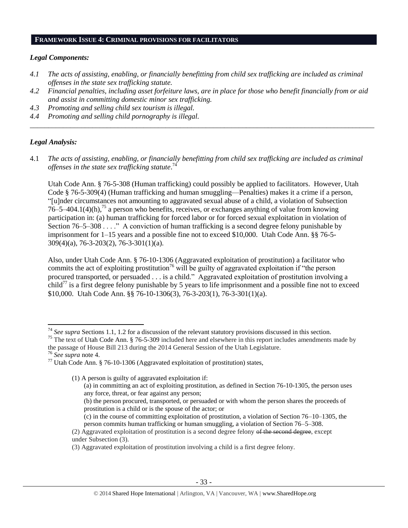#### **FRAMEWORK ISSUE 4: CRIMINAL PROVISIONS FOR FACILITATORS**

#### *Legal Components:*

- *4.1 The acts of assisting, enabling, or financially benefitting from child sex trafficking are included as criminal offenses in the state sex trafficking statute.*
- *4.2 Financial penalties, including asset forfeiture laws, are in place for those who benefit financially from or aid and assist in committing domestic minor sex trafficking.*

*\_\_\_\_\_\_\_\_\_\_\_\_\_\_\_\_\_\_\_\_\_\_\_\_\_\_\_\_\_\_\_\_\_\_\_\_\_\_\_\_\_\_\_\_\_\_\_\_\_\_\_\_\_\_\_\_\_\_\_\_\_\_\_\_\_\_\_\_\_\_\_\_\_\_\_\_\_\_\_\_\_\_\_\_\_\_\_\_\_\_\_\_\_\_*

- *4.3 Promoting and selling child sex tourism is illegal.*
- *4.4 Promoting and selling child pornography is illegal.*

#### *Legal Analysis:*

4.1 *The acts of assisting, enabling, or financially benefitting from child sex trafficking are included as criminal offenses in the state sex trafficking statute*. 74

Utah Code Ann. § 76-5-308 (Human trafficking) could possibly be applied to facilitators. However, Utah Code § 76-5-309(4) (Human trafficking and human smuggling—Penalties) makes it a crime if a person, "[u]nder circumstances not amounting to aggravated sexual abuse of a child, a violation of Subsection  $76-5-404.1(4)$ (h),<sup>75</sup> a person who benefits, receives, or exchanges anything of value from knowing participation in: (a) human trafficking for forced labor or for forced sexual exploitation in violation of Section 76–5–308 . . . ." A conviction of human trafficking is a second degree felony punishable by imprisonment for 1–15 years and a possible fine not to exceed \$10,000. Utah Code Ann. §§ 76-5- 309(4)(a), 76-3-203(2), 76-3-301(1)(a).

Also, under Utah Code Ann. § 76-10-1306 (Aggravated exploitation of prostitution) a facilitator who commits the act of exploiting prostitution<sup>76</sup> will be guilty of aggravated exploitation if "the person" procured transported, or persuaded . . . is a child." Aggravated exploitation of prostitution involving a child<sup>77</sup> is a first degree felony punishable by 5 years to life imprisonment and a possible fine not to exceed \$10,000. Utah Code Ann. §§ 76-10-1306(3), 76-3-203(1), 76-3-301(1)(a).

<sup>76</sup> *See supra* note [4.](#page-2-1)

 $\overline{\phantom{a}}$ 

- (b) the person procured, transported, or persuaded or with whom the person shares the proceeds of prostitution is a child or is the spouse of the actor; or
- (c) in the course of committing exploitation of prostitution, a violation of Section 76–10–1305, the person commits human trafficking or human smuggling, a violation of Section 76–5–308.

<sup>74</sup> *See supra* Sections 1.1, 1.2 for a discussion of the relevant statutory provisions discussed in this section.

<sup>&</sup>lt;sup>75</sup> The text of Utah Code Ann.  $\frac{876-5-309}{2}$  included here and elsewhere in this report includes amendments made by the passage of House Bill 213 during the 2014 General Session of the Utah Legislature.

<sup>&</sup>lt;sup>77</sup> Utah Code Ann. § 76-10-1306 (Aggravated exploitation of prostitution) states,

<sup>(1)</sup> A person is guilty of aggravated exploitation if:

<sup>(</sup>a) in committing an act of exploiting prostitution, as defined in Section 76-10-1305, the person uses any force, threat, or fear against any person;

<sup>(2)</sup> Aggravated exploitation of prostitution is a second degree felony of the second degree, except under Subsection (3).

<sup>(3)</sup> Aggravated exploitation of prostitution involving a child is a first degree felony.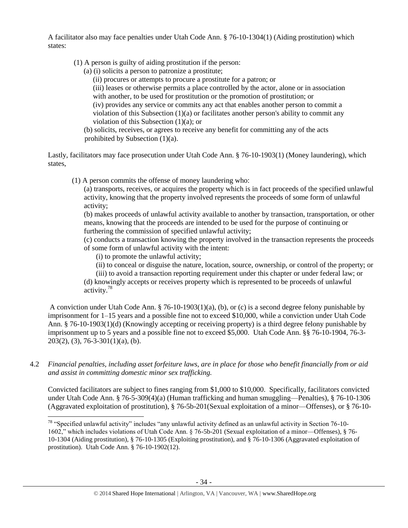A facilitator also may face penalties under Utah Code Ann. § 76-10-1304(1) (Aiding prostitution) which states:

- (1) A person is guilty of aiding prostitution if the person:
	- (a) (i) solicits a person to patronize a prostitute;
		- (ii) procures or attempts to procure a prostitute for a patron; or

(iii) leases or otherwise permits a place controlled by the actor, alone or in association with another, to be used for prostitution or the promotion of prostitution; or

(iv) provides any service or commits any act that enables another person to commit a violation of this Subsection  $(1)(a)$  or facilitates another person's ability to commit any violation of this Subsection (1)(a); or

(b) solicits, receives, or agrees to receive any benefit for committing any of the acts prohibited by Subsection (1)(a).

Lastly, facilitators may face prosecution under Utah Code Ann. § 76-10-1903(1) (Money laundering), which states,

(1) A person commits the offense of money laundering who:

(a) transports, receives, or acquires the property which is in fact proceeds of the specified unlawful activity, knowing that the property involved represents the proceeds of some form of unlawful activity;

(b) makes proceeds of unlawful activity available to another by transaction, transportation, or other means, knowing that the proceeds are intended to be used for the purpose of continuing or furthering the commission of specified unlawful activity;

(c) conducts a transaction knowing the property involved in the transaction represents the proceeds of some form of unlawful activity with the intent:

(i) to promote the unlawful activity;

(ii) to conceal or disguise the nature, location, source, ownership, or control of the property; or

(iii) to avoid a transaction reporting requirement under this chapter or under federal law; or (d) knowingly accepts or receives property which is represented to be proceeds of unlawful activity.<sup>78</sup>

A conviction under Utah Code Ann. § 76-10-1903(1)(a), (b), or (c) is a second degree felony punishable by imprisonment for 1–15 years and a possible fine not to exceed \$10,000, while a conviction under Utah Code Ann. § 76-10-1903(1)(d) (Knowingly accepting or receiving property) is a third degree felony punishable by imprisonment up to 5 years and a possible fine not to exceed \$5,000. Utah Code Ann. §§ 76-10-1904, 76-3-  $203(2)$ , (3), 76-3-301(1)(a), (b).

4.2 *Financial penalties, including asset forfeiture laws, are in place for those who benefit financially from or aid and assist in committing domestic minor sex trafficking.*

Convicted facilitators are subject to fines ranging from \$1,000 to \$10,000. Specifically, facilitators convicted under Utah Code Ann. § 76-5-309(4)(a) (Human trafficking and human smuggling—Penalties), § 76-10-1306 (Aggravated exploitation of prostitution), § 76-5b-201(Sexual exploitation of a minor—Offenses), or § 76-10-

 $\overline{\phantom{a}}$ <sup>78</sup> "Specified unlawful activity" includes "any unlawful activity defined as an unlawful activity in Section 76-10-1602," which includes violations of Utah Code Ann. § 76-5b-201 (Sexual exploitation of a minor—Offenses), § 76- 10-1304 (Aiding prostitution), § 76-10-1305 (Exploiting prostitution), and § 76-10-1306 (Aggravated exploitation of prostitution). Utah Code Ann. § 76-10-1902(12).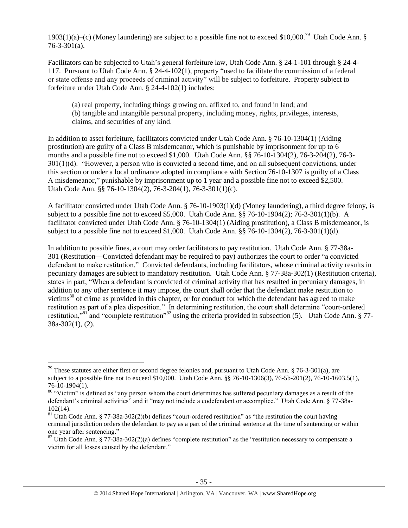1903(1)(a)–(c) (Money laundering) are subject to a possible fine not to exceed \$10,000.<sup>79</sup> Utah Code Ann. §  $76 - 3 - 301(a)$ .

Facilitators can be subjected to Utah's general forfeiture law, Utah Code Ann. § 24-1-101 through § 24-4- 117. Pursuant to Utah Code Ann. § 24-4-102(1), property "used to facilitate the commission of a federal or state offense and any proceeds of criminal activity" will be subject to forfeiture. Property subject to forfeiture under Utah Code Ann. § 24-4-102(1) includes:

(a) real property, including things growing on, affixed to, and found in land; and (b) tangible and intangible personal property, including money, rights, privileges, interests, claims, and securities of any kind.

In addition to asset forfeiture, facilitators convicted under Utah Code Ann. § 76-10-1304(1) (Aiding prostitution) are guilty of a Class B misdemeanor, which is punishable by imprisonment for up to 6 months and a possible fine not to exceed \$1,000. Utah Code Ann. §§ 76-10-1304(2), 76-3-204(2), 76-3- 301(1)(d). "However, a person who is convicted a second time, and on all subsequent convictions, under this section or under a local ordinance adopted in compliance with Section 76-10-1307 is guilty of a Class A misdemeanor," punishable by imprisonment up to 1 year and a possible fine not to exceed \$2,500. Utah Code Ann. §§ 76-10-1304(2), 76-3-204(1), 76-3-301(1)(c).

A facilitator convicted under Utah Code Ann. § 76-10-1903(1)(d) (Money laundering), a third degree felony, is subject to a possible fine not to exceed \$5,000. Utah Code Ann. §§ 76-10-1904(2); 76-3-301(1)(b). A facilitator convicted under Utah Code Ann. § 76-10-1304(1) (Aiding prostitution), a Class B misdemeanor, is subject to a possible fine not to exceed \$1,000. Utah Code Ann. §§ 76-10-1304(2), 76-3-301(1)(d).

In addition to possible fines, a court may order facilitators to pay restitution. Utah Code Ann. § 77-38a-301 (Restitution—Convicted defendant may be required to pay) authorizes the court to order "a convicted defendant to make restitution." Convicted defendants, including facilitators, whose criminal activity results in pecuniary damages are subject to mandatory restitution. Utah Code Ann. § 77-38a-302(1) (Restitution criteria), states in part, "When a defendant is convicted of criminal activity that has resulted in pecuniary damages, in addition to any other sentence it may impose, the court shall order that the defendant make restitution to victims<sup>80</sup> of crime as provided in this chapter, or for conduct for which the defendant has agreed to make restitution as part of a plea disposition." In determining restitution, the court shall determine "court-ordered restitution,"<sup>81</sup> and "complete restitution"<sup>82</sup> using the criteria provided in subsection (5). Utah Code Ann. § 77-38a-302(1), (2).

 $\overline{\phantom{a}}$ <sup>79</sup> These statutes are either first or second degree felonies and, pursuant to Utah Code Ann. § 76-3-301(a), are subject to a possible fine not to exceed \$10,000. Utah Code Ann. §§ 76-10-1306(3), 76-5b-201(2), 76-10-1603.5(1), 76-10-1904(1).

 $80$  "Victim" is defined as "any person whom the court determines has suffered pecuniary damages as a result of the defendant's criminal activities" and it "may not include a codefendant or accomplice." Utah Code Ann. § 77-38a-102(14).

<sup>&</sup>lt;sup>81</sup> Utah Code Ann. § 77-38a-302(2)(b) defines "court-ordered restitution" as "the restitution the court having criminal jurisdiction orders the defendant to pay as a part of the criminal sentence at the time of sentencing or within one year after sentencing."

 $82$  Utah Code Ann. § 77-38a-302(2)(a) defines "complete restitution" as the "restitution necessary to compensate a victim for all losses caused by the defendant."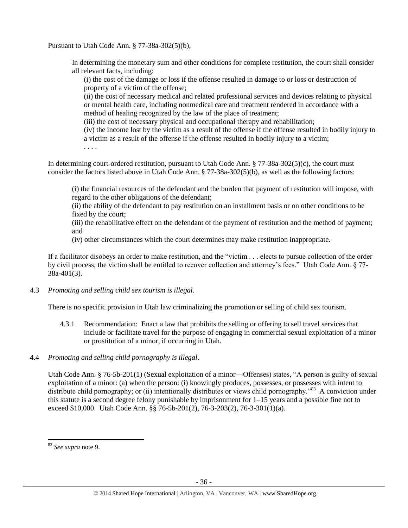Pursuant to Utah Code Ann. § 77-38a-302(5)(b),

In determining the monetary sum and other conditions for complete restitution, the court shall consider all relevant facts, including:

(i) the cost of the damage or loss if the offense resulted in damage to or loss or destruction of property of a victim of the offense;

(ii) the cost of necessary medical and related professional services and devices relating to physical or mental health care, including nonmedical care and treatment rendered in accordance with a method of healing recognized by the law of the place of treatment;

(iii) the cost of necessary physical and occupational therapy and rehabilitation;

(iv) the income lost by the victim as a result of the offense if the offense resulted in bodily injury to a victim as a result of the offense if the offense resulted in bodily injury to a victim;

. . . .

In determining court-ordered restitution, pursuant to Utah Code Ann. § 77-38a-302(5)(c), the court must consider the factors listed above in Utah Code Ann. § 77-38a-302(5)(b), as well as the following factors:

(i) the financial resources of the defendant and the burden that payment of restitution will impose, with regard to the other obligations of the defendant;

(ii) the ability of the defendant to pay restitution on an installment basis or on other conditions to be fixed by the court;

(iii) the rehabilitative effect on the defendant of the payment of restitution and the method of payment; and

(iv) other circumstances which the court determines may make restitution inappropriate.

If a facilitator disobeys an order to make restitution, and the "victim . . . elects to pursue collection of the order by civil process, the victim shall be entitled to recover collection and attorney's fees." Utah Code Ann. § 77- 38a-401(3).

# 4.3 *Promoting and selling child sex tourism is illegal*.

There is no specific provision in Utah law criminalizing the promotion or selling of child sex tourism.

4.3.1 Recommendation: Enact a law that prohibits the selling or offering to sell travel services that include or facilitate travel for the purpose of engaging in commercial sexual exploitation of a minor or prostitution of a minor, if occurring in Utah.

# 4.4 *Promoting and selling child pornography is illegal*.

Utah Code Ann. § 76-5b-201(1) (Sexual exploitation of a minor—Offenses) states, "A person is guilty of sexual exploitation of a minor: (a) when the person: (i) knowingly produces, possesses, or possesses with intent to distribute child pornography; or (ii) intentionally distributes or views child pornography."<sup>83</sup> A conviction under this statute is a second degree felony punishable by imprisonment for 1–15 years and a possible fine not to exceed \$10,000. Utah Code Ann.  $\S$ § 76-5b-201(2), 76-3-203(2), 76-3-301(1)(a).

<sup>83</sup> *See supra* note [9.](#page-4-0)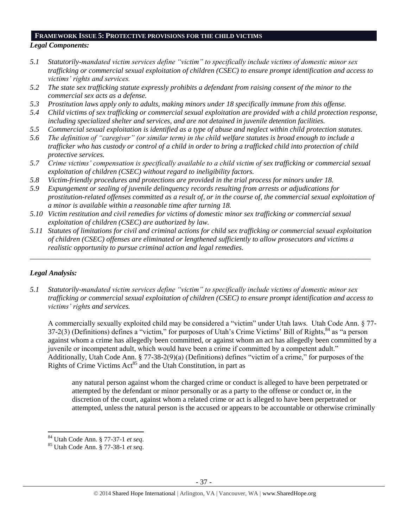#### *Legal Components:*  **FRAMEWORK ISSUE 5: PROTECTIVE PROVISIONS FOR THE CHILD VICTIMS**

- *5.1 Statutorily-mandated victim services define "victim" to specifically include victims of domestic minor sex trafficking or commercial sexual exploitation of children (CSEC) to ensure prompt identification and access to victims' rights and services.*
- *5.2 The state sex trafficking statute expressly prohibits a defendant from raising consent of the minor to the commercial sex acts as a defense.*
- *5.3 Prostitution laws apply only to adults, making minors under 18 specifically immune from this offense.*
- *5.4 Child victims of sex trafficking or commercial sexual exploitation are provided with a child protection response, including specialized shelter and services, and are not detained in juvenile detention facilities.*
- *5.5 Commercial sexual exploitation is identified as a type of abuse and neglect within child protection statutes.*
- *5.6 The definition of "caregiver" (or similar term) in the child welfare statutes is broad enough to include a trafficker who has custody or control of a child in order to bring a trafficked child into protection of child protective services.*
- *5.7 Crime victims' compensation is specifically available to a child victim of sex trafficking or commercial sexual exploitation of children (CSEC) without regard to ineligibility factors.*
- *5.8 Victim-friendly procedures and protections are provided in the trial process for minors under 18.*
- *5.9 Expungement or sealing of juvenile delinquency records resulting from arrests or adjudications for prostitution-related offenses committed as a result of, or in the course of, the commercial sexual exploitation of a minor is available within a reasonable time after turning 18.*
- *5.10 Victim restitution and civil remedies for victims of domestic minor sex trafficking or commercial sexual exploitation of children (CSEC) are authorized by law.*
- *5.11 Statutes of limitations for civil and criminal actions for child sex trafficking or commercial sexual exploitation of children (CSEC) offenses are eliminated or lengthened sufficiently to allow prosecutors and victims a realistic opportunity to pursue criminal action and legal remedies.*

*\_\_\_\_\_\_\_\_\_\_\_\_\_\_\_\_\_\_\_\_\_\_\_\_\_\_\_\_\_\_\_\_\_\_\_\_\_\_\_\_\_\_\_\_\_\_\_\_\_\_\_\_\_\_\_\_\_\_\_\_\_\_\_\_\_\_\_\_\_\_\_\_\_\_\_\_\_\_\_\_\_\_\_\_\_\_\_\_\_\_\_\_\_*

# *Legal Analysis:*

l

*5.1 Statutorily-mandated victim services define "victim" to specifically include victims of domestic minor sex trafficking or commercial sexual exploitation of children (CSEC) to ensure prompt identification and access to victims' rights and services.*

A commercially sexually exploited child may be considered a "victim" under Utah laws. Utah Code Ann. § 77- 37-2(3) (Definitions) defines a "victim," for purposes of Utah's Crime Victims' Bill of Rights, <sup>84</sup> as "a person against whom a crime has allegedly been committed, or against whom an act has allegedly been committed by a juvenile or incompetent adult, which would have been a crime if committed by a competent adult." Additionally, Utah Code Ann. § 77-38-2(9)(a) (Definitions) defines "victim of a crime," for purposes of the Rights of Crime Victims  $Act<sup>85</sup>$  and the Utah Constitution, in part as

any natural person against whom the charged crime or conduct is alleged to have been perpetrated or attempted by the defendant or minor personally or as a party to the offense or conduct or, in the discretion of the court, against whom a related crime or act is alleged to have been perpetrated or attempted, unless the natural person is the accused or appears to be accountable or otherwise criminally

<sup>84</sup> Utah Code Ann. § 77-37-1 *et seq*.

<sup>85</sup> Utah Code Ann. § 77-38-1 *et seq*.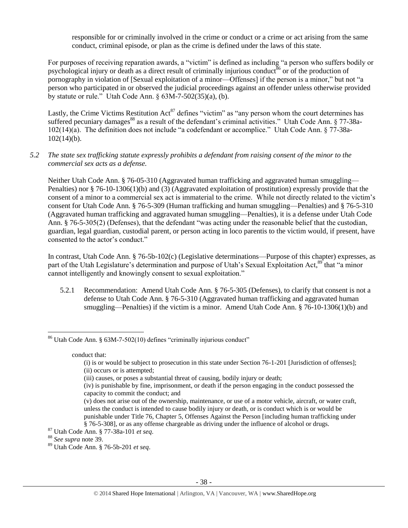<span id="page-37-0"></span>responsible for or criminally involved in the crime or conduct or a crime or act arising from the same conduct, criminal episode, or plan as the crime is defined under the laws of this state.

For purposes of receiving reparation awards, a "victim" is defined as including "a person who suffers bodily or psychological injury or death as a direct result of criminally injurious conduct<sup>86</sup> or of the production of pornography in violation of [Sexual exploitation of a minor—Offenses] if the person is a minor," but not "a person who participated in or observed the judicial proceedings against an offender unless otherwise provided by statute or rule." Utah Code Ann.  $\frac{63M}{7}$ -502(35)(a), (b).

<span id="page-37-1"></span>Lastly, the Crime Victims Restitution Act<sup>87</sup> defines "victim" as "any person whom the court determines has suffered pecuniary damages<sup>88</sup> as a result of the defendant's criminal activities." Utah Code Ann.  $\S 77-38a-$ 102(14)(a). The definition does not include "a codefendant or accomplice." Utah Code Ann. § 77-38a- $102(14)(b)$ .

## *5.2 The state sex trafficking statute expressly prohibits a defendant from raising consent of the minor to the commercial sex acts as a defense.*

Neither Utah Code Ann. § 76-05-310 (Aggravated human trafficking and aggravated human smuggling— Penalties) nor § 76-10-1306(1)(b) and (3) (Aggravated exploitation of prostitution) expressly provide that the consent of a minor to a commercial sex act is immaterial to the crime. While not directly related to the victim's consent for Utah Code Ann. § 76-5-309 (Human trafficking and human smuggling—Penalties) and § 76-5-310 (Aggravated human trafficking and aggravated human smuggling—Penalties), it is a defense under Utah Code Ann. § 76-5-305(2) (Defenses), that the defendant "was acting under the reasonable belief that the custodian, guardian, legal guardian, custodial parent, or person acting in loco parentis to the victim would, if present, have consented to the actor's conduct."

In contrast, Utah Code Ann. § 76-5b-102(c) (Legislative determinations—Purpose of this chapter) expresses, as part of the Utah Legislature's determination and purpose of Utah's Sexual Exploitation Act,<sup>89</sup> that "a minor cannot intelligently and knowingly consent to sexual exploitation."

5.2.1 Recommendation: Amend Utah Code Ann. § 76-5-305 (Defenses), to clarify that consent is not a defense to Utah Code Ann. § 76-5-310 (Aggravated human trafficking and aggravated human smuggling—Penalties) if the victim is a minor. Amend Utah Code Ann. § 76-10-1306(1)(b) and

 $\overline{\phantom{a}}$ <sup>86</sup> Utah Code Ann. § 63M-7-502(10) defines "criminally injurious conduct"

conduct that:

(v) does not arise out of the ownership, maintenance, or use of a motor vehicle, aircraft, or water craft, unless the conduct is intended to cause bodily injury or death, or is conduct which is or would be punishable under Title 76, Chapter 5, Offenses Against the Person [including human trafficking under § 76-5-308], or as any offense chargeable as driving under the influence of alcohol or drugs.

<sup>(</sup>i) is or would be subject to prosecution in this state under Section 76-1-201 [Jurisdiction of offenses]; (ii) occurs or is attempted;

<sup>(</sup>iii) causes, or poses a substantial threat of causing, bodily injury or death;

<sup>(</sup>iv) is punishable by fine, imprisonment, or death if the person engaging in the conduct possessed the capacity to commit the conduct; and

<sup>87</sup> Utah Code Ann. § 77-38a-101 *et seq*.

<sup>88</sup> *See supra* note [39.](#page-19-0)

<sup>89</sup> Utah Code Ann. § 76-5b-201 *et seq*.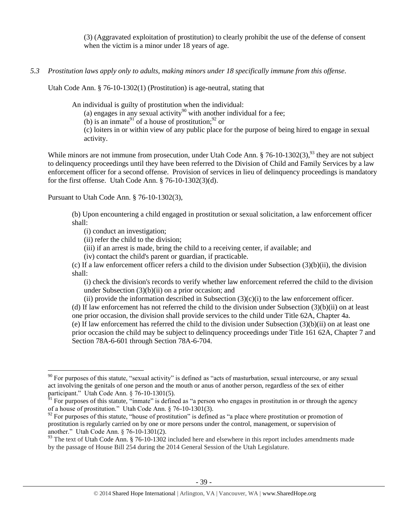(3) (Aggravated exploitation of prostitution) to clearly prohibit the use of the defense of consent when the victim is a minor under 18 years of age.

*5.3 Prostitution laws apply only to adults, making minors under 18 specifically immune from this offense.*

Utah Code Ann. § 76-10-1302(1) (Prostitution) is age-neutral, stating that

An individual is guilty of prostitution when the individual:

(a) engages in any sexual activity<sup>90</sup> with another individual for a fee;

(b) is an inmate<sup>91</sup> of a house of prostitution;<sup>92</sup> or

<span id="page-38-0"></span>(c) loiters in or within view of any public place for the purpose of being hired to engage in sexual activity.

While minors are not immune from prosecution, under Utah Code Ann.  $\S 76-10-1302(3)$ ,  $93$  they are not subject to delinquency proceedings until they have been referred to the Division of Child and Family Services by a law enforcement officer for a second offense. Provision of services in lieu of delinquency proceedings is mandatory for the first offense. Utah Code Ann. § 76-10-1302(3)(d).

Pursuant to Utah Code Ann. § 76-10-1302(3),

 $\overline{\phantom{a}}$ 

(b) Upon encountering a child engaged in prostitution or sexual solicitation, a law enforcement officer shall:

(i) conduct an investigation;

(ii) refer the child to the division;

(iii) if an arrest is made, bring the child to a receiving center, if available; and

(iv) contact the child's parent or guardian, if practicable.

(c) If a law enforcement officer refers a child to the division under Subsection  $(3)(b)(ii)$ , the division shall:

(i) check the division's records to verify whether law enforcement referred the child to the division under Subsection  $(3)(b)(ii)$  on a prior occasion; and

(ii) provide the information described in Subsection  $(3)(c)(i)$  to the law enforcement officer. (d) If law enforcement has not referred the child to the division under Subsection  $(3)(b)(ii)$  on at least one prior occasion, the division shall provide services to the child under Title 62A, Chapter 4a. (e) If law enforcement has referred the child to the division under Subsection (3)(b)(ii) on at least one

prior occasion the child may be subject to delinquency proceedings under Title 161 62A, Chapter 7 and Section 78A-6-601 through Section 78A-6-704.

 $90$  For purposes of this statute, "sexual activity" is defined as "acts of masturbation, sexual intercourse, or any sexual act involving the genitals of one person and the mouth or anus of another person, regardless of the sex of either participant." Utah Code Ann. § 76-10-1301(5).

 $91$  For purposes of this statute, "inmate" is defined as "a person who engages in prostitution in or through the agency of a house of prostitution." Utah Code Ann. § 76-10-1301(3).

 $92$  For purposes of this statute, "house of prostitution" is defined as "a place where prostitution or promotion of prostitution is regularly carried on by one or more persons under the control, management, or supervision of another." Utah Code Ann. § 76-10-1301(2).

<sup>&</sup>lt;sup>93</sup> The text of Utah Code Ann. § 76-10-1302 included here and elsewhere in this report includes amendments made by the passage of House Bill 254 during the 2014 General Session of the Utah Legislature.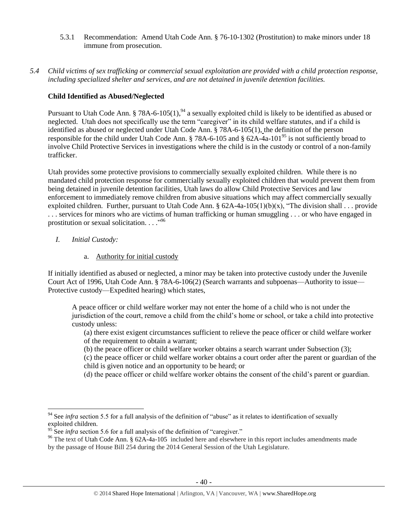- 5.3.1 Recommendation: Amend Utah Code Ann. § 76-10-1302 (Prostitution) to make minors under 18 immune from prosecution.
- *5.4 Child victims of sex trafficking or commercial sexual exploitation are provided with a child protection response, including specialized shelter and services, and are not detained in juvenile detention facilities.*

# **Child Identified as Abused/Neglected**

Pursuant to Utah Code Ann. § 78A-6-105(1),<sup>94</sup> a sexually exploited child is likely to be identified as abused or neglected. Utah does not specifically use the term "caregiver" in its child welfare statutes, and if a child is identified as abused or neglected under Utah Code Ann. § 78A-6-105(1), the definition of the person responsible for the child under Utah Code Ann. § 78A-6-105 and § 62A-4a-101<sup>95</sup> is not sufficiently broad to involve Child Protective Services in investigations where the child is in the custody or control of a non-family trafficker.

Utah provides some protective provisions to commercially sexually exploited children. While there is no mandated child protection response for commercially sexually exploited children that would prevent them from being detained in juvenile detention facilities, Utah laws do allow Child Protective Services and law enforcement to immediately remove children from abusive situations which may affect commercially sexually exploited children. Further, pursuant to Utah Code Ann. §  $62A-4a-105(1)(b)(x)$ , "The division shall . . . provide . . . services for minors who are victims of human trafficking or human smuggling . . . or who have engaged in prostitution or sexual solicitation...."<sup>96</sup>

- *I. Initial Custody:* 
	- a. Authority for initial custody

If initially identified as abused or neglected, a minor may be taken into protective custody under the Juvenile Court Act of 1996, Utah Code Ann. § 78A-6-106(2) (Search warrants and subpoenas—Authority to issue— Protective custody—Expedited hearing) which states,

A peace officer or child welfare worker may not enter the home of a child who is not under the jurisdiction of the court, remove a child from the child's home or school, or take a child into protective custody unless:

(a) there exist exigent circumstances sufficient to relieve the peace officer or child welfare worker of the requirement to obtain a warrant;

- (b) the peace officer or child welfare worker obtains a search warrant under Subsection (3);
- (c) the peace officer or child welfare worker obtains a court order after the parent or guardian of the child is given notice and an opportunity to be heard; or
- (d) the peace officer or child welfare worker obtains the consent of the child's parent or guardian.

 $\overline{\phantom{a}}$ <sup>94</sup> See *infra* section 5.5 for a full analysis of the definition of "abuse" as it relates to identification of sexually exploited children.

<sup>&</sup>lt;sup>95</sup> See *infra* section 5.6 for a full analysis of the definition of "caregiver."

<sup>&</sup>lt;sup>96</sup> The text of Utah Code Ann. § 62A-4a-105 included here and elsewhere in this report includes amendments made by the passage of House Bill 254 during the 2014 General Session of the Utah Legislature.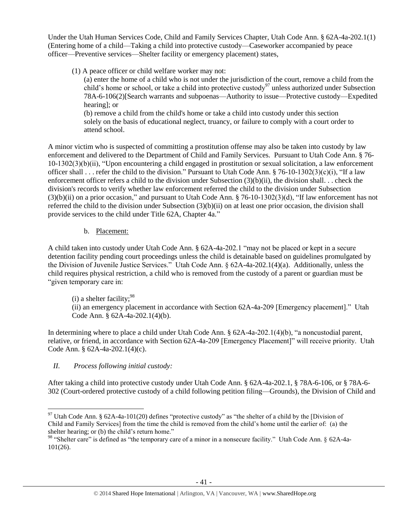Under the Utah Human Services Code, Child and Family Services Chapter, Utah Code Ann. § 62A-4a-202.1(1) (Entering home of a child—Taking a child into protective custody—Caseworker accompanied by peace officer—Preventive services—Shelter facility or emergency placement) states,

(1) A peace officer or child welfare worker may not:

(a) enter the home of a child who is not under the jurisdiction of the court, remove a child from the child's home or school, or take a child into protective custody<sup>97</sup> unless authorized under Subsection 78A-6-106(2)[Search warrants and subpoenas—Authority to issue—Protective custody—Expedited hearing]; or

(b) remove a child from the child's home or take a child into custody under this section solely on the basis of educational neglect, truancy, or failure to comply with a court order to attend school.

A minor victim who is suspected of committing a prostitution offense may also be taken into custody by law enforcement and delivered to the Department of Child and Family Services. Pursuant to Utah Code Ann. § 76- 10-1302(3)(b)(ii), "Upon encountering a child engaged in prostitution or sexual solicitation, a law enforcement officer shall . . . refer the child to the division." Pursuant to Utah Code Ann. § 76-10-1302(3)(c)(i), "If a law enforcement officer refers a child to the division under Subsection (3)(b)(ii), the division shall. . . check the division's records to verify whether law enforcement referred the child to the division under Subsection (3)(b)(ii) on a prior occasion," and pursuant to Utah Code Ann. § 76-10-1302(3)(d), "If law enforcement has not referred the child to the division under Subsection  $(3)(b)(ii)$  on at least one prior occasion, the division shall provide services to the child under Title 62A, Chapter 4a."

b. Placement:

A child taken into custody under Utah Code Ann. § 62A-4a-202.1 "may not be placed or kept in a secure detention facility pending court proceedings unless the child is detainable based on guidelines promulgated by the Division of Juvenile Justice Services." Utah Code Ann. § 62A-4a-202.1(4)(a). Additionally, unless the child requires physical restriction, a child who is removed from the custody of a parent or guardian must be "given temporary care in:

 $(i)$  a shelter facility;<sup>98</sup>

(ii) an emergency placement in accordance with Section 62A-4a-209 [Emergency placement]." Utah Code Ann. § 62A-4a-202.1(4)(b).

In determining where to place a child under Utah Code Ann. § 62A-4a-202.1(4)(b), "a noncustodial parent, relative, or friend, in accordance with Section 62A-4a-209 [Emergency Placement]" will receive priority. Utah Code Ann. § 62A-4a-202.1(4)(c).

*II. Process following initial custody:*

After taking a child into protective custody under Utah Code Ann. § 62A-4a-202.1, § 78A-6-106, or § 78A-6- 302 (Court-ordered protective custody of a child following petition filing—Grounds), the Division of Child and

 $\overline{\phantom{a}}$ <sup>97</sup> Utah Code Ann. § 62A-4a-101(20) defines "protective custody" as "the shelter of a child by the [Division of Child and Family Services] from the time the child is removed from the child's home until the earlier of: (a) the shelter hearing; or (b) the child's return home."

<sup>98 &</sup>quot;Shelter care" is defined as "the temporary care of a minor in a nonsecure facility." Utah Code Ann. § 62A-4a-101(26).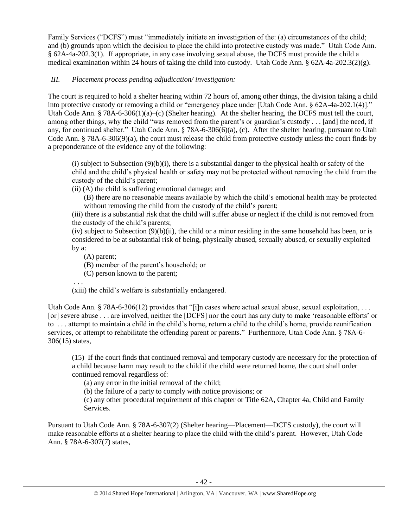Family Services ("DCFS") must "immediately initiate an investigation of the: (a) circumstances of the child; and (b) grounds upon which the decision to place the child into protective custody was made." Utah Code Ann. § 62A-4a-202.3(1). If appropriate, in any case involving sexual abuse, the DCFS must provide the child a medical examination within 24 hours of taking the child into custody. Utah Code Ann. § 62A-4a-202.3(2)(g).

# *III. Placement process pending adjudication/ investigation:*

The court is required to hold a shelter hearing within 72 hours of, among other things, the division taking a child into protective custody or removing a child or "emergency place under [Utah Code Ann. § 62A-4a-202.1(4)]." Utah Code Ann. § 78A-6-306(1)(a)–(c) (Shelter hearing). At the shelter hearing, the DCFS must tell the court, among other things, why the child "was removed from the parent's or guardian's custody . . . [and] the need, if any, for continued shelter." Utah Code Ann. § 78A-6-306(6)(a), (c). After the shelter hearing, pursuant to Utah Code Ann. § 78A-6-306(9)(a), the court must release the child from protective custody unless the court finds by a preponderance of the evidence any of the following:

(i) subject to Subsection  $(9)(b)(i)$ , there is a substantial danger to the physical health or safety of the child and the child's physical health or safety may not be protected without removing the child from the custody of the child's parent;

(ii) (A) the child is suffering emotional damage; and

(B) there are no reasonable means available by which the child's emotional health may be protected without removing the child from the custody of the child's parent;

(iii) there is a substantial risk that the child will suffer abuse or neglect if the child is not removed from the custody of the child's parents;

(iv) subject to Subsection (9)(b)(ii), the child or a minor residing in the same household has been, or is considered to be at substantial risk of being, physically abused, sexually abused, or sexually exploited by a:

(A) parent;

(B) member of the parent's household; or

(C) person known to the parent;

. . .

(xiii) the child's welfare is substantially endangered.

Utah Code Ann. § 78A-6-306(12) provides that "[i]n cases where actual sexual abuse, sexual exploitation, ... [or] severe abuse . . . are involved, neither the [DCFS] nor the court has any duty to make 'reasonable efforts' or to . . . attempt to maintain a child in the child's home, return a child to the child's home, provide reunification services, or attempt to rehabilitate the offending parent or parents." Furthermore, Utah Code Ann. § 78A-6- 306(15) states,

(15) If the court finds that continued removal and temporary custody are necessary for the protection of a child because harm may result to the child if the child were returned home, the court shall order continued removal regardless of:

(a) any error in the initial removal of the child;

(b) the failure of a party to comply with notice provisions; or

(c) any other procedural requirement of this chapter or Title 62A, Chapter 4a, Child and Family Services.

Pursuant to Utah Code Ann. § 78A-6-307(2) (Shelter hearing—Placement—DCFS custody), the court will make reasonable efforts at a shelter hearing to place the child with the child's parent. However, Utah Code Ann. § 78A-6-307(7) states,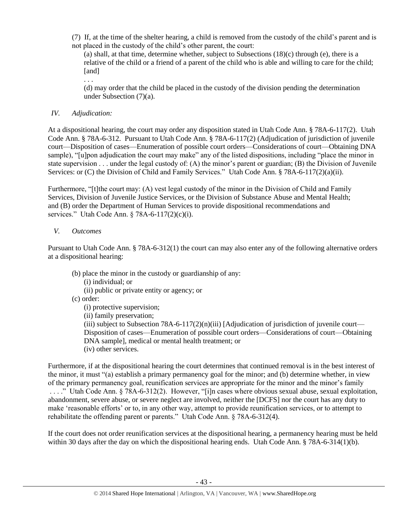(7) If, at the time of the shelter hearing, a child is removed from the custody of the child's parent and is not placed in the custody of the child's other parent, the court:

(a) shall, at that time, determine whether, subject to Subsections (18)(c) through (e), there is a relative of the child or a friend of a parent of the child who is able and willing to care for the child; [and] . . .

(d) may order that the child be placed in the custody of the division pending the determination under Subsection (7)(a).

# *IV. Adjudication:*

At a dispositional hearing, the court may order any disposition stated in Utah Code Ann. § 78A-6-117(2). Utah Code Ann. § 78A-6-312. Pursuant to Utah Code Ann. § 78A-6-117(2) (Adjudication of jurisdiction of juvenile court—Disposition of cases—Enumeration of possible court orders—Considerations of court—Obtaining DNA sample), "[u]pon adjudication the court may make" any of the listed dispositions, including "place the minor in state supervision . . . under the legal custody of: (A) the minor's parent or guardian; (B) the Division of Juvenile Services: or (C) the Division of Child and Family Services." Utah Code Ann. § 78A-6-117(2)(a)(ii).

Furthermore, "[t]the court may: (A) vest legal custody of the minor in the Division of Child and Family Services, Division of Juvenile Justice Services, or the Division of Substance Abuse and Mental Health; and (B) order the Department of Human Services to provide dispositional recommendations and services." Utah Code Ann. § 78A-6-117(2)(c)(i).

# *V. Outcomes*

Pursuant to Utah Code Ann. § 78A-6-312(1) the court can may also enter any of the following alternative orders at a dispositional hearing:

- (b) place the minor in the custody or guardianship of any:
	- (i) individual; or
	- (ii) public or private entity or agency; or
- (c) order:
	- (i) protective supervision;
	- (ii) family preservation;

(iii) subject to Subsection 78A-6-117(2)(n)(iii) [Adjudication of jurisdiction of juvenile court— Disposition of cases—Enumeration of possible court orders—Considerations of court—Obtaining DNA sample], medical or mental health treatment; or (iv) other services.

Furthermore, if at the dispositional hearing the court determines that continued removal is in the best interest of the minor, it must "(a) establish a primary permanency goal for the minor; and (b) determine whether, in view of the primary permanency goal, reunification services are appropriate for the minor and the minor's family . . . ." Utah Code Ann. § 78A-6-312(2). However, "[i]n cases where obvious sexual abuse, sexual exploitation, abandonment, severe abuse, or severe neglect are involved, neither the [DCFS] nor the court has any duty to make 'reasonable efforts' or to, in any other way, attempt to provide reunification services, or to attempt to rehabilitate the offending parent or parents." Utah Code Ann. § 78A-6-312(4).

If the court does not order reunification services at the dispositional hearing, a permanency hearing must be held within 30 days after the day on which the dispositional hearing ends. Utah Code Ann. § 78A-6-314(1)(b).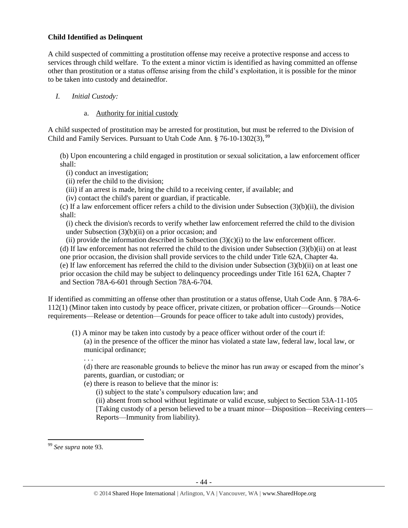## **Child Identified as Delinquent**

A child suspected of committing a prostitution offense may receive a protective response and access to services through child welfare. To the extent a minor victim is identified as having committed an offense other than prostitution or a status offense arising from the child's exploitation, it is possible for the minor to be taken into custody and detainedfor.

# *I. Initial Custody:*

# a. Authority for initial custody

A child suspected of prostitution may be arrested for prostitution, but must be referred to the Division of Child and Family Services. Pursuant to Utah Code Ann. § 76-10-1302(3), <sup>99</sup>

(b) Upon encountering a child engaged in prostitution or sexual solicitation, a law enforcement officer shall:

(i) conduct an investigation;

(ii) refer the child to the division;

(iii) if an arrest is made, bring the child to a receiving center, if available; and

(iv) contact the child's parent or guardian, if practicable.

(c) If a law enforcement officer refers a child to the division under Subsection  $(3)(b)(ii)$ , the division shall:

(i) check the division's records to verify whether law enforcement referred the child to the division under Subsection  $(3)(b)(ii)$  on a prior occasion; and

(ii) provide the information described in Subsection  $(3)(c)(i)$  to the law enforcement officer.

(d) If law enforcement has not referred the child to the division under Subsection  $(3)(b)(ii)$  on at least one prior occasion, the division shall provide services to the child under Title 62A, Chapter 4a. (e) If law enforcement has referred the child to the division under Subsection (3)(b)(ii) on at least one prior occasion the child may be subject to delinquency proceedings under Title 161 62A, Chapter 7 and Section 78A-6-601 through Section 78A-6-704.

If identified as committing an offense other than prostitution or a status offense, Utah Code Ann. § 78A-6- 112(1) (Minor taken into custody by peace officer, private citizen, or probation officer—Grounds—Notice requirements—Release or detention—Grounds for peace officer to take adult into custody) provides,

(1) A minor may be taken into custody by a peace officer without order of the court if: (a) in the presence of the officer the minor has violated a state law, federal law, local law, or municipal ordinance;

. . .

(d) there are reasonable grounds to believe the minor has run away or escaped from the minor's parents, guardian, or custodian; or

(e) there is reason to believe that the minor is:

(i) subject to the state's compulsory education law; and

(ii) absent from school without legitimate or valid excuse, subject to Section 53A-11-105 [Taking custody of a person believed to be a truant minor—Disposition—Receiving centers— Reports—Immunity from liability).

<sup>99</sup> *See supra* note [93.](#page-38-0)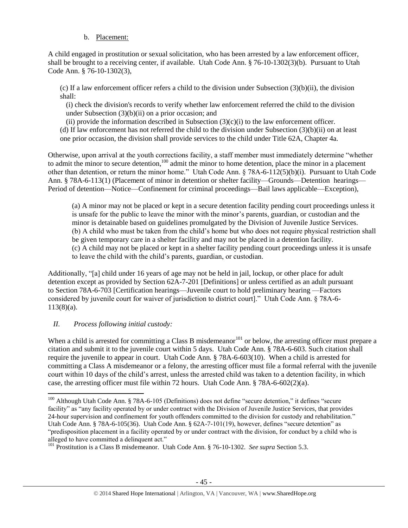# b. Placement:

A child engaged in prostitution or sexual solicitation, who has been arrested by a law enforcement officer, shall be brought to a receiving center, if available. Utah Code Ann. § 76-10-1302(3)(b). Pursuant to Utah Code Ann. § 76-10-1302(3),

(c) If a law enforcement officer refers a child to the division under Subsection  $(3)(b)(ii)$ , the division shall:

(i) check the division's records to verify whether law enforcement referred the child to the division under Subsection (3)(b)(ii) on a prior occasion; and

(ii) provide the information described in Subsection  $(3)(c)(i)$  to the law enforcement officer.

(d) If law enforcement has not referred the child to the division under Subsection (3)(b)(ii) on at least one prior occasion, the division shall provide services to the child under Title 62A, Chapter 4a.

Otherwise, upon arrival at the youth corrections facility, a staff member must immediately determine "whether to admit the minor to secure detention,<sup>100</sup> admit the minor to home detention, place the minor in a placement other than detention, or return the minor home." Utah Code Ann. § 78A-6-112(5)(b)(i). Pursuant to Utah Code Ann. § 78A-6-113(1) (Placement of minor in detention or shelter facility—Grounds—Detention hearings— Period of detention—Notice—Confinement for criminal proceedings—Bail laws applicable—Exception),

(a) A minor may not be placed or kept in a secure detention facility pending court proceedings unless it is unsafe for the public to leave the minor with the minor's parents, guardian, or custodian and the minor is detainable based on guidelines promulgated by the Division of Juvenile Justice Services. (b) A child who must be taken from the child's home but who does not require physical restriction shall be given temporary care in a shelter facility and may not be placed in a detention facility. (c) A child may not be placed or kept in a shelter facility pending court proceedings unless it is unsafe to leave the child with the child's parents, guardian, or custodian.

Additionally, "[a] child under 16 years of age may not be held in jail, lockup, or other place for adult detention except as provided by Section 62A-7-201 [Definitions] or unless certified as an adult pursuant to Section 78A-6-703 [Certification hearings—Juvenile court to hold preliminary hearing —Factors considered by juvenile court for waiver of jurisdiction to district court]." Utah Code Ann. § 78A-6-  $113(8)(a)$ .

# *II. Process following initial custody:*

 $\overline{a}$ 

When a child is arrested for committing a Class B misdemeanor<sup>101</sup> or below, the arresting officer must prepare a citation and submit it to the juvenile court within 5 days. Utah Code Ann. § 78A-6-603. Such citation shall require the juvenile to appear in court. Utah Code Ann. § 78A-6-603(10). When a child is arrested for committing a Class A misdemeanor or a felony, the arresting officer must file a formal referral with the juvenile court within 10 days of the child's arrest, unless the arrested child was taken to a detention facility, in which case, the arresting officer must file within 72 hours. Utah Code Ann.  $\S 78A-6-602(2)(a)$ .

<sup>&</sup>lt;sup>100</sup> Although Utah Code Ann. § 78A-6-105 (Definitions) does not define "secure detention," it defines "secure facility" as "any facility operated by or under contract with the Division of Juvenile Justice Services, that provides 24-hour supervision and confinement for youth offenders committed to the division for custody and rehabilitation." Utah Code Ann. § 78A-6-105(36). Utah Code Ann. § 62A-7-101(19), however, defines "secure detention" as "predisposition placement in a facility operated by or under contract with the division, for conduct by a child who is alleged to have committed a delinquent act."

<sup>101</sup> Prostitution is a Class B misdemeanor. Utah Code Ann. § 76-10-1302. *See supra* Section 5.3.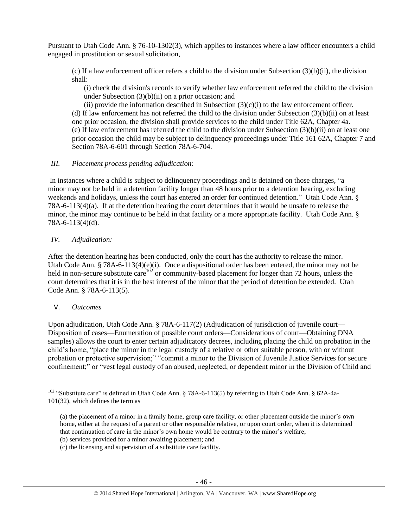Pursuant to Utah Code Ann. § 76-10-1302(3), which applies to instances where a law officer encounters a child engaged in prostitution or sexual solicitation,

(c) If a law enforcement officer refers a child to the division under Subsection  $(3)(b)(ii)$ , the division shall:

(i) check the division's records to verify whether law enforcement referred the child to the division under Subsection  $(3)(b)(ii)$  on a prior occasion; and

(ii) provide the information described in Subsection  $(3)(c)(i)$  to the law enforcement officer. (d) If law enforcement has not referred the child to the division under Subsection  $(3)(b)(ii)$  on at least one prior occasion, the division shall provide services to the child under Title 62A, Chapter 4a. (e) If law enforcement has referred the child to the division under Subsection (3)(b)(ii) on at least one prior occasion the child may be subject to delinquency proceedings under Title 161 62A, Chapter 7 and Section 78A-6-601 through Section 78A-6-704.

### *III. Placement process pending adjudication:*

In instances where a child is subject to delinquency proceedings and is detained on those charges, "a minor may not be held in a detention facility longer than 48 hours prior to a detention hearing, excluding weekends and holidays, unless the court has entered an order for continued detention." Utah Code Ann. § 78A-6-113(4)(a). If at the detention hearing the court determines that it would be unsafe to release the minor, the minor may continue to be held in that facility or a more appropriate facility. Utah Code Ann. § 78A-6-113(4)(d).

## *IV. Adjudication:*

After the detention hearing has been conducted, only the court has the authority to release the minor. Utah Code Ann. § 78A-6-113(4)(e)(i). Once a dispositional order has been entered, the minor may not be held in non-secure substitute care<sup>102</sup> or community-based placement for longer than 72 hours, unless the court determines that it is in the best interest of the minor that the period of detention be extended. Utah Code Ann. § 78A-6-113(5).

### V. *Outcomes*

Upon adjudication, Utah Code Ann. § 78A-6-117(2) (Adjudication of jurisdiction of juvenile court— Disposition of cases—Enumeration of possible court orders—Considerations of court—Obtaining DNA samples) allows the court to enter certain adjudicatory decrees, including placing the child on probation in the child's home; "place the minor in the legal custody of a relative or other suitable person, with or without probation or protective supervision;" "commit a minor to the Division of Juvenile Justice Services for secure confinement;" or "vest legal custody of an abused, neglected, or dependent minor in the Division of Child and

l <sup>102</sup> "Substitute care" is defined in Utah Code Ann. § 78A-6-113(5) by referring to Utah Code Ann. § 62A-4a-101(32), which defines the term as

<sup>(</sup>a) the placement of a minor in a family home, group care facility, or other placement outside the minor's own home, either at the request of a parent or other responsible relative, or upon court order, when it is determined that continuation of care in the minor's own home would be contrary to the minor's welfare;

<sup>(</sup>b) services provided for a minor awaiting placement; and

<sup>(</sup>c) the licensing and supervision of a substitute care facility.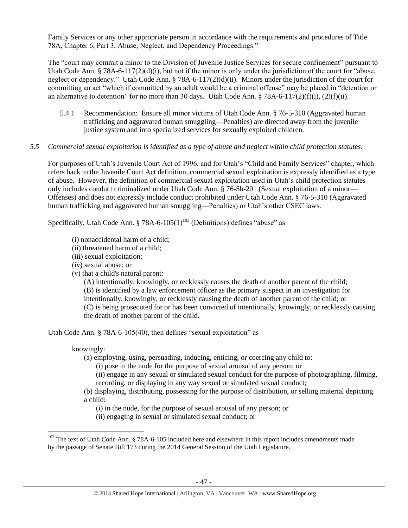Family Services or any other appropriate person in accordance with the requirements and procedures of Title 78A, Chapter 6, Part 3, Abuse, Neglect, and Dependency Proceedings."

The "court may commit a minor to the Division of Juvenile Justice Services for secure confinement" pursuant to Utah Code Ann. § 78A-6-117(2)(d)(i), but not if the minor is only under the jurisdiction of the court for "abuse, neglect or dependency." Utah Code Ann. § 78A-6-117(2)(d)(ii). Minors under the jurisdiction of the court for committing an act "which if committed by an adult would be a criminal offense" may be placed in "detention or an alternative to detention" for no more than 30 days. Utah Code Ann. § 78A-6-117(2)(f)(i), (2)(f)(ii).

5.4.1 Recommendation: Ensure all minor victims of Utah Code Ann. § 76-5-310 (Aggravated human trafficking and aggravated human smuggling—Penalties) are directed away from the juvenile justice system and into specialized services for sexually exploited children.

# *5.5 Commercial sexual exploitation is identified as a type of abuse and neglect within child protection statutes.*

For purposes of Utah's Juvenile Court Act of 1996, and for Utah's "Child and Family Services" chapter, which refers back to the Juvenile Court Act definition, commercial sexual exploitation is expressly identified as a type of abuse. However, the definition of commercial sexual exploitation used in Utah's child protection statutes only includes conduct criminalized under Utah Code Ann. § 76-5b-201 (Sexual exploitation of a minor— Offenses) and does not expressly include conduct prohibited under Utah Code Ann. § 76-5-310 (Aggravated human trafficking and aggravated human smuggling—Penalties) or Utah's other CSEC laws.

Specifically, Utah Code Ann. § 78A-6-105(1)<sup>103</sup> (Definitions) defines "abuse" as

- (i) nonaccidental harm of a child;
- (ii) threatened harm of a child;
- (iii) sexual exploitation;
- (iv) sexual abuse; or
- (v) that a child's natural parent:

(A) intentionally, knowingly, or recklessly causes the death of another parent of the child; (B) is identified by a law enforcement officer as the primary suspect in an investigation for intentionally, knowingly, or recklessly causing the death of another parent of the child; or (C) is being prosecuted for or has been convicted of intentionally, knowingly, or recklessly causing the death of another parent of the child.

Utah Code Ann. § 78A-6-105(40), then defines "sexual exploitation" as

# knowingly:

(a) employing, using, persuading, inducing, enticing, or coercing any child to:

(i) pose in the nude for the purpose of sexual arousal of any person; or

(ii) engage in any sexual or simulated sexual conduct for the purpose of photographing, filming, recording, or displaying in any way sexual or simulated sexual conduct;

(b) displaying, distributing, possessing for the purpose of distribution, or selling material depicting a child:

(i) in the nude, for the purpose of sexual arousal of any person; or

(ii) engaging in sexual or simulated sexual conduct; or

l <sup>103</sup> The text of Utah Code Ann. § 78A-6-105 included here and elsewhere in this report includes amendments made by the passage of Senate Bill 173 during the 2014 General Session of the Utah Legislature.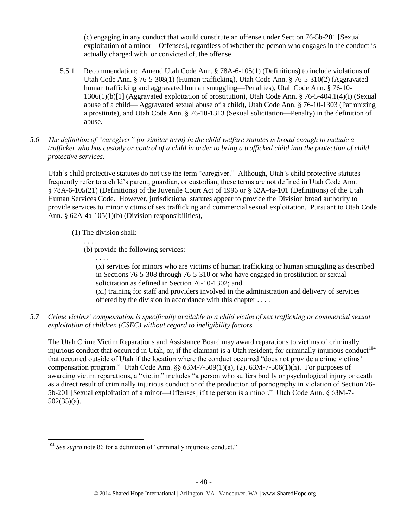(c) engaging in any conduct that would constitute an offense under Section 76-5b-201 [Sexual exploitation of a minor—Offenses], regardless of whether the person who engages in the conduct is actually charged with, or convicted of, the offense.

- 5.5.1 Recommendation: Amend Utah Code Ann. § 78A-6-105(1) (Definitions) to include violations of Utah Code Ann. § 76-5-308(1) (Human trafficking), Utah Code Ann. § 76-5-310(2) (Aggravated human trafficking and aggravated human smuggling—Penalties), Utah Code Ann. § 76-10- 1306(1)(b)[1] (Aggravated exploitation of prostitution), Utah Code Ann. § 76-5-404.1(4)(i) (Sexual abuse of a child— Aggravated sexual abuse of a child), Utah Code Ann. § 76-10-1303 (Patronizing a prostitute), and Utah Code Ann. § 76-10-1313 (Sexual solicitation—Penalty) in the definition of abuse.
- *5.6 The definition of "caregiver" (or similar term) in the child welfare statutes is broad enough to include a trafficker who has custody or control of a child in order to bring a trafficked child into the protection of child protective services.*

Utah's child protective statutes do not use the term "caregiver." Although, Utah's child protective statutes frequently refer to a child's parent, guardian, or custodian, these terms are not defined in Utah Code Ann. § 78A-6-105(21) (Definitions) of the Juvenile Court Act of 1996 or § 62A-4a-101 (Definitions) of the Utah Human Services Code. However, jurisdictional statutes appear to provide the Division broad authority to provide services to minor victims of sex trafficking and commercial sexual exploitation. Pursuant to Utah Code Ann. § 62A-4a-105(1)(b) (Division responsibilities),

(1) The division shall:

. . . .

- . . . .
- (b) provide the following services:

(x) services for minors who are victims of human trafficking or human smuggling as described in Sections 76-5-308 through 76-5-310 or who have engaged in prostitution or sexual solicitation as defined in Section 76-10-1302; and

(xi) training for staff and providers involved in the administration and delivery of services offered by the division in accordance with this chapter . . . .

*5.7 Crime victims' compensation is specifically available to a child victim of sex trafficking or commercial sexual exploitation of children (CSEC) without regard to ineligibility factors.*

The Utah Crime Victim Reparations and Assistance Board may award reparations to victims of criminally injurious conduct that occurred in Utah, or, if the claimant is a Utah resident, for criminally injurious conduct<sup>104</sup> that occurred outside of Utah if the location where the conduct occurred "does not provide a crime victims' compensation program." Utah Code Ann.  $\S 63M-7-509(1)(a)$ , (2),  $63M-7-506(1)(h)$ . For purposes of awarding victim reparations, a "victim" includes "a person who suffers bodily or psychological injury or death as a direct result of criminally injurious conduct or of the production of pornography in violation of Section 76- 5b-201 [Sexual exploitation of a minor—Offenses] if the person is a minor." Utah Code Ann. § 63M-7- 502(35)(a).

 $\overline{a}$ <sup>104</sup> See supra not[e 86](#page-37-0) for a definition of "criminally injurious conduct."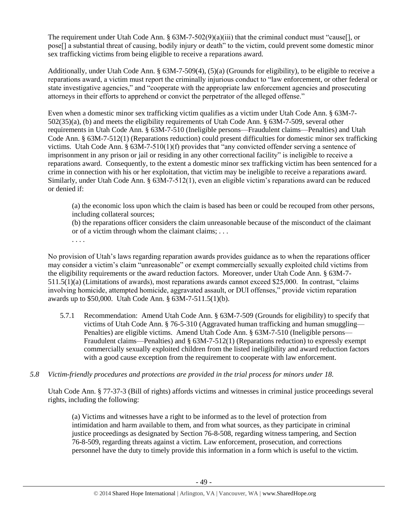The requirement under Utah Code Ann. §  $63M-7-502(9)(a)(iii)$  that the criminal conduct must "cause[], or pose[] a substantial threat of causing, bodily injury or death" to the victim, could prevent some domestic minor sex trafficking victims from being eligible to receive a reparations award.

Additionally, under Utah Code Ann. § 63M-7-509(4), (5)(a) (Grounds for eligibility), to be eligible to receive a reparations award, a victim must report the criminally injurious conduct to "law enforcement, or other federal or state investigative agencies," and "cooperate with the appropriate law enforcement agencies and prosecuting attorneys in their efforts to apprehend or convict the perpetrator of the alleged offense."

Even when a domestic minor sex trafficking victim qualifies as a victim under Utah Code Ann. § 63M-7- 502(35)(a), (b) and meets the eligibility requirements of Utah Code Ann. § 63M-7-509, several other requirements in Utah Code Ann. § 63M-7-510 (Ineligible persons—Fraudulent claims—Penalties) and Utah Code Ann. § 63M-7-512(1) (Reparations reduction) could present difficulties for domestic minor sex trafficking victims. Utah Code Ann. § 63M-7-510(1)(f) provides that "any convicted offender serving a sentence of imprisonment in any prison or jail or residing in any other correctional facility" is ineligible to receive a reparations award. Consequently, to the extent a domestic minor sex trafficking victim has been sentenced for a crime in connection with his or her exploitation, that victim may be ineligible to receive a reparations award. Similarly, under Utah Code Ann. § 63M-7-512(1), even an eligible victim's reparations award can be reduced or denied if:

(a) the economic loss upon which the claim is based has been or could be recouped from other persons, including collateral sources;

(b) the reparations officer considers the claim unreasonable because of the misconduct of the claimant or of a victim through whom the claimant claims; . . .

No provision of Utah's laws regarding reparation awards provides guidance as to when the reparations officer may consider a victim's claim "unreasonable" or exempt commercially sexually exploited child victims from the eligibility requirements or the award reduction factors. Moreover, under Utah Code Ann. § 63M-7- 511.5(1)(a) (Limitations of awards), most reparations awards cannot exceed \$25,000. In contrast, "claims involving homicide, attempted homicide, aggravated assault, or DUI offenses," provide victim reparation awards up to \$50,000. Utah Code Ann. § 63M-7-511.5(1)(b).

5.7.1 Recommendation: Amend Utah Code Ann. § 63M-7-509 (Grounds for eligibility) to specify that victims of Utah Code Ann. § 76-5-310 (Aggravated human trafficking and human smuggling— Penalties) are eligible victims. Amend Utah Code Ann. § 63M-7-510 (Ineligible persons— Fraudulent claims—Penalties) and § 63M-7-512(1) (Reparations reduction) to expressly exempt commercially sexually exploited children from the listed ineligibility and award reduction factors with a good cause exception from the requirement to cooperate with law enforcement.

# *5.8 Victim-friendly procedures and protections are provided in the trial process for minors under 18.*

. . . .

Utah Code Ann. § 77-37-3 (Bill of rights) affords victims and witnesses in criminal justice proceedings several rights, including the following:

(a) Victims and witnesses have a right to be informed as to the level of protection from intimidation and harm available to them, and from what sources, as they participate in criminal justice proceedings as designated by Section 76-8-508, regarding witness tampering, and Section 76-8-509, regarding threats against a victim. Law enforcement, prosecution, and corrections personnel have the duty to timely provide this information in a form which is useful to the victim.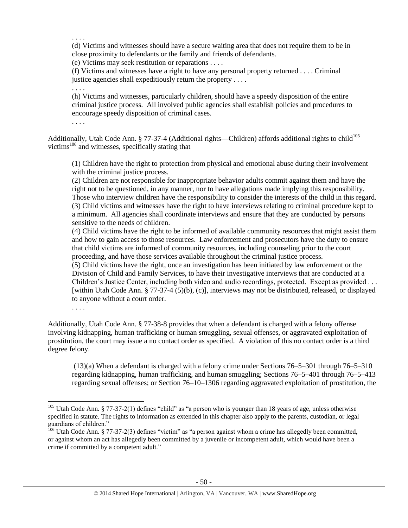. . . .

(d) Victims and witnesses should have a secure waiting area that does not require them to be in close proximity to defendants or the family and friends of defendants.

(e) Victims may seek restitution or reparations . . . .

(f) Victims and witnesses have a right to have any personal property returned . . . . Criminal justice agencies shall expeditiously return the property . . . .

(h) Victims and witnesses, particularly children, should have a speedy disposition of the entire criminal justice process. All involved public agencies shall establish policies and procedures to encourage speedy disposition of criminal cases.

. . . .

. . . .

Additionally, Utah Code Ann. § 77-37-4 (Additional rights—Children) affords additional rights to child<sup>105</sup> victims<sup>106</sup> and witnesses, specifically stating that

(1) Children have the right to protection from physical and emotional abuse during their involvement with the criminal justice process.

(2) Children are not responsible for inappropriate behavior adults commit against them and have the right not to be questioned, in any manner, nor to have allegations made implying this responsibility. Those who interview children have the responsibility to consider the interests of the child in this regard. (3) Child victims and witnesses have the right to have interviews relating to criminal procedure kept to a minimum. All agencies shall coordinate interviews and ensure that they are conducted by persons sensitive to the needs of children.

(4) Child victims have the right to be informed of available community resources that might assist them and how to gain access to those resources. Law enforcement and prosecutors have the duty to ensure that child victims are informed of community resources, including counseling prior to the court proceeding, and have those services available throughout the criminal justice process.

(5) Child victims have the right, once an investigation has been initiated by law enforcement or the Division of Child and Family Services, to have their investigative interviews that are conducted at a Children's Justice Center, including both video and audio recordings, protected. Except as provided . . . [within Utah Code Ann. § 77-37-4 (5)(b), (c)], interviews may not be distributed, released, or displayed to anyone without a court order.

. . . .

 $\overline{\phantom{a}}$ 

Additionally, Utah Code Ann. § 77-38-8 provides that when a defendant is charged with a felony offense involving kidnapping, human trafficking or human smuggling, sexual offenses, or aggravated exploitation of prostitution, the court may issue a no contact order as specified. A violation of this no contact order is a third degree felony.

(13)(a) When a defendant is charged with a felony crime under Sections 76–5–301 through 76–5–310 regarding kidnapping, human trafficking, and human smuggling; Sections 76–5–401 through 76–5–413 regarding sexual offenses; or Section 76–10–1306 regarding aggravated exploitation of prostitution, the

<sup>&</sup>lt;sup>105</sup> Utah Code Ann. § 77-37-2(1) defines "child" as "a person who is younger than 18 years of age, unless otherwise specified in statute. The rights to information as extended in this chapter also apply to the parents, custodian, or legal guardians of children."

<sup>&</sup>lt;sup>106</sup> Utah Code Ann. § 77-37-2(3) defines "victim" as "a person against whom a crime has allegedly been committed, or against whom an act has allegedly been committed by a juvenile or incompetent adult, which would have been a crime if committed by a competent adult."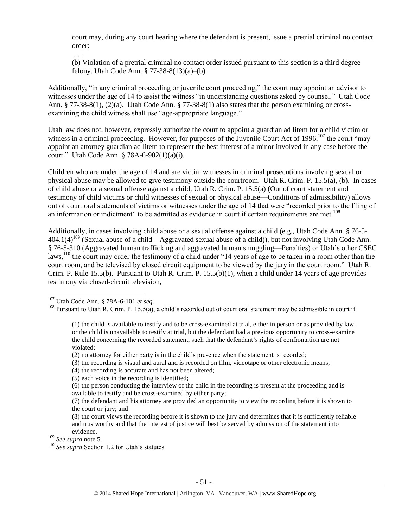court may, during any court hearing where the defendant is present, issue a pretrial criminal no contact order:

. . .

(b) Violation of a pretrial criminal no contact order issued pursuant to this section is a third degree felony. Utah Code Ann. § 77-38-8(13)(a)–(b).

Additionally, "in any criminal proceeding or juvenile court proceeding," the court may appoint an advisor to witnesses under the age of 14 to assist the witness "in understanding questions asked by counsel." Utah Code Ann. § 77-38-8(1), (2)(a). Utah Code Ann. § 77-38-8(1) also states that the person examining or crossexamining the child witness shall use "age-appropriate language."

Utah law does not, however, expressly authorize the court to appoint a guardian ad litem for a child victim or witness in a criminal proceeding. However, for purposes of the Juvenile Court Act of 1996, $107$  the court "may appoint an attorney guardian ad litem to represent the best interest of a minor involved in any case before the court." Utah Code Ann. § 78A-6-902(1)(a)(i).

Children who are under the age of 14 and are victim witnesses in criminal prosecutions involving sexual or physical abuse may be allowed to give testimony outside the courtroom. Utah R. Crim. P. 15.5(a), (b). In cases of child abuse or a sexual offense against a child, Utah R. Crim. P. 15.5(a) (Out of court statement and testimony of child victims or child witnesses of sexual or physical abuse—Conditions of admissibility) allows out of court oral statements of victims or witnesses under the age of 14 that were "recorded prior to the filing of an information or indictment" to be admitted as evidence in court if certain requirements are met.<sup>108</sup>

Additionally, in cases involving child abuse or a sexual offense against a child (e.g., Utah Code Ann. § 76-5-  $404.1(4)^{109}$  (Sexual abuse of a child—Aggravated sexual abuse of a child)), but not involving Utah Code Ann. § 76-5-310 (Aggravated human trafficking and aggravated human smuggling—Penalties) or Utah's other CSEC laws,<sup>110</sup> the court may order the testimony of a child under "14 years of age to be taken in a room other than the court room, and be televised by closed circuit equipment to be viewed by the jury in the court room." Utah R. Crim. P. Rule 15.5(b). Pursuant to Utah R. Crim. P. 15.5(b)(1), when a child under 14 years of age provides testimony via closed-circuit television,

l

- (3) the recording is visual and aural and is recorded on film, videotape or other electronic means;
- (4) the recording is accurate and has not been altered;
- (5) each voice in the recording is identified;

<sup>107</sup> Utah Code Ann. § 78A-6-101 *et seq*.

<sup>&</sup>lt;sup>108</sup> Pursuant to Utah R. Crim. P. 15.5(a), a child's recorded out of court oral statement may be admissible in court if

<sup>(1)</sup> the child is available to testify and to be cross-examined at trial, either in person or as provided by law, or the child is unavailable to testify at trial, but the defendant had a previous opportunity to cross-examine the child concerning the recorded statement, such that the defendant's rights of confrontation are not violated;

<sup>(2)</sup> no attorney for either party is in the child's presence when the statement is recorded;

<sup>(6)</sup> the person conducting the interview of the child in the recording is present at the proceeding and is available to testify and be cross-examined by either party;

<sup>(7)</sup> the defendant and his attorney are provided an opportunity to view the recording before it is shown to the court or jury; and

<sup>(8)</sup> the court views the recording before it is shown to the jury and determines that it is sufficiently reliable and trustworthy and that the interest of justice will best be served by admission of the statement into evidence.

<sup>109</sup> *See supra* not[e 5.](#page-3-0)

<sup>110</sup> *See supra* Section 1.2 for Utah's statutes.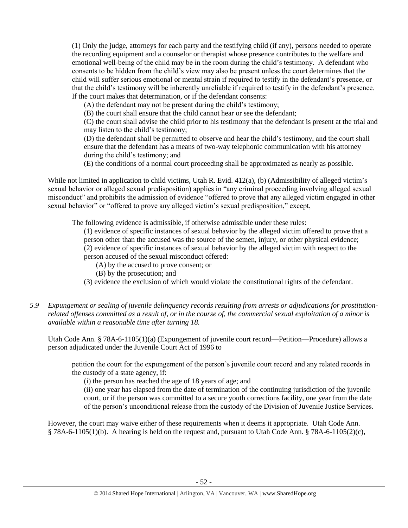(1) Only the judge, attorneys for each party and the testifying child (if any), persons needed to operate the recording equipment and a counselor or therapist whose presence contributes to the welfare and emotional well-being of the child may be in the room during the child's testimony. A defendant who consents to be hidden from the child's view may also be present unless the court determines that the child will suffer serious emotional or mental strain if required to testify in the defendant's presence, or that the child's testimony will be inherently unreliable if required to testify in the defendant's presence. If the court makes that determination, or if the defendant consents:

(A) the defendant may not be present during the child's testimony;

(B) the court shall ensure that the child cannot hear or see the defendant;

(C) the court shall advise the child prior to his testimony that the defendant is present at the trial and may listen to the child's testimony;

(D) the defendant shall be permitted to observe and hear the child's testimony, and the court shall ensure that the defendant has a means of two-way telephonic communication with his attorney during the child's testimony; and

(E) the conditions of a normal court proceeding shall be approximated as nearly as possible.

While not limited in application to child victims, Utah R. Evid. 412(a), (b) (Admissibility of alleged victim's sexual behavior or alleged sexual predisposition) applies in "any criminal proceeding involving alleged sexual misconduct" and prohibits the admission of evidence "offered to prove that any alleged victim engaged in other sexual behavior" or "offered to prove any alleged victim's sexual predisposition," except,

The following evidence is admissible, if otherwise admissible under these rules:

(1) evidence of specific instances of sexual behavior by the alleged victim offered to prove that a person other than the accused was the source of the semen, injury, or other physical evidence;

(2) evidence of specific instances of sexual behavior by the alleged victim with respect to the

person accused of the sexual misconduct offered:

(A) by the accused to prove consent; or

(B) by the prosecution; and

(3) evidence the exclusion of which would violate the constitutional rights of the defendant.

# *5.9 Expungement or sealing of juvenile delinquency records resulting from arrests or adjudications for prostitutionrelated offenses committed as a result of, or in the course of, the commercial sexual exploitation of a minor is available within a reasonable time after turning 18.*

Utah Code Ann. § 78A-6-1105(1)(a) (Expungement of juvenile court record—Petition—Procedure) allows a person adjudicated under the Juvenile Court Act of 1996 to

petition the court for the expungement of the person's juvenile court record and any related records in the custody of a state agency, if:

(i) the person has reached the age of 18 years of age; and

(ii) one year has elapsed from the date of termination of the continuing jurisdiction of the juvenile court, or if the person was committed to a secure youth corrections facility, one year from the date of the person's unconditional release from the custody of the Division of Juvenile Justice Services.

However, the court may waive either of these requirements when it deems it appropriate. Utah Code Ann.  $§$  78A-6-1105(1)(b). A hearing is held on the request and, pursuant to Utah Code Ann. § 78A-6-1105(2)(c),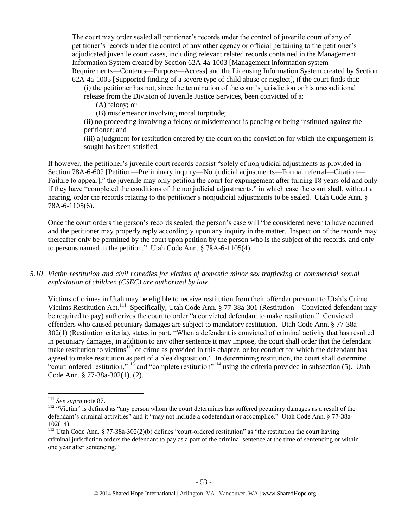The court may order sealed all petitioner's records under the control of juvenile court of any of petitioner's records under the control of any other agency or official pertaining to the petitioner's adjudicated juvenile court cases, including relevant related records contained in the Management Information System created by Section 62A-4a-1003 [Management information system— Requirements—Contents—Purpose—Access] and the Licensing Information System created by Section 62A-4a-1005 [Supported finding of a severe type of child abuse or neglect], if the court finds that:

(i) the petitioner has not, since the termination of the court's jurisdiction or his unconditional

release from the Division of Juvenile Justice Services, been convicted of a:

(A) felony; or

(B) misdemeanor involving moral turpitude;

(ii) no proceeding involving a felony or misdemeanor is pending or being instituted against the petitioner; and

(iii) a judgment for restitution entered by the court on the conviction for which the expungement is sought has been satisfied.

If however, the petitioner's juvenile court records consist "solely of nonjudicial adjustments as provided in Section 78A-6-602 [Petition—Preliminary inquiry—Nonjudicial adjustments—Formal referral—Citation— Failure to appear]," the juvenile may only petition the court for expungement after turning 18 years old and only if they have "completed the conditions of the nonjudicial adjustments," in which case the court shall, without a hearing, order the records relating to the petitioner's nonjudicial adjustments to be sealed. Utah Code Ann. § 78A-6-1105(6).

Once the court orders the person's records sealed, the person's case will "be considered never to have occurred and the petitioner may properly reply accordingly upon any inquiry in the matter. Inspection of the records may thereafter only be permitted by the court upon petition by the person who is the subject of the records, and only to persons named in the petition." Utah Code Ann. § 78A-6-1105(4).

*5.10 Victim restitution and civil remedies for victims of domestic minor sex trafficking or commercial sexual exploitation of children (CSEC) are authorized by law.* 

Victims of crimes in Utah may be eligible to receive restitution from their offender pursuant to Utah's Crime Victims Restitution Act.<sup>111</sup> Specifically, Utah Code Ann. § 77-38a-301 (Restitution—Convicted defendant may be required to pay) authorizes the court to order "a convicted defendant to make restitution." Convicted offenders who caused pecuniary damages are subject to mandatory restitution. Utah Code Ann. § 77-38a-302(1) (Restitution criteria), states in part, "When a defendant is convicted of criminal activity that has resulted in pecuniary damages, in addition to any other sentence it may impose, the court shall order that the defendant make restitution to victims<sup>112</sup> of crime as provided in this chapter, or for conduct for which the defendant has agreed to make restitution as part of a plea disposition." In determining restitution, the court shall determine "court-ordered restitution,"<sup>113</sup> and "complete restitution"<sup>114</sup> using the criteria provided in subsection (5). Utah Code Ann. § 77-38a-302(1), (2).

<sup>111</sup> *See supra* not[e 87.](#page-37-1)

<sup>&</sup>lt;sup>112</sup> "Victim" is defined as "any person whom the court determines has suffered pecuniary damages as a result of the defendant's criminal activities" and it "may not include a codefendant or accomplice." Utah Code Ann. § 77-38a-102(14).

<sup>&</sup>lt;sup>113</sup> Utah Code Ann. § 77-38a-302(2)(b) defines "court-ordered restitution" as "the restitution the court having criminal jurisdiction orders the defendant to pay as a part of the criminal sentence at the time of sentencing or within one year after sentencing."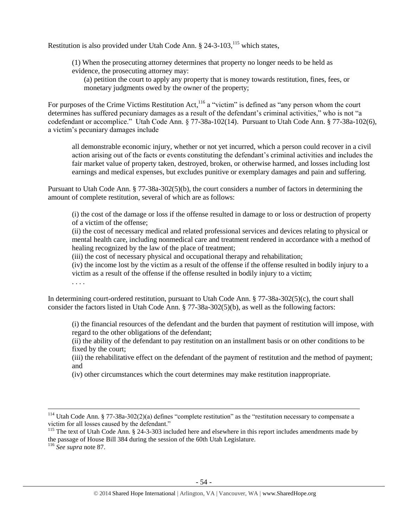Restitution is also provided under Utah Code Ann. § 24-3-103,<sup>115</sup> which states,

(1) When the prosecuting attorney determines that property no longer needs to be held as evidence, the prosecuting attorney may:

(a) petition the court to apply any property that is money towards restitution, fines, fees, or monetary judgments owed by the owner of the property;

For purposes of the Crime Victims Restitution Act,<sup>116</sup> a "victim" is defined as "any person whom the court determines has suffered pecuniary damages as a result of the defendant's criminal activities," who is not "a codefendant or accomplice." Utah Code Ann. § 77-38a-102(14). Pursuant to Utah Code Ann. § 77-38a-102(6), a victim's pecuniary damages include

all demonstrable economic injury, whether or not yet incurred, which a person could recover in a civil action arising out of the facts or events constituting the defendant's criminal activities and includes the fair market value of property taken, destroyed, broken, or otherwise harmed, and losses including lost earnings and medical expenses, but excludes punitive or exemplary damages and pain and suffering.

Pursuant to Utah Code Ann. § 77-38a-302(5)(b), the court considers a number of factors in determining the amount of complete restitution, several of which are as follows:

(i) the cost of the damage or loss if the offense resulted in damage to or loss or destruction of property of a victim of the offense;

(ii) the cost of necessary medical and related professional services and devices relating to physical or mental health care, including nonmedical care and treatment rendered in accordance with a method of healing recognized by the law of the place of treatment;

(iii) the cost of necessary physical and occupational therapy and rehabilitation;

(iv) the income lost by the victim as a result of the offense if the offense resulted in bodily injury to a victim as a result of the offense if the offense resulted in bodily injury to a victim;

. . . .

In determining court-ordered restitution, pursuant to Utah Code Ann. § 77-38a-302(5)(c), the court shall consider the factors listed in Utah Code Ann. § 77-38a-302(5)(b), as well as the following factors:

(i) the financial resources of the defendant and the burden that payment of restitution will impose, with regard to the other obligations of the defendant;

(ii) the ability of the defendant to pay restitution on an installment basis or on other conditions to be fixed by the court;

(iii) the rehabilitative effect on the defendant of the payment of restitution and the method of payment; and

(iv) other circumstances which the court determines may make restitution inappropriate.

 $\overline{\phantom{a}}$ 

<sup>&</sup>lt;sup>114</sup> Utah Code Ann. § 77-38a-302(2)(a) defines "complete restitution" as the "restitution necessary to compensate a victim for all losses caused by the defendant."

<sup>&</sup>lt;sup>115</sup> The text of Utah Code Ann. § 24-3-303 included here and elsewhere in this report includes amendments made by the passage of House Bill 384 during the session of the 60th Utah Legislature.

<sup>116</sup> *See supra* not[e 87.](#page-37-1)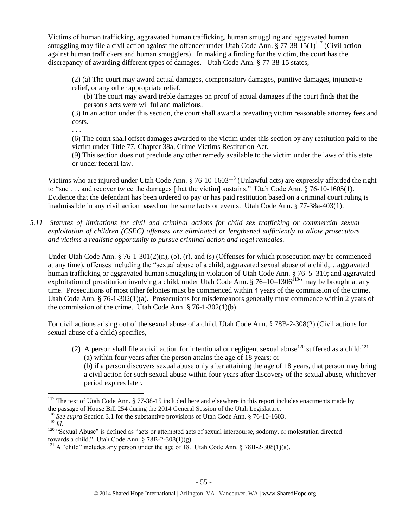Victims of human trafficking, aggravated human trafficking, human smuggling and aggravated human smuggling may file a civil action against the offender under Utah Code Ann.  $\S 77-38-15(1)^{117}$  (Civil action against human traffickers and human smugglers). In making a finding for the victim, the court has the discrepancy of awarding different types of damages. Utah Code Ann. § 77-38-15 states,

(2) (a) The court may award actual damages, compensatory damages, punitive damages, injunctive relief, or any other appropriate relief.

<span id="page-54-0"></span>(b) The court may award treble damages on proof of actual damages if the court finds that the person's acts were willful and malicious.

(3) In an action under this section, the court shall award a prevailing victim reasonable attorney fees and costs.

. . .

(6) The court shall offset damages awarded to the victim under this section by any restitution paid to the victim under Title 77, Chapter 38a, Crime Victims Restitution Act.

(9) This section does not preclude any other remedy available to the victim under the laws of this state or under federal law.

Victims who are injured under Utah Code Ann. § 76-10-1603<sup>118</sup> (Unlawful acts) are expressly afforded the right to "sue . . . and recover twice the damages [that the victim] sustains." Utah Code Ann. § 76-10-1605(1). Evidence that the defendant has been ordered to pay or has paid restitution based on a criminal court ruling is inadmissible in any civil action based on the same facts or events. Utah Code Ann. § 77-38a-403(1).

*5.11 Statutes of limitations for civil and criminal actions for child sex trafficking or commercial sexual exploitation of children (CSEC) offenses are eliminated or lengthened sufficiently to allow prosecutors and victims a realistic opportunity to pursue criminal action and legal remedies.*

Under Utah Code Ann. § 76-1-301(2)(n), (o), (r), and (s) (Offenses for which prosecution may be commenced at any time), offenses including the "sexual abuse of a child; aggravated sexual abuse of a child;…aggravated human trafficking or aggravated human smuggling in violation of Utah Code Ann. § 76–5–310; and aggravated exploitation of prostitution involving a child, under Utah Code Ann. § 76–10–1306<sup>119</sup>" may be brought at any time. Prosecutions of most other felonies must be commenced within 4 years of the commission of the crime. Utah Code Ann. § 76-1-302(1)(a). Prosecutions for misdemeanors generally must commence within 2 years of the commission of the crime. Utah Code Ann. § 76-1-302(1)(b).

For civil actions arising out of the sexual abuse of a child, Utah Code Ann. § 78B-2-308(2) (Civil actions for sexual abuse of a child) specifies,

(2) A person shall file a civil action for intentional or negligent sexual abuse<sup>120</sup> suffered as a child:<sup>121</sup> (a) within four years after the person attains the age of 18 years; or (b) if a person discovers sexual abuse only after attaining the age of 18 years, that person may bring a civil action for such sexual abuse within four years after discovery of the sexual abuse, whichever period expires later.

- <sup>118</sup> *See supra* Section 3.1 for the substantive provisions of Utah Code Ann. § 76-10-1603.
- <sup>119</sup> *Id.*

 $117$  The text of Utah Code Ann. § 77-38-15 included here and elsewhere in this report includes enactments made by the passage of House Bill 254 during the 2014 General Session of the Utah Legislature.

<sup>&</sup>lt;sup>120</sup> "Sexual Abuse" is defined as "acts or attempted acts of sexual intercourse, sodomy, or molestation directed towards a child." Utah Code Ann.  $\S$  78B-2-308(1)(g).

<sup>&</sup>lt;sup>121</sup> A "child" includes any person under the age of 18. Utah Code Ann.  $\S 78B-2-308(1)(a)$ .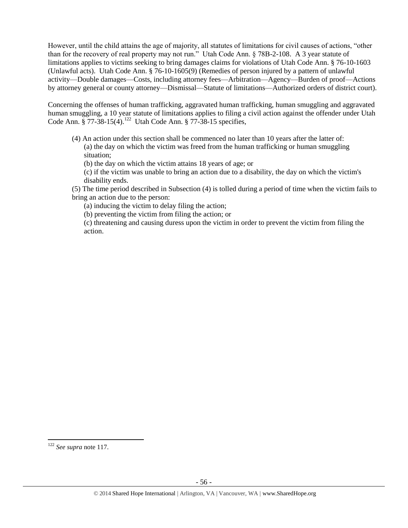However, until the child attains the age of majority, all statutes of limitations for civil causes of actions, "other than for the recovery of real property may not run." Utah Code Ann. § 78B-2-108. A 3 year statute of limitations applies to victims seeking to bring damages claims for violations of Utah Code Ann. § 76-10-1603 (Unlawful acts). Utah Code Ann. § 76-10-1605(9) (Remedies of person injured by a pattern of unlawful activity—Double damages—Costs, including attorney fees—Arbitration—Agency—Burden of proof—Actions by attorney general or county attorney—Dismissal—Statute of limitations—Authorized orders of district court).

Concerning the offenses of human trafficking, aggravated human trafficking, human smuggling and aggravated human smuggling, a 10 year statute of limitations applies to filing a civil action against the offender under Utah Code Ann.  $\frac{8}{9}$  77-38-15(4).<sup>122</sup> Utah Code Ann.  $\frac{8}{9}$  77-38-15 specifies,

- (4) An action under this section shall be commenced no later than 10 years after the latter of: (a) the day on which the victim was freed from the human trafficking or human smuggling situation;
	- (b) the day on which the victim attains 18 years of age; or

(c) if the victim was unable to bring an action due to a disability, the day on which the victim's disability ends.

(5) The time period described in Subsection (4) is tolled during a period of time when the victim fails to bring an action due to the person:

(a) inducing the victim to delay filing the action;

(b) preventing the victim from filing the action; or

(c) threatening and causing duress upon the victim in order to prevent the victim from filing the action.

<sup>122</sup> *See supra* not[e 117.](#page-54-0)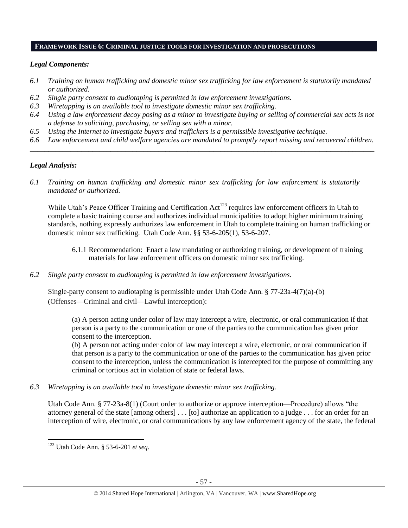#### **FRAMEWORK ISSUE 6: CRIMINAL JUSTICE TOOLS FOR INVESTIGATION AND PROSECUTIONS**

## *Legal Components:*

- *6.1 Training on human trafficking and domestic minor sex trafficking for law enforcement is statutorily mandated or authorized.*
- *6.2 Single party consent to audiotaping is permitted in law enforcement investigations.*
- *6.3 Wiretapping is an available tool to investigate domestic minor sex trafficking.*
- *6.4 Using a law enforcement decoy posing as a minor to investigate buying or selling of commercial sex acts is not a defense to soliciting, purchasing, or selling sex with a minor.*
- *6.5 Using the Internet to investigate buyers and traffickers is a permissible investigative technique.*
- *6.6 Law enforcement and child welfare agencies are mandated to promptly report missing and recovered children. \_\_\_\_\_\_\_\_\_\_\_\_\_\_\_\_\_\_\_\_\_\_\_\_\_\_\_\_\_\_\_\_\_\_\_\_\_\_\_\_\_\_\_\_\_\_\_\_\_\_\_\_\_\_\_\_\_\_\_\_\_\_\_\_\_\_\_\_\_\_\_\_\_\_\_\_\_\_\_\_\_\_\_\_\_\_\_\_\_\_\_\_\_\_*

# *Legal Analysis:*

*6.1 Training on human trafficking and domestic minor sex trafficking for law enforcement is statutorily mandated or authorized.*

While Utah's Peace Officer Training and Certification Act<sup>123</sup> requires law enforcement officers in Utah to complete a basic training course and authorizes individual municipalities to adopt higher minimum training standards, nothing expressly authorizes law enforcement in Utah to complete training on human trafficking or domestic minor sex trafficking. Utah Code Ann. §§ 53-6-205(1), 53-6-207.

- 6.1.1 Recommendation: Enact a law mandating or authorizing training, or development of training materials for law enforcement officers on domestic minor sex trafficking.
- *6.2 Single party consent to audiotaping is permitted in law enforcement investigations.*

Single-party consent to audiotaping is permissible under Utah Code Ann. § 77-23a-4(7)(a)-(b) (Offenses—Criminal and civil—Lawful interception):

(a) A person acting under color of law may intercept a wire, electronic, or oral communication if that person is a party to the communication or one of the parties to the communication has given prior consent to the interception.

(b) A person not acting under color of law may intercept a wire, electronic, or oral communication if that person is a party to the communication or one of the parties to the communication has given prior consent to the interception, unless the communication is intercepted for the purpose of committing any criminal or tortious act in violation of state or federal laws.

*6.3 Wiretapping is an available tool to investigate domestic minor sex trafficking.* 

Utah Code Ann. § 77-23a-8(1) (Court order to authorize or approve interception—Procedure) allows "the attorney general of the state [among others] . . . [to] authorize an application to a judge . . . for an order for an interception of wire, electronic, or oral communications by any law enforcement agency of the state, the federal

<sup>123</sup> Utah Code Ann. § 53-6-201 *et seq*.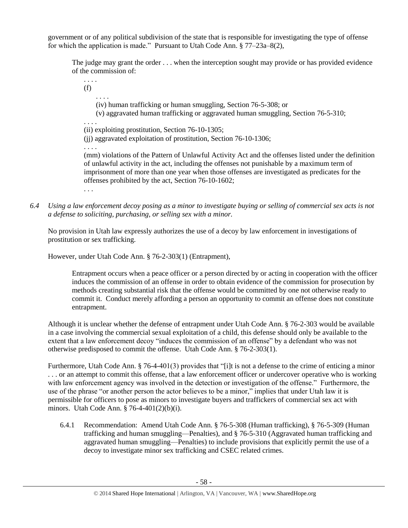government or of any political subdivision of the state that is responsible for investigating the type of offense for which the application is made." Pursuant to Utah Code Ann. § 77–23a–8(2),

The judge may grant the order . . . when the interception sought may provide or has provided evidence of the commission of:

(f) . . . . (iv) human trafficking or human smuggling, Section 76-5-308; or (v) aggravated human trafficking or aggravated human smuggling, Section 76-5-310; . . . . (ii) exploiting prostitution, Section 76-10-1305; (jj) aggravated exploitation of prostitution, Section 76-10-1306; . . . . (mm) violations of the Pattern of Unlawful Activity Act and the offenses listed under the definition of unlawful activity in the act, including the offenses not punishable by a maximum term of imprisonment of more than one year when those offenses are investigated as predicates for the offenses prohibited by the act, Section 76-10-1602; . . .

*6.4 Using a law enforcement decoy posing as a minor to investigate buying or selling of commercial sex acts is not a defense to soliciting, purchasing, or selling sex with a minor.*

No provision in Utah law expressly authorizes the use of a decoy by law enforcement in investigations of prostitution or sex trafficking.

However, under Utah Code Ann. § 76-2-303(1) (Entrapment),

. . . .

Entrapment occurs when a peace officer or a person directed by or acting in cooperation with the officer induces the commission of an offense in order to obtain evidence of the commission for prosecution by methods creating substantial risk that the offense would be committed by one not otherwise ready to commit it. Conduct merely affording a person an opportunity to commit an offense does not constitute entrapment.

Although it is unclear whether the defense of entrapment under Utah Code Ann. § 76-2-303 would be available in a case involving the commercial sexual exploitation of a child, this defense should only be available to the extent that a law enforcement decoy "induces the commission of an offense" by a defendant who was not otherwise predisposed to commit the offense. Utah Code Ann. § 76-2-303(1).

Furthermore, Utah Code Ann. § 76-4-401(3) provides that "[i]t is not a defense to the crime of enticing a minor . . . or an attempt to commit this offense, that a law enforcement officer or undercover operative who is working with law enforcement agency was involved in the detection or investigation of the offense." Furthermore, the use of the phrase "or another person the actor believes to be a minor," implies that under Utah law it is permissible for officers to pose as minors to investigate buyers and traffickers of commercial sex act with minors. Utah Code Ann. § 76-4-401(2)(b)(i).

6.4.1 Recommendation: Amend Utah Code Ann. § 76-5-308 (Human trafficking), § 76-5-309 (Human trafficking and human smuggling—Penalties), and § 76-5-310 (Aggravated human trafficking and aggravated human smuggling—Penalties) to include provisions that explicitly permit the use of a decoy to investigate minor sex trafficking and CSEC related crimes.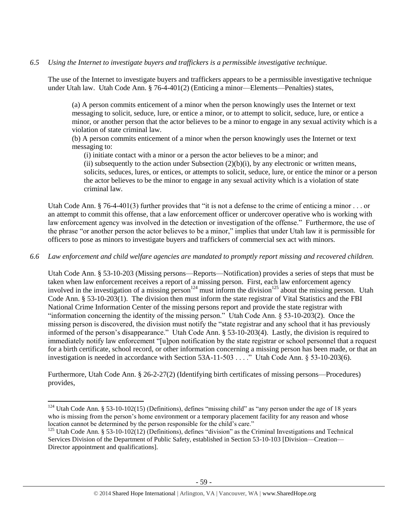# *6.5 Using the Internet to investigate buyers and traffickers is a permissible investigative technique.*

The use of the Internet to investigate buyers and traffickers appears to be a permissible investigative technique under Utah law. Utah Code Ann. § 76-4-401(2) (Enticing a minor—Elements—Penalties) states,

(a) A person commits enticement of a minor when the person knowingly uses the Internet or text messaging to solicit, seduce, lure, or entice a minor, or to attempt to solicit, seduce, lure, or entice a minor, or another person that the actor believes to be a minor to engage in any sexual activity which is a violation of state criminal law.

(b) A person commits enticement of a minor when the person knowingly uses the Internet or text messaging to:

(i) initiate contact with a minor or a person the actor believes to be a minor; and

(ii) subsequently to the action under Subsection  $(2)(b)(i)$ , by any electronic or written means, solicits, seduces, lures, or entices, or attempts to solicit, seduce, lure, or entice the minor or a person the actor believes to be the minor to engage in any sexual activity which is a violation of state criminal law.

Utah Code Ann. § 76-4-401(3) further provides that "it is not a defense to the crime of enticing a minor  $\dots$  or an attempt to commit this offense, that a law enforcement officer or undercover operative who is working with law enforcement agency was involved in the detection or investigation of the offense." Furthermore, the use of the phrase "or another person the actor believes to be a minor," implies that under Utah law it is permissible for officers to pose as minors to investigate buyers and traffickers of commercial sex act with minors.

## *6.6 Law enforcement and child welfare agencies are mandated to promptly report missing and recovered children.*

Utah Code Ann. § 53-10-203 (Missing persons—Reports—Notification) provides a series of steps that must be taken when law enforcement receives a report of a missing person. First, each law enforcement agency involved in the investigation of a missing person<sup>124</sup> must inform the division<sup>125</sup> about the missing person. Utah Code Ann. § 53-10-203(1). The division then must inform the state registrar of Vital Statistics and the FBI National Crime Information Center of the missing persons report and provide the state registrar with "information concerning the identity of the missing person." Utah Code Ann. § 53-10-203(2). Once the missing person is discovered, the division must notify the "state registrar and any school that it has previously informed of the person's disappearance." Utah Code Ann. § 53-10-203(4). Lastly, the division is required to immediately notify law enforcement "[u]pon notification by the state registrar or school personnel that a request for a birth certificate, school record, or other information concerning a missing person has been made, or that an investigation is needed in accordance with Section 53A-11-503 . . . ." Utah Code Ann. § 53-10-203(6).

Furthermore, Utah Code Ann. § 26-2-27(2) (Identifying birth certificates of missing persons—Procedures) provides,

 $\overline{\phantom{a}}$ 

<sup>&</sup>lt;sup>124</sup> Utah Code Ann. § 53-10-102(15) (Definitions), defines "missing child" as "any person under the age of 18 years who is missing from the person's home environment or a temporary placement facility for any reason and whose location cannot be determined by the person responsible for the child's care."

<sup>&</sup>lt;sup>125</sup> Utah Code Ann. § 53-10-102(12) (Definitions), defines "division" as the Criminal Investigations and Technical Services Division of the Department of Public Safety, established in Section 53-10-103 [Division—Creation— Director appointment and qualifications].